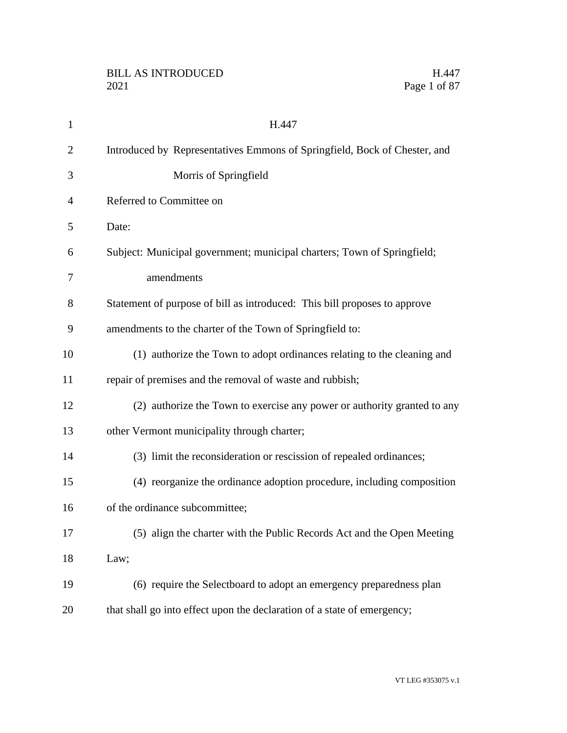| $\mathbf{1}$   | H.447                                                                     |
|----------------|---------------------------------------------------------------------------|
| $\overline{2}$ | Introduced by Representatives Emmons of Springfield, Bock of Chester, and |
| 3              | Morris of Springfield                                                     |
| 4              | Referred to Committee on                                                  |
| 5              | Date:                                                                     |
| 6              | Subject: Municipal government; municipal charters; Town of Springfield;   |
| 7              | amendments                                                                |
| 8              | Statement of purpose of bill as introduced: This bill proposes to approve |
| 9              | amendments to the charter of the Town of Springfield to:                  |
| 10             | (1) authorize the Town to adopt ordinances relating to the cleaning and   |
| 11             | repair of premises and the removal of waste and rubbish;                  |
| 12             | (2) authorize the Town to exercise any power or authority granted to any  |
| 13             | other Vermont municipality through charter;                               |
| 14             | (3) limit the reconsideration or rescission of repealed ordinances;       |
| 15             | (4) reorganize the ordinance adoption procedure, including composition    |
| 16             | of the ordinance subcommittee;                                            |
| 17             | (5) align the charter with the Public Records Act and the Open Meeting    |
| 18             | Law;                                                                      |
| 19             | (6) require the Selectboard to adopt an emergency preparedness plan       |
| 20             | that shall go into effect upon the declaration of a state of emergency;   |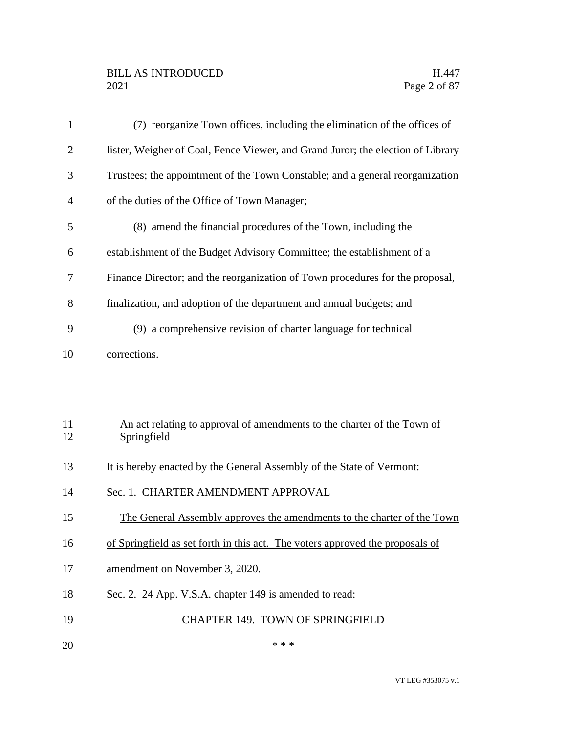## BILL AS INTRODUCED H.447<br>2021 Page 2 of 87

| $\mathbf{1}$   | (7) reorganize Town offices, including the elimination of the offices of               |
|----------------|----------------------------------------------------------------------------------------|
| $\overline{2}$ | lister, Weigher of Coal, Fence Viewer, and Grand Juror; the election of Library        |
| 3              | Trustees; the appointment of the Town Constable; and a general reorganization          |
| $\overline{4}$ | of the duties of the Office of Town Manager;                                           |
| 5              | (8) amend the financial procedures of the Town, including the                          |
| 6              | establishment of the Budget Advisory Committee; the establishment of a                 |
| 7              | Finance Director; and the reorganization of Town procedures for the proposal,          |
| 8              | finalization, and adoption of the department and annual budgets; and                   |
| 9              | (9) a comprehensive revision of charter language for technical                         |
| 10             | corrections.                                                                           |
|                |                                                                                        |
|                |                                                                                        |
| 11<br>12       | An act relating to approval of amendments to the charter of the Town of<br>Springfield |
| 13             | It is hereby enacted by the General Assembly of the State of Vermont:                  |
| 14             | Sec. 1. CHARTER AMENDMENT APPROVAL                                                     |
| 15             | The General Assembly approves the amendments to the charter of the Town                |
| 16             | of Springfield as set forth in this act. The voters approved the proposals of          |

- 17 amendment on November 3, 2020.
- Sec. 2. 24 App. V.S.A. chapter 149 is amended to read:
- CHAPTER 149. TOWN OF SPRINGFIELD
- $***$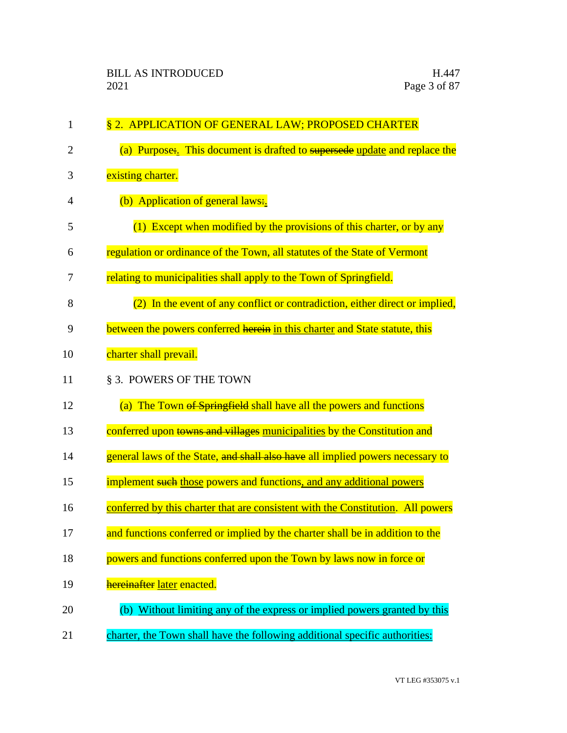| $\mathbf{1}$   | § 2. APPLICATION OF GENERAL LAW; PROPOSED CHARTER                               |
|----------------|---------------------------------------------------------------------------------|
| $\overline{2}$ | (a) Purpose: This document is drafted to supersede update and replace the       |
| 3              | existing charter.                                                               |
| 4              | (b) Application of general laws:                                                |
| 5              | (1) Except when modified by the provisions of this charter, or by any           |
| 6              | regulation or ordinance of the Town, all statutes of the State of Vermont       |
| 7              | relating to municipalities shall apply to the Town of Springfield.              |
| 8              | (2) In the event of any conflict or contradiction, either direct or implied,    |
| 9              | between the powers conferred herein in this charter and State statute, this     |
| 10             | charter shall prevail.                                                          |
| 11             | § 3. POWERS OF THE TOWN                                                         |
| 12             | (a) The Town of Springfield shall have all the powers and functions             |
| 13             | conferred upon towns and villages municipalities by the Constitution and        |
| 14             | general laws of the State, and shall also have all implied powers necessary to  |
| 15             | implement such those powers and functions, and any additional powers            |
| 16             | conferred by this charter that are consistent with the Constitution. All powers |
| 17             | and functions conferred or implied by the charter shall be in addition to the   |
| 18             | powers and functions conferred upon the Town by laws now in force or            |
| 19             | hereinafter later enacted.                                                      |
| 20             | (b) Without limiting any of the express or implied powers granted by this       |
| 21             | charter, the Town shall have the following additional specific authorities:     |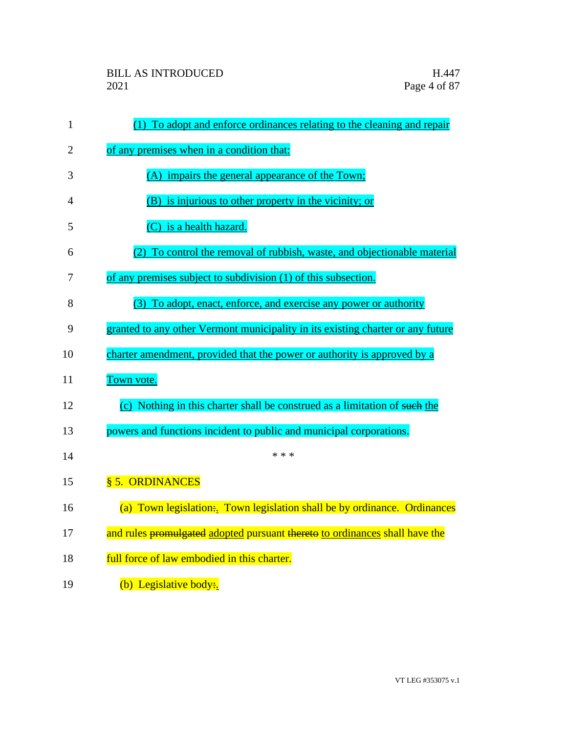| $\mathbf{1}$ | (1) To adopt and enforce ordinances relating to the cleaning and repair         |
|--------------|---------------------------------------------------------------------------------|
| 2            | of any premises when in a condition that:                                       |
| 3            | (A) impairs the general appearance of the Town;                                 |
| 4            | (B) is injurious to other property in the vicinity; or                          |
| 5            | (C) is a health hazard.                                                         |
| 6            | To control the removal of rubbish, waste, and objectionable material            |
| 7            | of any premises subject to subdivision (1) of this subsection.                  |
| 8            | (3) To adopt, enact, enforce, and exercise any power or authority               |
| 9            | granted to any other Vermont municipality in its existing charter or any future |
| 10           | charter amendment, provided that the power or authority is approved by a        |
| 11           | Town vote.                                                                      |
| 12           | (c) Nothing in this charter shall be construed as a limitation of such the      |
| 13           | powers and functions incident to public and municipal corporations.             |
| 14           | * * *                                                                           |
| 15           | § 5. ORDINANCES                                                                 |
| 16           | (a) Town legislation: Town legislation shall be by ordinance. Ordinances        |
| 17           | and rules promulgated adopted pursuant thereto to ordinances shall have the     |
| 18           | full force of law embodied in this charter.                                     |
| 19           | (b) Legislative body:                                                           |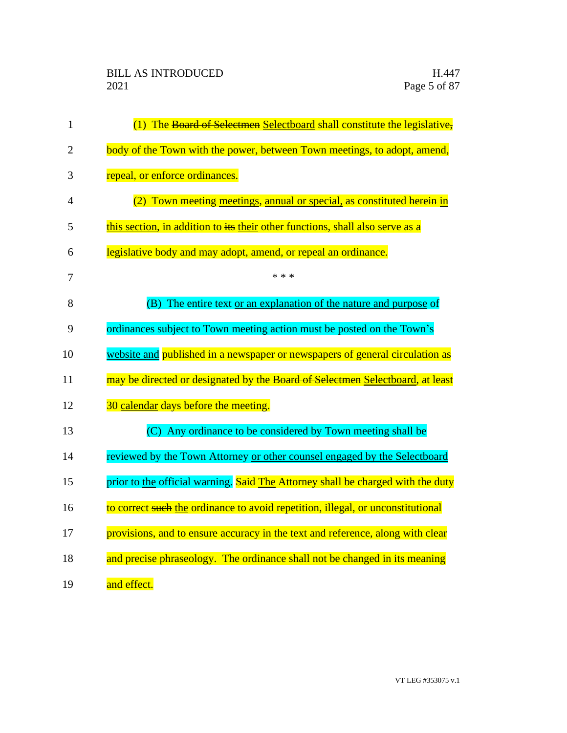| $\mathbf{1}$   | (1) The Board of Selectmen Selectboard shall constitute the legislative,        |
|----------------|---------------------------------------------------------------------------------|
| $\overline{2}$ | body of the Town with the power, between Town meetings, to adopt, amend,        |
| 3              | repeal, or enforce ordinances.                                                  |
| 4              | (2) Town meeting meetings, annual or special, as constituted herein in          |
| 5              | this section, in addition to its their other functions, shall also serve as a   |
| 6              | legislative body and may adopt, amend, or repeal an ordinance.                  |
| 7              | * * *                                                                           |
| 8              | (B) The entire text or an explanation of the nature and purpose of              |
| 9              | ordinances subject to Town meeting action must be posted on the Town's          |
| 10             | website and published in a newspaper or newspapers of general circulation as    |
| 11             | may be directed or designated by the Board of Selectmen Selectboard, at least   |
| 12             | 30 calendar days before the meeting.                                            |
| 13             | (C) Any ordinance to be considered by Town meeting shall be                     |
| 14             | reviewed by the Town Attorney or other counsel engaged by the Selectboard       |
| 15             | prior to the official warning. Said The Attorney shall be charged with the duty |
| 16             | to correct such the ordinance to avoid repetition, illegal, or unconstitutional |
| 17             | provisions, and to ensure accuracy in the text and reference, along with clear  |
| 18             | and precise phraseology. The ordinance shall not be changed in its meaning      |
| 19             | and effect.                                                                     |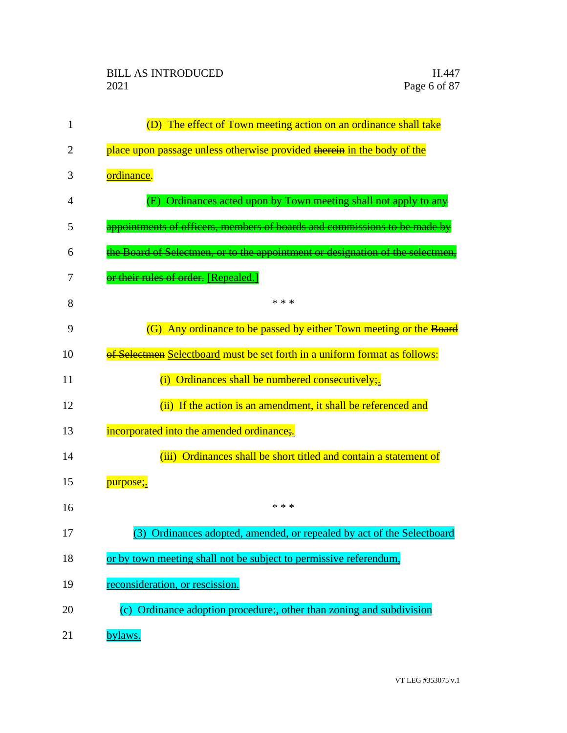| 1              | (D) The effect of Town meeting action on an ordinance shall take               |
|----------------|--------------------------------------------------------------------------------|
| $\overline{2}$ | place upon passage unless otherwise provided therein in the body of the        |
| 3              | ordinance.                                                                     |
| $\overline{4}$ | Ordinances acted upon by Town meeting shall not apply to any                   |
| 5              | appointments of officers, members of boards and commissions to be made by      |
| 6              | the Board of Selectmen, or to the appointment or designation of the selectmen, |
| 7              | or their rules of order. [Repealed.]                                           |
| 8              | * * *                                                                          |
| 9              | (G) Any ordinance to be passed by either Town meeting or the Board             |
| 10             | of Selectmen Selectboard must be set forth in a uniform format as follows:     |
| 11             | Ordinances shall be numbered consecutively;<br>(i)                             |
| 12             | (ii) If the action is an amendment, it shall be referenced and                 |
| 13             | incorporated into the amended ordinance;                                       |
| 14             | (iii) Ordinances shall be short titled and contain a statement of              |
| 15             | purpose;.                                                                      |
| 16             | * * *                                                                          |
| 17             | (3) Ordinances adopted, amended, or repealed by act of the Selectboard         |
| 18             | or by town meeting shall not be subject to permissive referendum,              |
| 19             | reconsideration, or rescission.                                                |
| 20             | (c) Ordinance adoption procedure:, other than zoning and subdivision           |
| 21             | bylaws.                                                                        |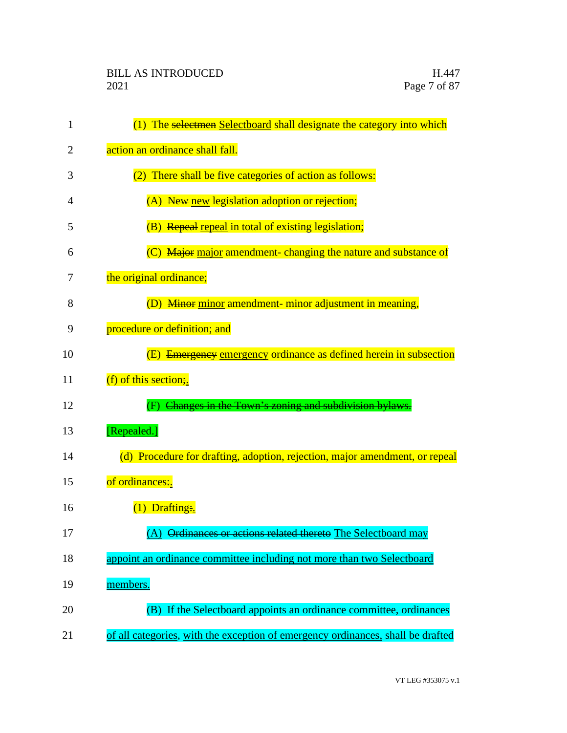| 1  | (1) The selectmen Selectboard shall designate the category into which           |
|----|---------------------------------------------------------------------------------|
| 2  | action an ordinance shall fall.                                                 |
| 3  | (2) There shall be five categories of action as follows:                        |
| 4  | (A) New new legislation adoption or rejection;                                  |
| 5  | (B) Repeal repeal in total of existing legislation;                             |
| 6  | (C) Major major amendment- changing the nature and substance of                 |
| 7  | the original ordinance;                                                         |
| 8  | (D) Minor minor amendment- minor adjustment in meaning,                         |
| 9  | procedure or definition; and                                                    |
| 10 | (E) Emergency emergency ordinance as defined herein in subsection               |
| 11 | (f) of this section;                                                            |
| 12 | Changes in the Town's zoning and subdivision bylaws.                            |
| 13 | [Repealed.]                                                                     |
| 14 | (d) Procedure for drafting, adoption, rejection, major amendment, or repeal     |
| 15 | of ordinances:.                                                                 |
| 16 | $(1)$ Drafting:                                                                 |
| 17 | (A) Ordinances or actions related thereto The Selectboard may                   |
| 18 | appoint an ordinance committee including not more than two Selectboard          |
| 19 | members.                                                                        |
| 20 | (B) If the Selectboard appoints an ordinance committee, ordinances              |
| 21 | of all categories, with the exception of emergency ordinances, shall be drafted |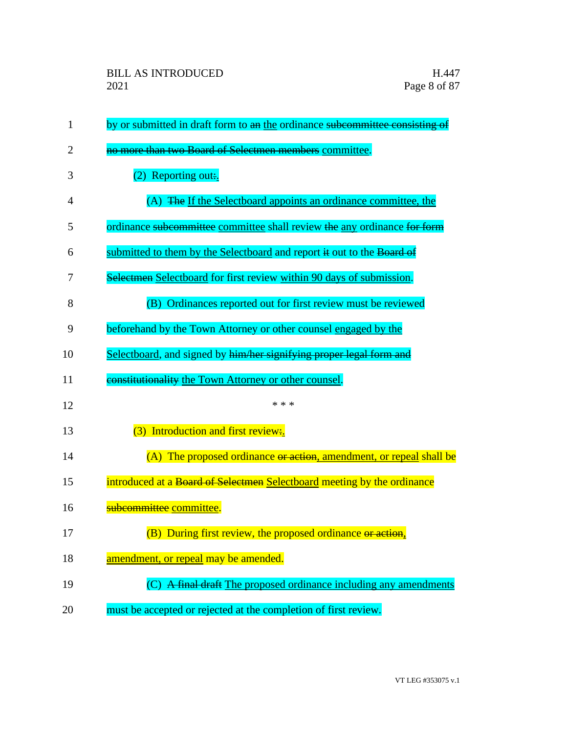| 1  | by or submitted in draft form to an the ordinance subcommittee consisting of |
|----|------------------------------------------------------------------------------|
| 2  | no more than two Board of Selectmen members committee.                       |
| 3  | $(2)$ Reporting out:.                                                        |
| 4  | (A) The If the Selectboard appoints an ordinance committee, the              |
| 5  | ordinance subcommittee committee shall review the any ordinance for form     |
| 6  | submitted to them by the Selectboard and report it out to the Board of       |
| 7  | Selectmen Selectboard for first review within 90 days of submission.         |
| 8  | Ordinances reported out for first review must be reviewed<br>(B)             |
| 9  | beforehand by the Town Attorney or other counsel engaged by the              |
| 10 | Selectboard, and signed by him/her signifying proper legal form and          |
| 11 | constitutionality the Town Attorney or other counsel.                        |
| 12 | * * *                                                                        |
| 13 | (3) Introduction and first review:                                           |
| 14 | (A) The proposed ordinance or action, amendment, or repeal shall be          |
| 15 | introduced at a Board of Selectmen Selectboard meeting by the ordinance      |
| 16 | subcommittee committee.                                                      |
| 17 | (B) During first review, the proposed ordinance or action.                   |
| 18 | amendment, or repeal may be amended.                                         |
| 19 | (C) A final draft The proposed ordinance including any amendments            |
| 20 | must be accepted or rejected at the completion of first review.              |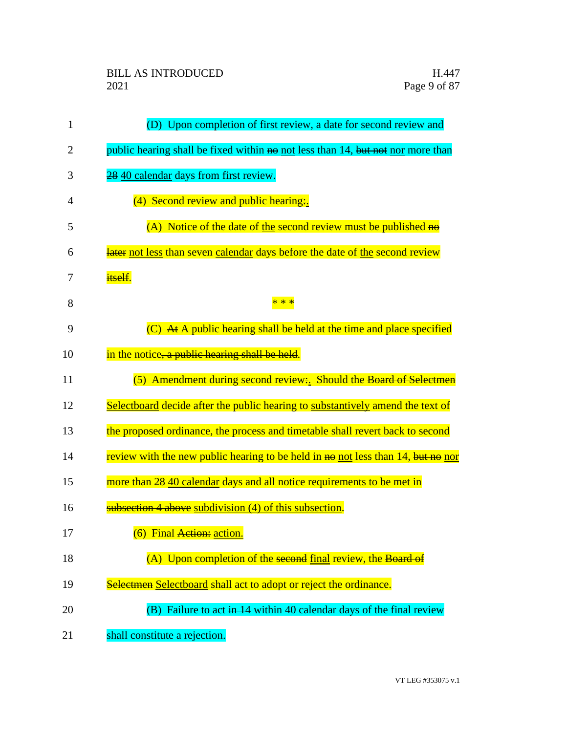| $\mathbf{1}$   | (D) Upon completion of first review, a date for second review and                |
|----------------|----------------------------------------------------------------------------------|
| $\overline{2}$ | public hearing shall be fixed within no not less than 14, but not nor more than  |
| 3              | 28 40 calendar days from first review.                                           |
| $\overline{4}$ | (4) Second review and public hearing.                                            |
| 5              | (A) Notice of the date of the second review must be published $\overline{ho}$    |
| 6              | later not less than seven calendar days before the date of the second review     |
| 7              | itself.                                                                          |
| 8              | * * *                                                                            |
| 9              | $(C)$ At A public hearing shall be held at the time and place specified          |
| 10             | in the notice, a public hearing shall be held.                                   |
| 11             | (5) Amendment during second review: Should the Board of Selectmen                |
| 12             | Selectboard decide after the public hearing to substantively amend the text of   |
| 13             | the proposed ordinance, the process and timetable shall revert back to second    |
| 14             | review with the new public hearing to be held in no not less than 14, but no nor |
| 15             | more than 28 40 calendar days and all notice requirements to be met in           |
| 16             | subsection 4 above subdivision (4) of this subsection.                           |
| 17             | (6) Final Action: action.                                                        |
| 18             | (A) Upon completion of the second final review, the Board of                     |
| 19             | Selectmen Selectboard shall act to adopt or reject the ordinance.                |
| 20             | (B) Failure to act in 14 within 40 calendar days of the final review             |
| 21             | shall constitute a rejection.                                                    |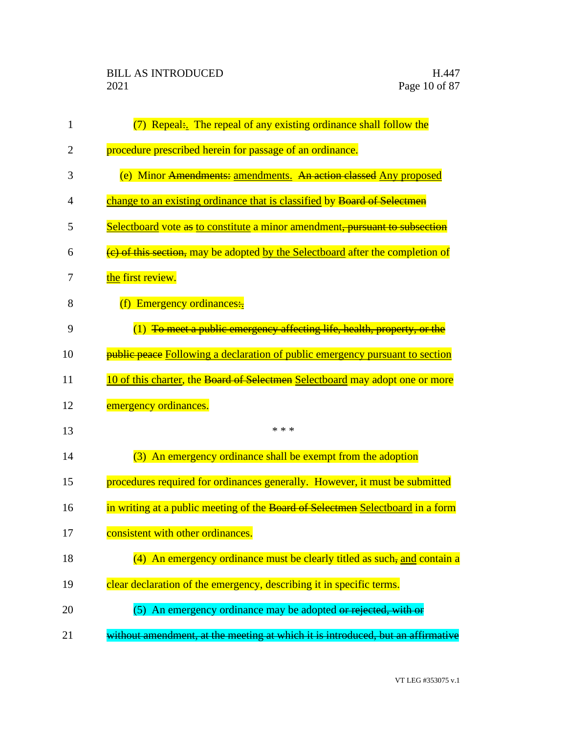| $\mathbf{1}$ | (7) Repeal: The repeal of any existing ordinance shall follow the                        |
|--------------|------------------------------------------------------------------------------------------|
| 2            | procedure prescribed herein for passage of an ordinance.                                 |
| 3            | (e) Minor Amendments: amendments. An action classed Any proposed                         |
| 4            | change to an existing ordinance that is classified by Board of Selectmen                 |
| 5            | Selectboard vote as to constitute a minor amendment, pursuant to subsection              |
| 6            | $\frac{1}{2}$ of this section, may be adopted by the Selectboard after the completion of |
| 7            | the first review.                                                                        |
| 8            | (f) Emergency ordinances:                                                                |
| 9            | $(1)$ To meet a public emergency affecting life, health, property, or the                |
| 10           | <b>public peace</b> Following a declaration of public emergency pursuant to section      |
| 11           | 10 of this charter, the Board of Selectmen Selectboard may adopt one or more             |
| 12           | emergency ordinances.                                                                    |
| 13           | * * *                                                                                    |
| 14           | (3) An emergency ordinance shall be exempt from the adoption                             |
| 15           | procedures required for ordinances generally. However, it must be submitted              |
| 16           | in writing at a public meeting of the Board of Selectmen Selectboard in a form           |
| 17           | consistent with other ordinances.                                                        |
| 18           | (4) An emergency ordinance must be clearly titled as such, and contain a                 |
| 19           | clear declaration of the emergency, describing it in specific terms.                     |
| 20           | (5) An emergency ordinance may be adopted or rejected, with or                           |
| 21           | without amendment, at the meeting at which it is introduced, but an affirmative          |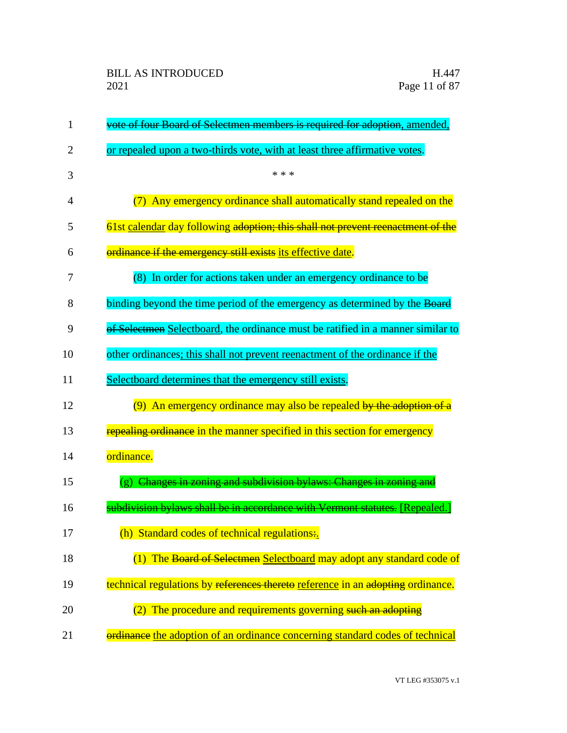| $\mathbf{1}$   | vote of four Board of Selectmen members is required for adoption, amended,                    |
|----------------|-----------------------------------------------------------------------------------------------|
| 2              | or repealed upon a two-thirds vote, with at least three affirmative votes.                    |
| 3              | * * *                                                                                         |
| $\overline{4}$ | (7) Any emergency ordinance shall automatically stand repealed on the                         |
| 5              | 61st calendar day following adoption; this shall not prevent reenactment of the               |
| 6              | ordinance if the emergency still exists its effective date.                                   |
| 7              | (8) In order for actions taken under an emergency ordinance to be                             |
| 8              | binding beyond the time period of the emergency as determined by the Board                    |
| 9              | of Selectmen Selectboard, the ordinance must be ratified in a manner similar to               |
| 10             | other ordinances; this shall not prevent reenactment of the ordinance if the                  |
| 11             | Selectboard determines that the emergency still exists.                                       |
| 12             | (9) An emergency ordinance may also be repealed by the adoption of a                          |
| 13             | repealing ordinance in the manner specified in this section for emergency                     |
| 14             | ordinance.                                                                                    |
| 15             | Changes in zoning and subdivision bylaws: Changes in zoning and<br>$\left( \mathbf{g}\right)$ |
| 16             | subdivision bylaws shall be in accordance with Vermont statutes. [Repealed.                   |
| 17             | (h) Standard codes of technical regulations:                                                  |
| 18             | (1) The Board of Selectmen Selectboard may adopt any standard code of                         |
| 19             | technical regulations by references thereto reference in an adopting ordinance.               |
| 20             | (2) The procedure and requirements governing such an adopting                                 |
| 21             | ordinance the adoption of an ordinance concerning standard codes of technical                 |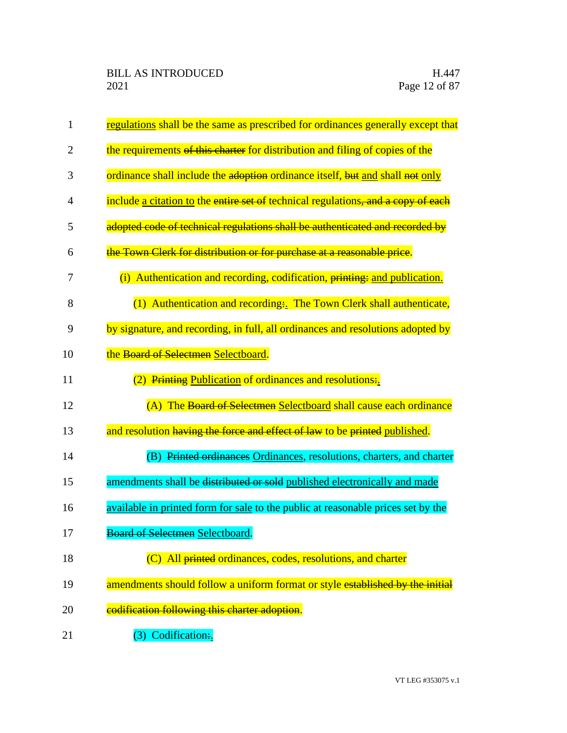| 1              | regulations shall be the same as prescribed for ordinances generally except that  |
|----------------|-----------------------------------------------------------------------------------|
| $\overline{2}$ | the requirements of this charter for distribution and filing of copies of the     |
| 3              | ordinance shall include the adoption ordinance itself, but and shall not only     |
| $\overline{4}$ | include a citation to the entire set of technical regulations, and a copy of each |
| 5              | adopted code of technical regulations shall be authenticated and recorded by      |
| 6              | the Town Clerk for distribution or for purchase at a reasonable price.            |
| 7              | (i) Authentication and recording, codification, printing: and publication.        |
| 8              | (1) Authentication and recording. The Town Clerk shall authenticate,              |
| 9              | by signature, and recording, in full, all ordinances and resolutions adopted by   |
| 10             | the Board of Selectmen Selectboard.                                               |
| 11             | (2) Printing Publication of ordinances and resolutions.                           |
| 12             | (A) The Board of Selectmen Selectboard shall cause each ordinance                 |
| 13             | and resolution having the force and effect of law to be printed published.        |
| 14             | (B) Printed ordinances Ordinances, resolutions, charters, and charter             |
| 15             | amendments shall be distributed or sold published electronically and made         |
| 16             | available in printed form for sale to the public at reasonable prices set by the  |
| 17             | <b>Board of Selectmen Selectboard.</b>                                            |
| 18             | (C) All printed ordinances, codes, resolutions, and charter                       |
| 19             | amendments should follow a uniform format or style established by the initial     |
| 20             | codification following this charter adoption.                                     |
| 21             | (3) Codification:                                                                 |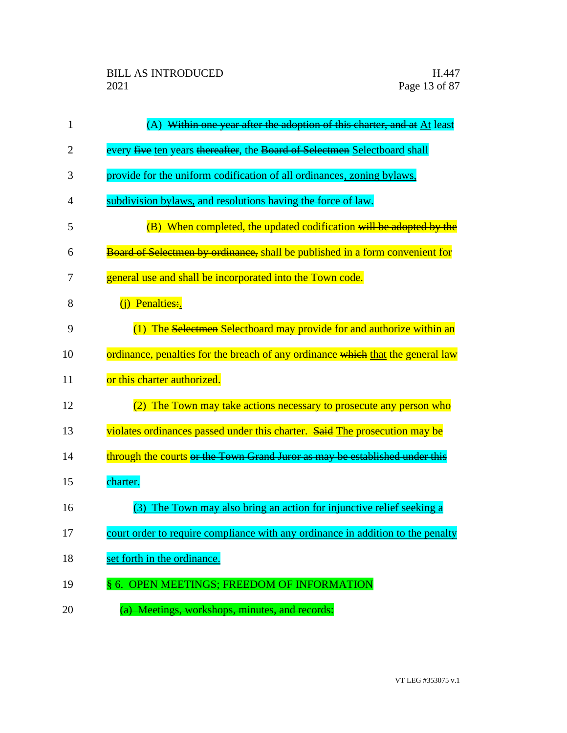| $\mathbf{1}$ | (A) Within one year after the adoption of this charter, and at $\Delta t$ least     |
|--------------|-------------------------------------------------------------------------------------|
| 2            | every five ten years thereafter, the Board of Selectmen Selectboard shall           |
| 3            | provide for the uniform codification of all ordinances, zoning bylaws,              |
| 4            | subdivision bylaws, and resolutions having the force of law.                        |
| 5            | (B) When completed, the updated codification will be adopted by the                 |
| 6            | <b>Board of Selectmen by ordinance, shall be published in a form convenient for</b> |
| 7            | general use and shall be incorporated into the Town code.                           |
| 8            | (i) Penalties:                                                                      |
| 9            | (1) The Selectmen Selectboard may provide for and authorize within an               |
| 10           | ordinance, penalties for the breach of any ordinance which that the general law     |
| 11           | or this charter authorized.                                                         |
| 12           | (2) The Town may take actions necessary to prosecute any person who                 |
| 13           | violates ordinances passed under this charter. Said The prosecution may be          |
| 14           | through the courts or the Town Grand Juror as may be established under this         |
| 15           | charter.                                                                            |
| 16           | The Town may also bring an action for injunctive relief seeking a<br>(3)            |
| 17           | court order to require compliance with any ordinance in addition to the penalty     |
| 18           | set forth in the ordinance.                                                         |
| 19           | § 6. OPEN MEETINGS; FREEDOM OF INFORMATION                                          |
| 20           | (a) Meetings, workshops, minutes, and records:                                      |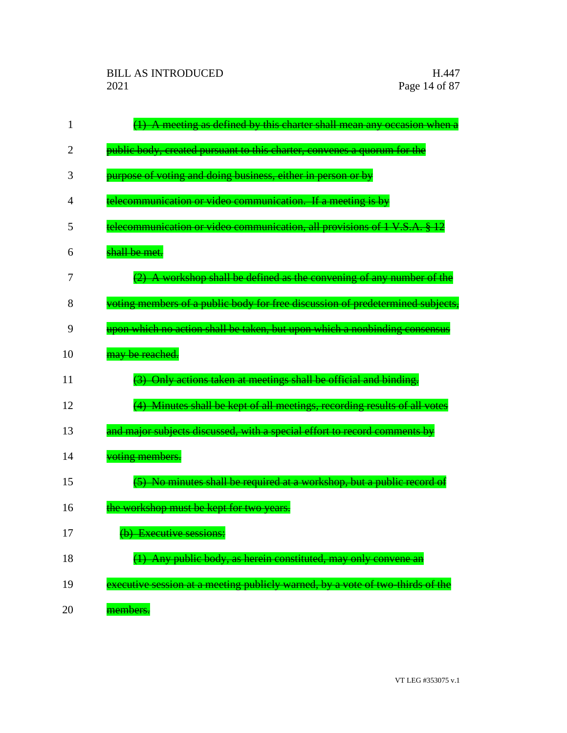| 1              | (1) A meeting as defined by this charter shall mean any occasion when a        |
|----------------|--------------------------------------------------------------------------------|
| 2              | public body, created pursuant to this charter, convenes a quorum for the       |
| 3              | purpose of voting and doing business, either in person or by                   |
| $\overline{4}$ | telecommunication or video communication. If a meeting is by                   |
| 5              | telecommunication or video communication, all provisions of 1 V.S.A. § 12      |
| 6              | shall be met.                                                                  |
| 7              | (2) A workshop shall be defined as the convening of any number of the          |
| 8              | voting members of a public body for free discussion of predetermined subjects, |
| 9              | upon which no action shall be taken, but upon which a nonbinding consensus     |
| 10             | may be reached.                                                                |
| 11             | (3) Only actions taken at meetings shall be official and binding.              |
| 12             | (4) Minutes shall be kept of all meetings, recording results of all votes      |
| 13             | and major subjects discussed, with a special effort to record comments by      |
| 14             | voting members.                                                                |
| 15             | (5) No minutes shall be required at a workshop, but a public record of         |
| 16             | the workshop must be kept for two years.                                       |
| 17             | (b) Executive sessions:                                                        |
| 18             | (1) Any public body, as herein constituted, may only convene an                |
| 19             | executive session at a meeting publicly warned, by a vote of two thirds of the |
| 20             | members.                                                                       |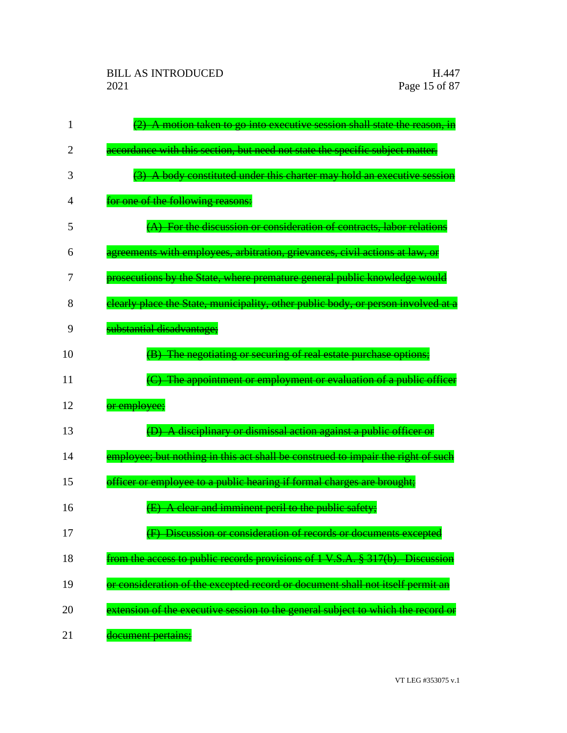| 1  | (2) A motion taken to go into executive session shall state the reason, in        |
|----|-----------------------------------------------------------------------------------|
| 2  | accordance with this section, but need not state the specific subject matter.     |
| 3  | (3) A body constituted under this charter may hold an executive session           |
| 4  | for one of the following reasons:                                                 |
| 5  | (A) For the discussion or consideration of contracts, labor relations             |
| 6  | agreements with employees, arbitration, grievances, civil actions at law, or      |
| 7  | prosecutions by the State, where premature general public knowledge would         |
| 8  | elearly place the State, municipality, other public body, or person involved at a |
| 9  | substantial disadvantage;                                                         |
| 10 | (B) The negotiating or securing of real estate purchase options;                  |
| 11 | The appointment or employment or evaluation of a public officer                   |
| 12 | or employee;                                                                      |
| 13 | (D) A disciplinary or dismissal action against a public officer or                |
| 14 | employee; but nothing in this act shall be construed to impair the right of such  |
| 15 | officer or employee to a public hearing if formal charges are brought;            |
| 16 | (E) A clear and imminent peril to the public safety;                              |
| 17 | (F) Discussion or consideration of records or documents excepted                  |
| 18 | from the access to public records provisions of 1 V.S.A. § 317(b). Discussion     |
| 19 | or consideration of the excepted record or document shall not itself permit an    |
| 20 | extension of the executive session to the general subject to which the record or  |
| 21 | document pertains;                                                                |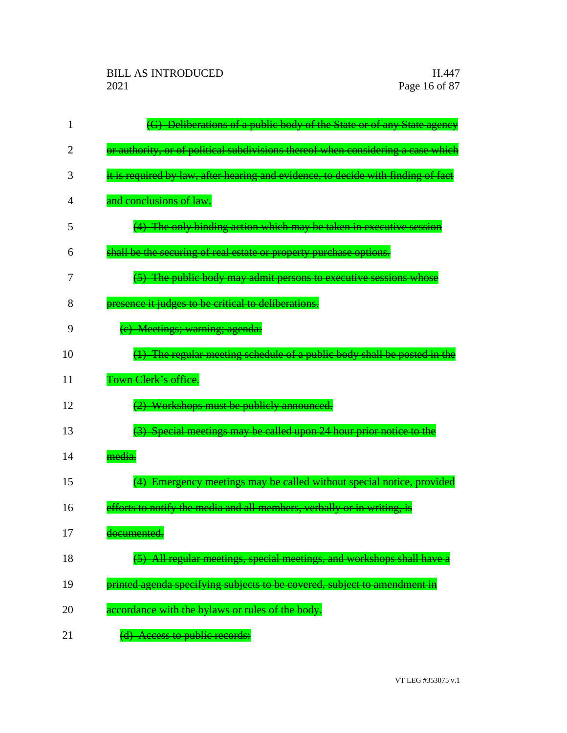| 1  | (G) Deliberations of a public body of the State or of any State agency            |
|----|-----------------------------------------------------------------------------------|
| 2  | or authority, or of political subdivisions thereof when considering a case which  |
| 3  | it is required by law, after hearing and evidence, to decide with finding of fact |
| 4  | and conclusions of law.                                                           |
| 5  | (4) The only binding action which may be taken in executive session               |
| 6  | shall be the securing of real estate or property purchase options.                |
| 7  | (5) The public body may admit persons to executive sessions whose                 |
| 8  | presence it judges to be critical to deliberations.                               |
| 9  | (e) Meetings; warning; agenda:                                                    |
| 10 | (1) The regular meeting schedule of a public body shall be posted in the          |
| 11 | Town Clerk's office.                                                              |
| 12 | (2) Workshops must be publicly announced.                                         |
| 13 | (3) Special meetings may be called upon 24 hour prior notice to the               |
| 14 | media.                                                                            |
| 15 | (4) Emergency meetings may be called without special notice, provided             |
| 16 | efforts to notify the media and all members, verbally or in writing, is           |
| 17 | the control of the control of the<br><del>documented.</del>                       |
| 18 | (5) All regular meetings, special meetings, and workshops shall have a            |
| 19 | printed agenda specifying subjects to be covered, subject to amendment in         |
| 20 | accordance with the bylaws or rules of the body.                                  |
| 21 | Access to public records:                                                         |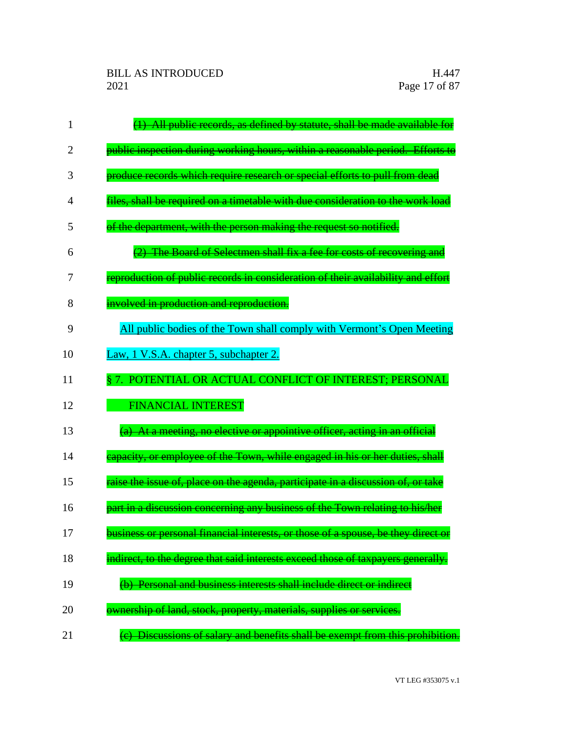| 1  | (1) All public records, as defined by statute, shall be made available for        |
|----|-----------------------------------------------------------------------------------|
| 2  | public inspection during working hours, within a reasonable period. Efforts to    |
| 3  | produce records which require research or special efforts to pull from dead       |
| 4  | files, shall be required on a timetable with due consideration to the work load   |
| 5  | of the department, with the person making the request so notified.                |
| 6  | (2) The Board of Selectmen shall fix a fee for costs of recovering and            |
| 7  | reproduction of public records in consideration of their availability and effort  |
| 8  | involved in production and reproduction.                                          |
| 9  | All public bodies of the Town shall comply with Vermont's Open Meeting            |
| 10 | Law, 1 V.S.A. chapter 5, subchapter 2.                                            |
| 11 | § 7. POTENTIAL OR ACTUAL CONFLICT OF INTEREST; PERSONAL                           |
| 12 | <b>FINANCIAL INTEREST</b>                                                         |
| 13 | (a) At a meeting, no elective or appointive officer, acting in an official        |
| 14 | eapacity, or employee of the Town, while engaged in his or her duties, shall      |
| 15 | raise the issue of, place on the agenda, participate in a discussion of, or take  |
| 16 | part in a discussion concerning any business of the Town relating to his/her      |
| 17 | business or personal financial interests, or those of a spouse, be they direct or |
| 18 | indirect, to the degree that said interests exceed those of taxpayers generally.  |
| 19 | (b) Personal and business interests shall include direct or indirect              |
| 20 | ownership of land, stock, property, materials, supplies or services.              |
| 21 | (c) Discussions of salary and benefits shall be exempt from this prohibition.     |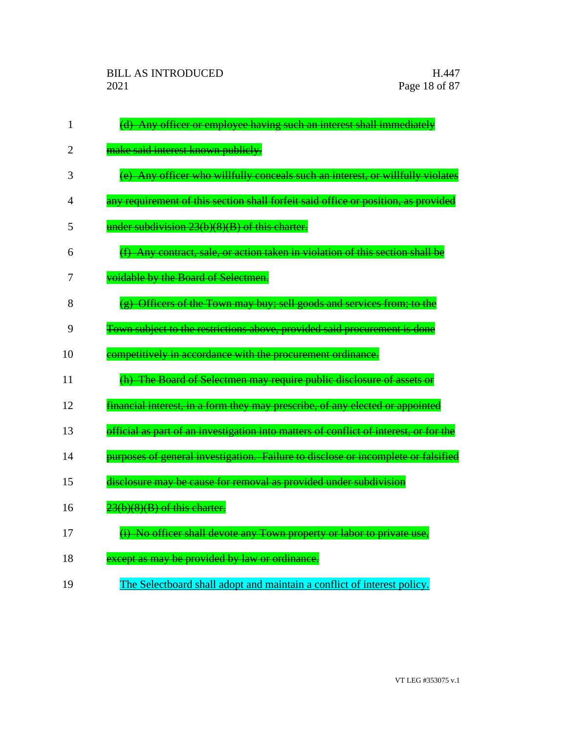| $\mathbf{1}$   | (d) Any officer or employee having such an interest shall immediately                 |
|----------------|---------------------------------------------------------------------------------------|
| $\overline{2}$ | make said interest known publicly.                                                    |
| 3              | (e) Any officer who willfully conceals such an interest, or willfully violates        |
| 4              | any requirement of this section shall forfeit said office or position, as provided    |
| 5              | under subdivision 23(b)(8)(B) of this charter.                                        |
| 6              | (f) Any contract, sale, or action taken in violation of this section shall be         |
| 7              | voidable by the Board of Selectmen.                                                   |
| 8              | (g) Officers of the Town may buy; sell goods and services from; to the                |
| 9              | Town subject to the restrictions above, provided said procurement is done             |
| 10             | competitively in accordance with the procurement ordinance.                           |
| 11             | (h) The Board of Selectmen may require public disclosure of assets or                 |
| 12             | financial interest, in a form they may prescribe, of any elected or appointed         |
| 13             | official as part of an investigation into matters of conflict of interest, or for the |
| 14             | purposes of general investigation. Failure to disclose or incomplete or falsified     |
| 15             | disclosure may be cause for removal as provided under subdivision                     |
| 16             | $23(b)(8)(B)$ of this charter.                                                        |
| 17             | (i) No officer shall devote any Town property or labor to private use,                |
| 18             | except as may be provided by law or ordinance.                                        |
| 19             | The Selectboard shall adopt and maintain a conflict of interest policy.               |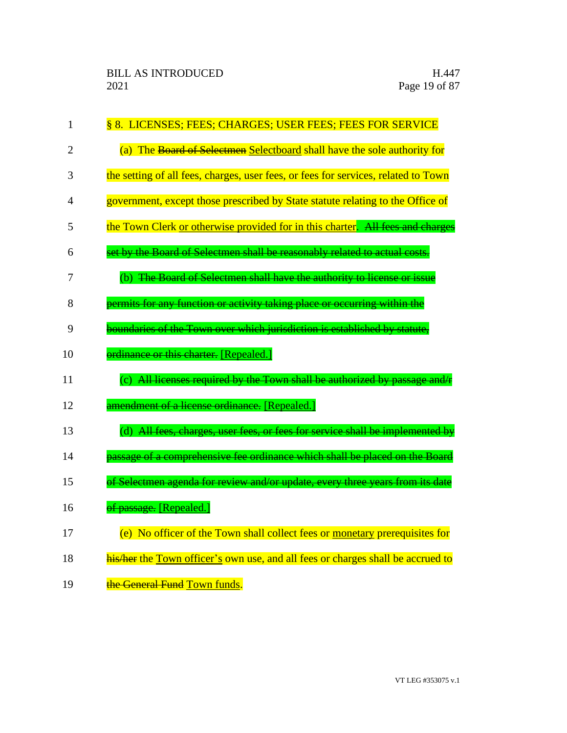| $\mathbf{1}$   | § 8. LICENSES; FEES; CHARGES; USER FEES; FEES FOR SERVICE                          |
|----------------|------------------------------------------------------------------------------------|
| $\overline{2}$ | (a) The Board of Selectmen Selectboard shall have the sole authority for           |
| 3              | the setting of all fees, charges, user fees, or fees for services, related to Town |
| 4              | government, except those prescribed by State statute relating to the Office of     |
| 5              | the Town Clerk or otherwise provided for in this charter. All fees and charges     |
| 6              | set by the Board of Selectmen shall be reasonably related to actual costs.         |
| 7              | (b) The Board of Selectmen shall have the authority to license or issue            |
| 8              | permits for any function or activity taking place or occurring within the          |
| 9              | boundaries of the Town over which jurisdiction is established by statute,          |
| 10             | ordinance or this charter. [Repealed.]                                             |
| 11             | (c) All licenses required by the Town shall be authorized by passage and/r         |
| 12             | amendment of a license ordinance. [Repealed.]                                      |
| 13             | (d) All fees, charges, user fees, or fees for service shall be implemented by      |
| 14             | passage of a comprehensive fee ordinance which shall be placed on the Board        |
| 15             | of Selectmen agenda for review and/or update, every three years from its date      |
| 16             | of passage. [Repealed.]                                                            |
| 17             | (e) No officer of the Town shall collect fees or monetary prerequisites for        |
| 18             | his/her the Town officer's own use, and all fees or charges shall be accrued to    |
| 19             | the General Fund Town funds.                                                       |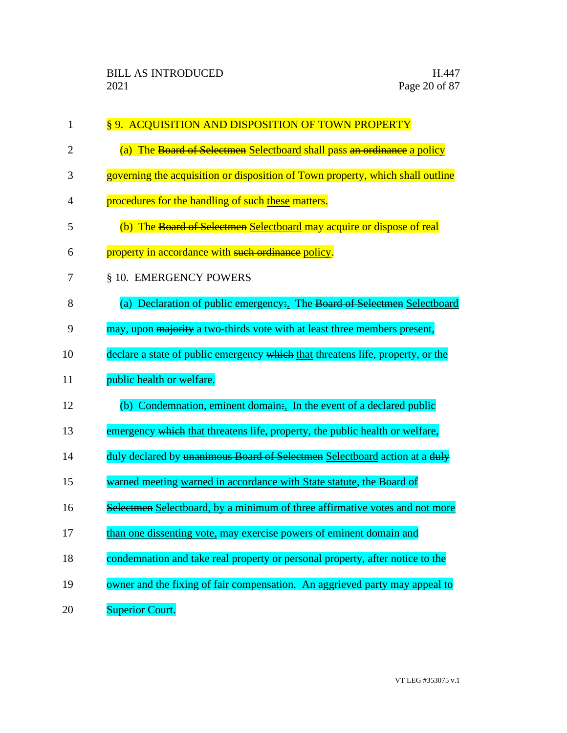| $\mathbf{1}$   | §9. ACQUISITION AND DISPOSITION OF TOWN PROPERTY                                |
|----------------|---------------------------------------------------------------------------------|
| $\overline{2}$ | (a) The Board of Selectmen Selectboard shall pass an ordinance a policy         |
| 3              | governing the acquisition or disposition of Town property, which shall outline  |
| 4              | procedures for the handling of such these matters.                              |
| 5              | (b) The Board of Selectmen Selectboard may acquire or dispose of real           |
| 6              | property in accordance with such ordinance policy.                              |
| 7              | § 10. EMERGENCY POWERS                                                          |
| 8              | (a) Declaration of public emergency. The Board of Selectmen Selectboard         |
| 9              | may, upon majority a two-thirds vote with at least three members present,       |
| 10             | declare a state of public emergency which that threatens life, property, or the |
| 11             | public health or welfare.                                                       |
| 12             | (b) Condemnation, eminent domain: In the event of a declared public             |
| 13             | emergency which that threatens life, property, the public health or welfare,    |
| 14             | duly declared by unanimous Board of Selectmen Selectboard action at a duly      |
| 15             | warned meeting warned in accordance with State statute, the Board of            |
| 16             | Selectmen Selectboard, by a minimum of three affirmative votes and not more     |
| 17             | than one dissenting vote, may exercise powers of eminent domain and             |
| 18             | condemnation and take real property or personal property, after notice to the   |
| 19             | owner and the fixing of fair compensation. An aggrieved party may appeal to     |
| 20             | <b>Superior Court.</b>                                                          |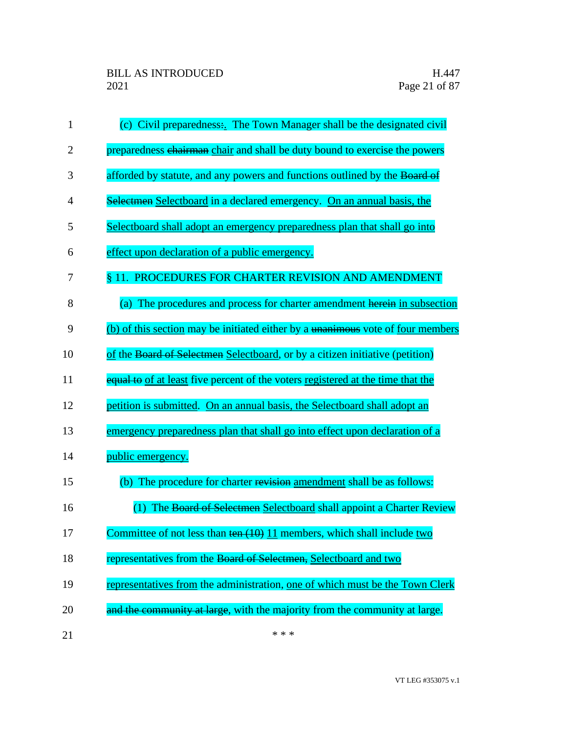| 1  | (c) Civil preparedness: The Town Manager shall be the designated civil            |
|----|-----------------------------------------------------------------------------------|
| 2  | preparedness chairman chair and shall be duty bound to exercise the powers        |
| 3  | afforded by statute, and any powers and functions outlined by the Board of        |
| 4  | Selectmen Selectboard in a declared emergency. On an annual basis, the            |
| 5  | Selectboard shall adopt an emergency preparedness plan that shall go into         |
| 6  | effect upon declaration of a public emergency.                                    |
| 7  | § 11. PROCEDURES FOR CHARTER REVISION AND AMENDMENT                               |
| 8  | (a) The procedures and process for charter amendment herein in subsection         |
| 9  | (b) of this section may be initiated either by a unanimous vote of four members   |
| 10 | of the Board of Selectmen Selectboard, or by a citizen initiative (petition)      |
| 11 | equal to of at least five percent of the voters registered at the time that the   |
| 12 | petition is submitted. On an annual basis, the Selectboard shall adopt an         |
| 13 | emergency preparedness plan that shall go into effect upon declaration of a       |
| 14 | public emergency.                                                                 |
| 15 | (b) The procedure for charter revision amendment shall be as follows:             |
| 16 | (1) The Board of Selectmen Selectboard shall appoint a Charter Review             |
| 17 | Committee of not less than $\frac{\tan(10)}{11}$ members, which shall include two |
| 18 | representatives from the Board of Selectmen, Selectboard and two                  |
| 19 | representatives from the administration, one of which must be the Town Clerk      |
| 20 | and the community at large, with the majority from the community at large.        |
| 21 | * * *                                                                             |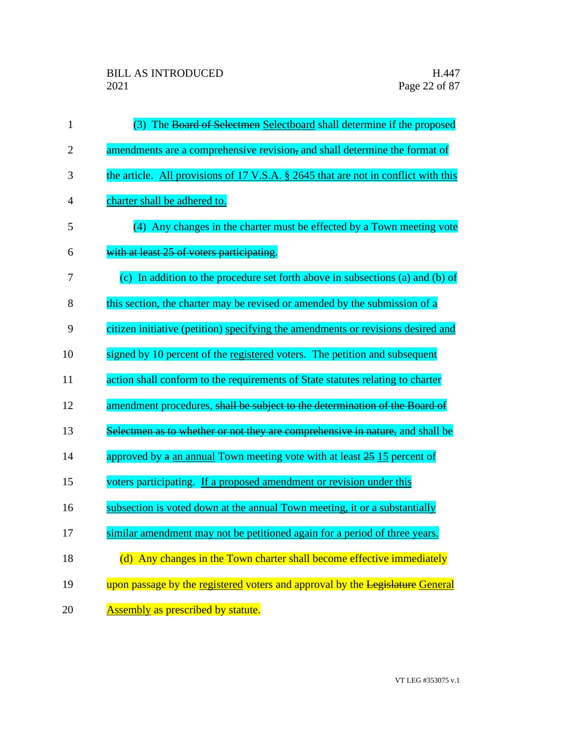| $\mathbf{1}$   | (3) The Board of Selectmen Selectboard shall determine if the proposed             |
|----------------|------------------------------------------------------------------------------------|
| $\overline{2}$ | amendments are a comprehensive revision, and shall determine the format of         |
| 3              | the article. All provisions of 17 V.S.A. § 2645 that are not in conflict with this |
| 4              | charter shall be adhered to.                                                       |
| 5              | (4) Any changes in the charter must be effected by a Town meeting vote             |
| 6              | with at least 25 of voters participating.                                          |
| 7              | (c) In addition to the procedure set forth above in subsections (a) and (b) of     |
| 8              | this section, the charter may be revised or amended by the submission of a         |
| 9              | citizen initiative (petition) specifying the amendments or revisions desired and   |
| 10             | signed by 10 percent of the registered voters. The petition and subsequent         |
| 11             | action shall conform to the requirements of State statutes relating to charter     |
| 12             | amendment procedures, shall be subject to the determination of the Board of        |
| 13             | Selectmen as to whether or not they are comprehensive in nature, and shall be      |
| 14             | approved by a an annual Town meeting vote with at least 25 15 percent of           |
| 15             | voters participating. If a proposed amendment or revision under this               |
| 16             | subsection is voted down at the annual Town meeting, it or a substantially         |
| 17             | similar amendment may not be petitioned again for a period of three years.         |
| 18             | (d) Any changes in the Town charter shall become effective immediately             |
| 19             | upon passage by the registered voters and approval by the Legislature General      |
| 20             | Assembly as prescribed by statute.                                                 |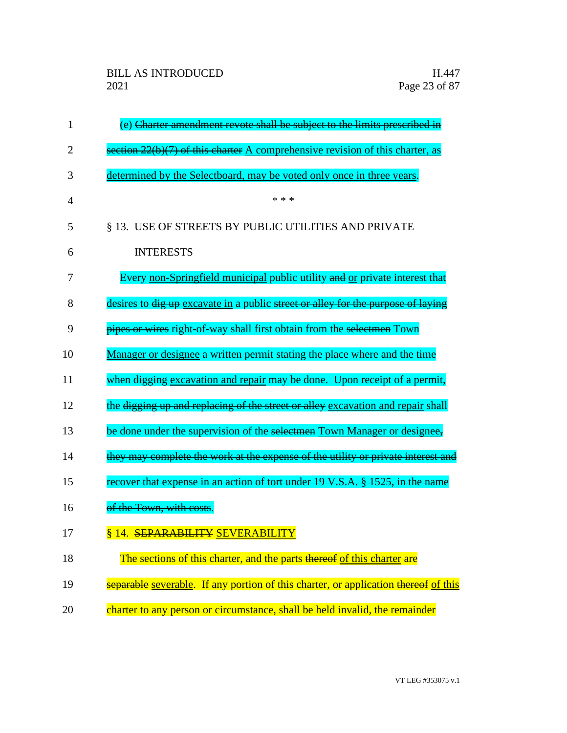| $\mathbf{1}$ | (e) Charter amendment revote shall be subject to the limits prescribed in           |
|--------------|-------------------------------------------------------------------------------------|
| 2            | section $22(b)(7)$ of this charter A comprehensive revision of this charter, as     |
| 3            | determined by the Selectboard, may be voted only once in three years.               |
| 4            | * * *                                                                               |
| 5            | § 13. USE OF STREETS BY PUBLIC UTILITIES AND PRIVATE                                |
| 6            | <b>INTERESTS</b>                                                                    |
| 7            | Every non-Springfield municipal public utility and or private interest that         |
| 8            | desires to dig up excavate in a public street or alley for the purpose of laying    |
| 9            | pipes or wires right-of-way shall first obtain from the selectmen Town              |
| 10           | Manager or designee a written permit stating the place where and the time           |
| 11           | when digging excavation and repair may be done. Upon receipt of a permit,           |
| 12           | the digging up and replacing of the street or alley excavation and repair shall     |
| 13           | be done under the supervision of the selectmen Town Manager or designee,            |
| 14           | they may complete the work at the expense of the utility or private interest and    |
| 15           | recover that expense in an action of tort under 19 V.S.A. § 1525, in the name       |
| 16           | of the Town, with costs.                                                            |
| 17           | §14. SEPARABILITY SEVERABILITY                                                      |
| 18           | The sections of this charter, and the parts thereof of this charter are             |
| 19           | separable severable. If any portion of this charter, or application thereof of this |
| 20           | charter to any person or circumstance, shall be held invalid, the remainder         |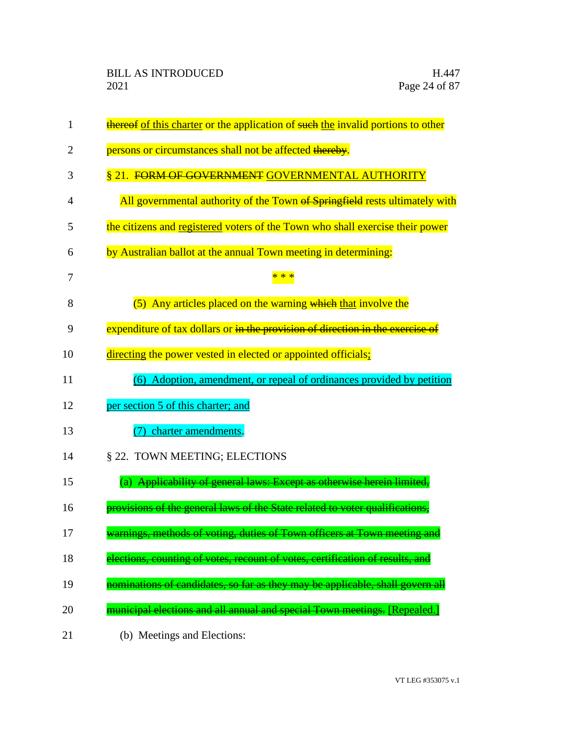| 1  | thereof of this charter or the application of such the invalid portions to other   |
|----|------------------------------------------------------------------------------------|
| 2  | persons or circumstances shall not be affected thereby.                            |
| 3  | § 21. FORM OF GOVERNMENT GOVERNMENTAL AUTHORITY                                    |
| 4  | All governmental authority of the Town of Springfield rests ultimately with        |
| 5  | the citizens and registered voters of the Town who shall exercise their power      |
| 6  | by Australian ballot at the annual Town meeting in determining:                    |
| 7  |                                                                                    |
| 8  | (5) Any articles placed on the warning which that involve the                      |
| 9  | expenditure of tax dollars or in the provision of direction in the exercise of     |
| 10 | directing the power vested in elected or appointed officials;                      |
| 11 | (6) Adoption, amendment, or repeal of ordinances provided by petition              |
| 12 | per section 5 of this charter; and                                                 |
| 13 | charter amendments.                                                                |
| 14 | § 22. TOWN MEETING; ELECTIONS                                                      |
| 15 | (a) Applicability of general laws: Except as otherwise herein limited,             |
| 16 | provisions of the general laws of the State related to voter qualifications,       |
| 17 | warnings, methods of voting, duties of Town officers at Town meeting               |
| 18 | <u>ections, counting of votes, recount of votes, certification of results, and</u> |
| 19 | ominations of candidates, so far as they may be applicable, shall govern all       |
| 20 | municipal elections and all annual and special Town meetings. [Repealed.]          |
| 21 | (b) Meetings and Elections:                                                        |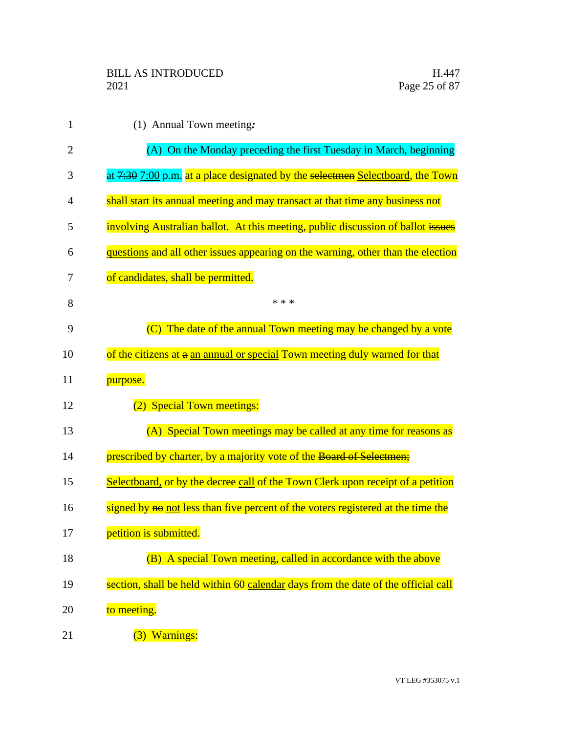| $\mathbf{1}$   | $(1)$ Annual Town meeting:                                                        |
|----------------|-----------------------------------------------------------------------------------|
| $\overline{2}$ | (A) On the Monday preceding the first Tuesday in March, beginning                 |
| 3              | at 7:30 7:00 p.m. at a place designated by the selectmen Selectboard, the Town    |
| 4              | shall start its annual meeting and may transact at that time any business not     |
| 5              | involving Australian ballot. At this meeting, public discussion of ballot issues  |
| 6              | questions and all other issues appearing on the warning, other than the election  |
| 7              | of candidates, shall be permitted.                                                |
| 8              | * * *                                                                             |
| 9              | (C) The date of the annual Town meeting may be changed by a vote                  |
| 10             | of the citizens at a an annual or special Town meeting duly warned for that       |
| 11             | purpose.                                                                          |
| 12             | (2) Special Town meetings:                                                        |
| 13             | (A) Special Town meetings may be called at any time for reasons as                |
| 14             | prescribed by charter, by a majority vote of the Board of Selectmen;              |
| 15             | Selectboard, or by the decree call of the Town Clerk upon receipt of a petition   |
| 16             | signed by not less than five percent of the voters registered at the time the     |
| 17             | petition is submitted.                                                            |
| 18             | (B) A special Town meeting, called in accordance with the above                   |
| 19             | section, shall be held within 60 calendar days from the date of the official call |
| 20             | to meeting.                                                                       |
| 21             | (3) Warnings:                                                                     |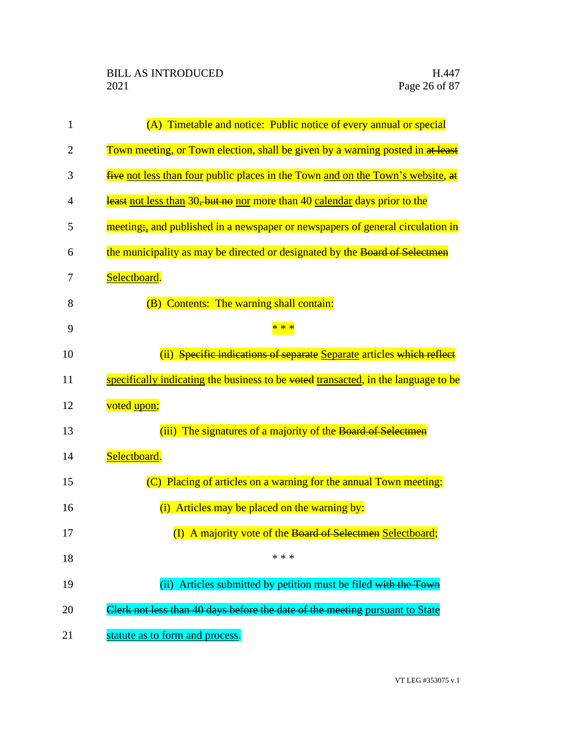| 1              | (A) Timetable and notice: Public notice of every annual or special                 |
|----------------|------------------------------------------------------------------------------------|
| $\overline{2}$ | Town meeting, or Town election, shall be given by a warning posted in at least     |
| 3              | five not less than four public places in the Town and on the Town's website, at    |
| 4              | least not less than 30, but no nor more than 40 calendar days prior to the         |
| 5              | meeting, and published in a newspaper or newspapers of general circulation in      |
| 6              | the municipality as may be directed or designated by the Board of Selectmen        |
| 7              | Selectboard.                                                                       |
| 8              | (B) Contents: The warning shall contain:                                           |
| 9              |                                                                                    |
| 10             | (ii) Specific indications of separate Separate articles which reflect              |
| 11             | specifically indicating the business to be voted transacted, in the language to be |
| 12             | voted upon;                                                                        |
| 13             | (iii) The signatures of a majority of the Board of Selectmen                       |
| 14             | Selectboard.                                                                       |
| 15             | (C) Placing of articles on a warning for the annual Town meeting:                  |
| 16             | (i) Articles may be placed on the warning by:                                      |
| 17             | (I) A majority vote of the Board of Selectmen Selectboard;                         |
| 18             | * * *                                                                              |
| 19             | (ii) Articles submitted by petition must be filed with the Town                    |
| 20             | Clerk not less than 40 days before the date of the meeting pursuant to State       |
| 21             | statute as to form and process.                                                    |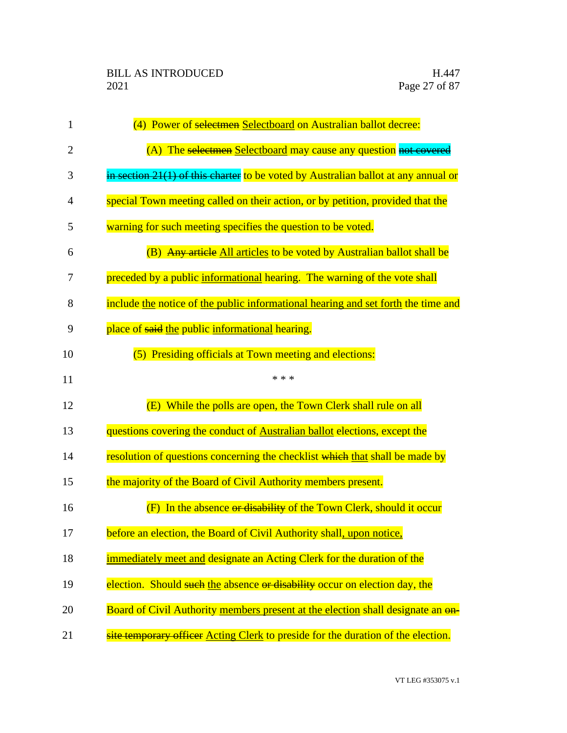| 1              | (4) Power of selectmen Selectboard on Australian ballot decree:                    |
|----------------|------------------------------------------------------------------------------------|
| $\overline{2}$ | (A) The selectmen Selectboard may cause any question not covered                   |
| 3              | in section 21(1) of this charter to be voted by Australian ballot at any annual or |
| 4              | special Town meeting called on their action, or by petition, provided that the     |
| 5              | warning for such meeting specifies the question to be voted.                       |
| 6              | (B) Any article All articles to be voted by Australian ballot shall be             |
| 7              | preceded by a public informational hearing. The warning of the vote shall          |
| 8              | include the notice of the public informational hearing and set forth the time and  |
| 9              | place of said the public informational hearing.                                    |
| 10             | (5) Presiding officials at Town meeting and elections:                             |
| 11             | * * *                                                                              |
| 12             | (E) While the polls are open, the Town Clerk shall rule on all                     |
| 13             | questions covering the conduct of Australian ballot elections, except the          |
| 14             | resolution of questions concerning the checklist which that shall be made by       |
| 15             | the majority of the Board of Civil Authority members present.                      |
| 16             | In the absence or disability of the Town Clerk, should it occur<br>(F)             |
| 17             | before an election, the Board of Civil Authority shall, upon notice,               |
| 18             | immediately meet and designate an Acting Clerk for the duration of the             |
| 19             | election. Should such the absence or disability occur on election day, the         |
| 20             | Board of Civil Authority members present at the election shall designate an on-    |
| 21             | site temporary officer Acting Clerk to preside for the duration of the election.   |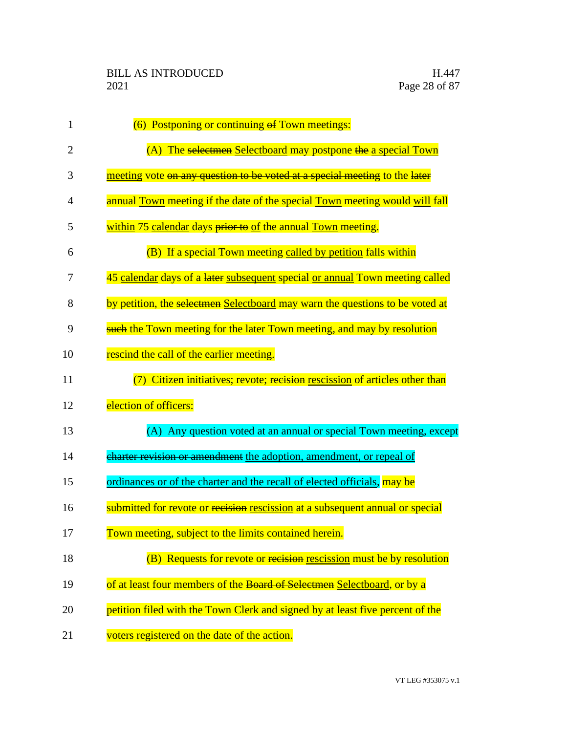| 1              | (6) Postponing or continuing of Town meetings:                                 |
|----------------|--------------------------------------------------------------------------------|
| $\overline{2}$ | (A) The selectmen Selectboard may postpone the a special Town                  |
| 3              | meeting vote on any question to be voted at a special meeting to the later     |
| 4              | annual Town meeting if the date of the special Town meeting would will fall    |
| 5              | within 75 calendar days prior to of the annual Town meeting.                   |
| 6              | (B) If a special Town meeting called by petition falls within                  |
| 7              | 45 calendar days of a later subsequent special or annual Town meeting called   |
| 8              | by petition, the selectmen Selectboard may warn the questions to be voted at   |
| 9              | <b>such the Town meeting for the later Town meeting, and may by resolution</b> |
| 10             | rescind the call of the earlier meeting.                                       |
| 11             | (7) Citizen initiatives; revote; recision rescission of articles other than    |
| 12             | election of officers:                                                          |
| 13             | (A) Any question voted at an annual or special Town meeting, except            |
| 14             | charter revision or amendment the adoption, amendment, or repeal of            |
| 15             | ordinances or of the charter and the recall of elected officials, may be       |
| 16             | submitted for revote or recision rescission at a subsequent annual or special  |
| 17             | Town meeting, subject to the limits contained herein.                          |
| 18             | (B) Requests for revote or recision rescission must be by resolution           |
| 19             | of at least four members of the Board of Selectmen Selectboard, or by a        |
| 20             | petition filed with the Town Clerk and signed by at least five percent of the  |
| 21             | voters registered on the date of the action.                                   |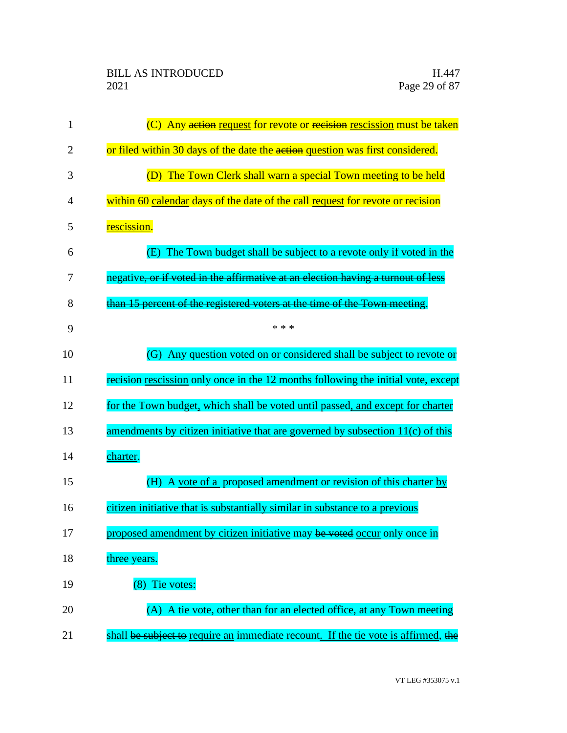| 1              | (C) Any action request for revote or recision rescission must be taken             |
|----------------|------------------------------------------------------------------------------------|
| $\overline{2}$ | or filed within 30 days of the date the action question was first considered.      |
| 3              | (D) The Town Clerk shall warn a special Town meeting to be held                    |
| 4              | within 60 calendar days of the date of the eall request for revote or recision     |
| 5              | rescission.                                                                        |
| 6              | The Town budget shall be subject to a revote only if voted in the<br>(E)           |
| 7              | negative, or if voted in the affirmative at an election having a turnout of less   |
| 8              | than 15 percent of the registered voters at the time of the Town meeting.          |
| 9              | * * *                                                                              |
| 10             | (G) Any question voted on or considered shall be subject to revote or              |
| 11             | recision rescission only once in the 12 months following the initial vote, except  |
| 12             | for the Town budget, which shall be voted until passed, and except for charter     |
| 13             | amendments by citizen initiative that are governed by subsection $11(c)$ of this   |
| 14             | charter.                                                                           |
| 15             | (H) A vote of a proposed amendment or revision of this charter by                  |
| 16             | citizen initiative that is substantially similar in substance to a previous        |
| 17             | proposed amendment by citizen initiative may be voted occur only once in           |
| 18             | three years.                                                                       |
| 19             | (8) Tie votes:                                                                     |
| 20             | (A) A tie vote, other than for an elected office, at any Town meeting              |
| 21             | shall be subject to require an immediate recount. If the tie vote is affirmed, the |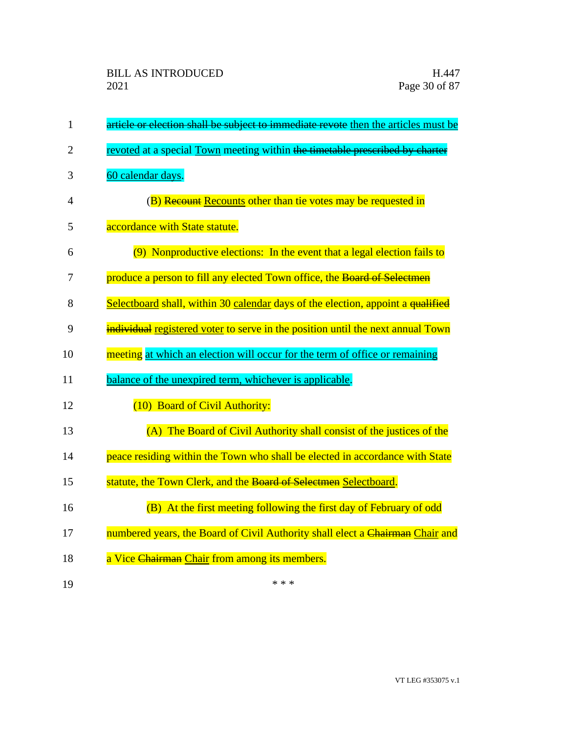| $\mathbf{1}$   | article or election shall be subject to immediate revote then the articles must be |
|----------------|------------------------------------------------------------------------------------|
| $\overline{2}$ | revoted at a special Town meeting within the timetable prescribed by charter       |
| 3              | 60 calendar days.                                                                  |
| 4              | (B) Recount Recounts other than tie votes may be requested in                      |
| 5              | accordance with State statute.                                                     |
| 6              | (9) Nonproductive elections: In the event that a legal election fails to           |
| 7              | produce a person to fill any elected Town office, the Board of Selectmen           |
| 8              | Selectboard shall, within 30 calendar days of the election, appoint a qualified    |
| 9              | individual registered voter to serve in the position until the next annual Town    |
| 10             | meeting at which an election will occur for the term of office or remaining        |
| 11             | balance of the unexpired term, whichever is applicable.                            |
| 12             | (10) Board of Civil Authority:                                                     |
| 13             | (A) The Board of Civil Authority shall consist of the justices of the              |
| 14             | peace residing within the Town who shall be elected in accordance with State       |
| 15             | statute, the Town Clerk, and the Board of Selectmen Selectboard.                   |
| 16             | (B) At the first meeting following the first day of February of odd                |
| 17             | numbered years, the Board of Civil Authority shall elect a Chairman Chair and      |
| 18             | a Vice Chairman Chair from among its members.                                      |
| 19             | * * *                                                                              |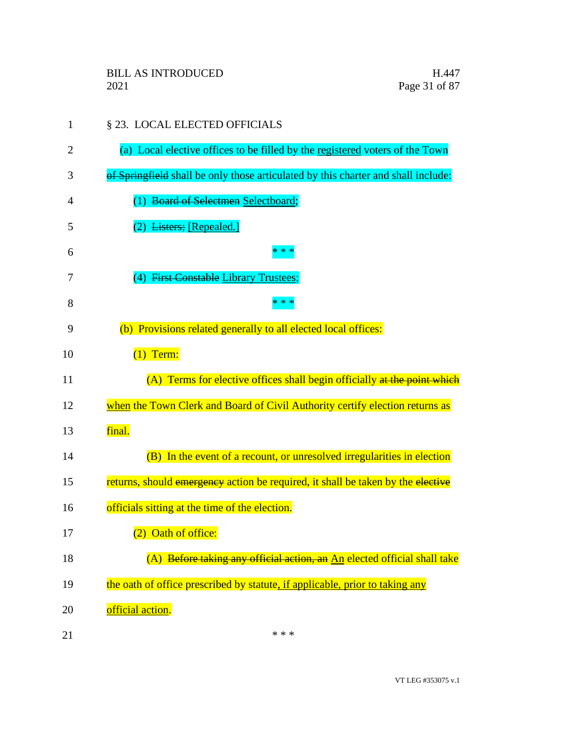| 1  | § 23. LOCAL ELECTED OFFICIALS                                                     |
|----|-----------------------------------------------------------------------------------|
| 2  | (a) Local elective offices to be filled by the registered voters of the Town      |
| 3  | of Springfield shall be only those articulated by this charter and shall include: |
| 4  | (1) Board of Selectmen Selectboard;                                               |
| 5  | Listers; [Repealed.]                                                              |
| 6  | $* *$                                                                             |
| 7  | (4) First Constable Library Trustees;                                             |
| 8  | $* *$                                                                             |
| 9  | (b) Provisions related generally to all elected local offices:                    |
| 10 | $(1)$ Term:                                                                       |
| 11 | (A) Terms for elective offices shall begin officially at the point which          |
| 12 | when the Town Clerk and Board of Civil Authority certify election returns as      |
| 13 | final.                                                                            |
| 14 | (B) In the event of a recount, or unresolved irregularities in election           |
| 15 | returns, should emergency action be required, it shall be taken by the elective   |
| 16 | officials sitting at the time of the election.                                    |
| 17 | (2) Oath of office:                                                               |
| 18 | (A) Before taking any official action, an An elected official shall take          |
| 19 | the oath of office prescribed by statute, if applicable, prior to taking any      |
| 20 | official action.                                                                  |
| 21 | * * *                                                                             |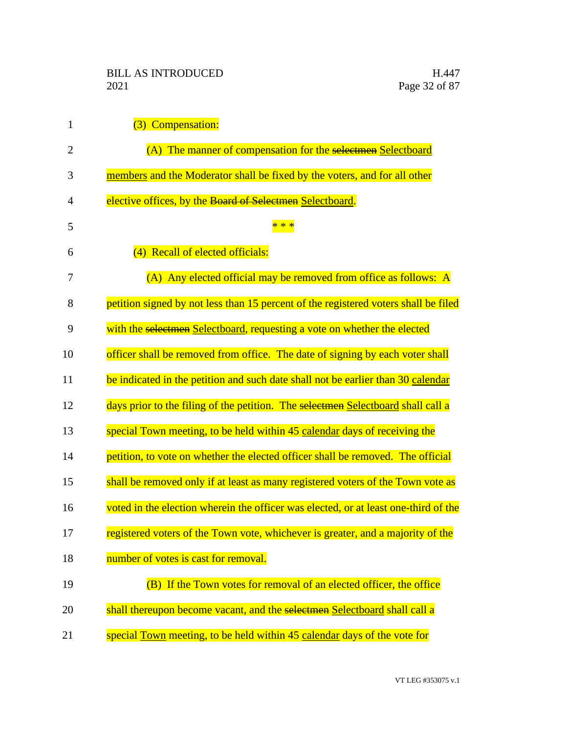| $\mathbf{1}$   | (3) Compensation:                                                                   |
|----------------|-------------------------------------------------------------------------------------|
| $\overline{2}$ | (A) The manner of compensation for the selectmen Selectboard                        |
| 3              | members and the Moderator shall be fixed by the voters, and for all other           |
| 4              | elective offices, by the Board of Selectmen Selectboard.                            |
| 5              |                                                                                     |
| 6              | (4) Recall of elected officials:                                                    |
| 7              | (A) Any elected official may be removed from office as follows: A                   |
| 8              | petition signed by not less than 15 percent of the registered voters shall be filed |
| 9              | with the selectmen Selectboard, requesting a vote on whether the elected            |
| 10             | officer shall be removed from office. The date of signing by each voter shall       |
| 11             | be indicated in the petition and such date shall not be earlier than 30 calendar    |
| 12             | days prior to the filing of the petition. The selectmen Selectboard shall call a    |
| 13             | special Town meeting, to be held within 45 calendar days of receiving the           |
| 14             | petition, to vote on whether the elected officer shall be removed. The official     |
| 15             | shall be removed only if at least as many registered voters of the Town vote as     |
| 16             | voted in the election wherein the officer was elected, or at least one-third of the |
| 17             | registered voters of the Town vote, whichever is greater, and a majority of the     |
| 18             | number of votes is cast for removal.                                                |
| 19             | (B) If the Town votes for removal of an elected officer, the office                 |
| 20             | shall thereupon become vacant, and the selectmen Selectboard shall call a           |
| 21             | special Town meeting, to be held within 45 calendar days of the vote for            |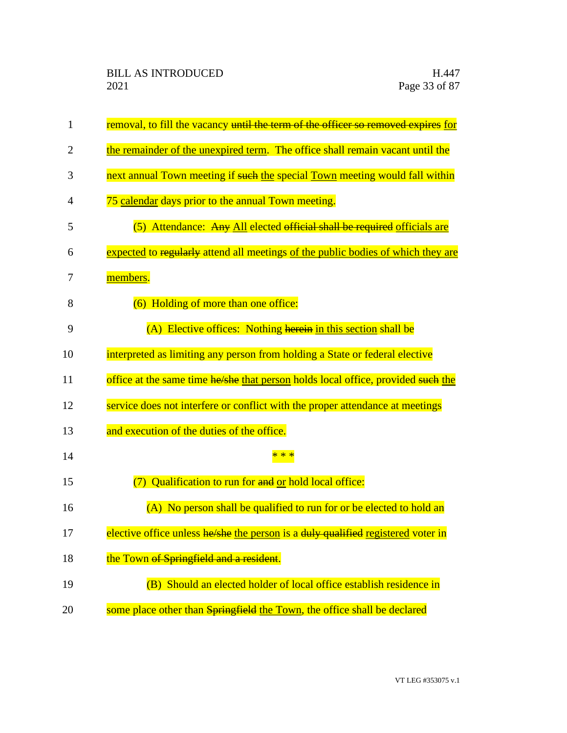| $\mathbf{1}$   | removal, to fill the vacancy until the term of the officer so removed expires for |
|----------------|-----------------------------------------------------------------------------------|
| $\overline{2}$ | the remainder of the unexpired term. The office shall remain vacant until the     |
| 3              | next annual Town meeting if such the special Town meeting would fall within       |
| 4              | 75 calendar days prior to the annual Town meeting.                                |
| 5              | (5) Attendance: Any All elected official shall be required officials are          |
| 6              | expected to regularly attend all meetings of the public bodies of which they are  |
| 7              | members.                                                                          |
| 8              | (6) Holding of more than one office:                                              |
| 9              | (A) Elective offices: Nothing herein in this section shall be                     |
| 10             | interpreted as limiting any person from holding a State or federal elective       |
| 11             | office at the same time he/she that person holds local office, provided such the  |
| 12             | service does not interfere or conflict with the proper attendance at meetings     |
| 13             | and execution of the duties of the office.                                        |
| 14             |                                                                                   |
| 15             | (7) Qualification to run for and or hold local office:                            |
| 16             | (A) No person shall be qualified to run for or be elected to hold an              |
| 17             | elective office unless he/she the person is a duly qualified registered voter in  |
| 18             | the Town of Springfield and a resident.                                           |
| 19             | (B) Should an elected holder of local office establish residence in               |
| 20             | some place other than Springfield the Town, the office shall be declared          |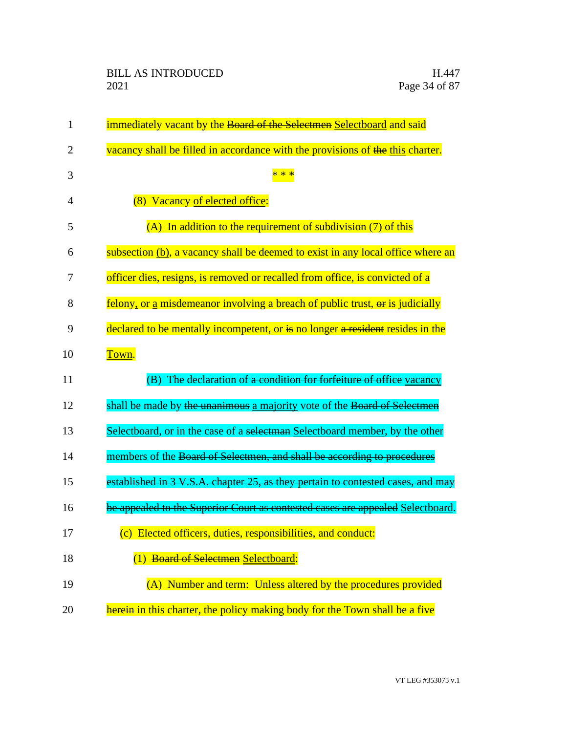| $\mathbf{1}$ | immediately vacant by the Board of the Selectmen Selectboard and said           |
|--------------|---------------------------------------------------------------------------------|
| 2            | vacancy shall be filled in accordance with the provisions of the this charter.  |
| 3            | * * *                                                                           |
| 4            | (8) Vacancy of elected office:                                                  |
| 5            | $(A)$ In addition to the requirement of subdivision $(7)$ of this               |
| 6            | subsection (b), a vacancy shall be deemed to exist in any local office where an |
| 7            | officer dies, resigns, is removed or recalled from office, is convicted of a    |
| 8            | felony, or a misdemeanor involving a breach of public trust, or is judicially   |
| 9            | declared to be mentally incompetent, or is no longer a resident resides in the  |
| 10           | Town.                                                                           |
| 11           | The declaration of a condition for forfeiture of office vacancy<br>(B)          |
| 12           | shall be made by the unanimous a majority vote of the Board of Selectmen        |
| 13           | Selectboard, or in the case of a selectman Selectboard member, by the other     |
| 14           | members of the Board of Selectmen, and shall be according to procedures         |
| 15           | established in 3 V.S.A. chapter 25, as they pertain to contested cases, and may |
| 16           | be appealed to the Superior Court as contested cases are appealed Selectboard.  |
| 17           | (c) Elected officers, duties, responsibilities, and conduct:                    |
| 18           | (1) Board of Selectmen Selectboard:                                             |
| 19           | (A) Number and term: Unless altered by the procedures provided                  |
| 20           | herein in this charter, the policy making body for the Town shall be a five     |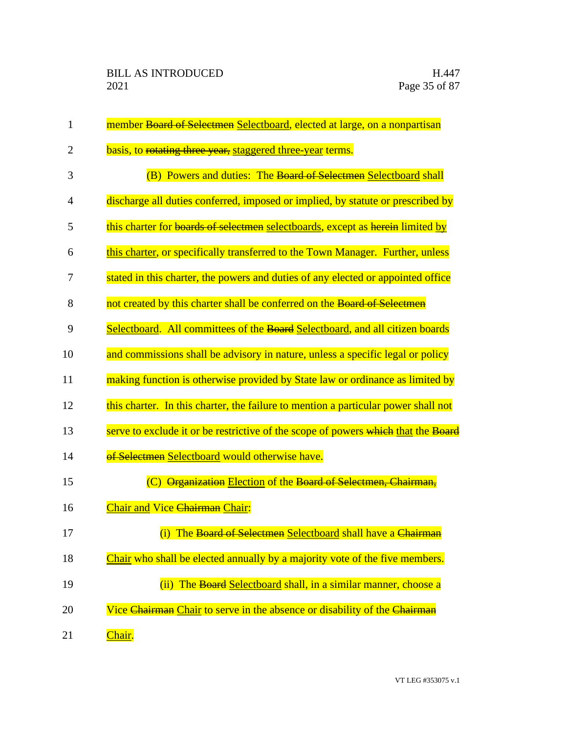| $\mathbf{1}$ | member Board of Selectmen Selectboard, elected at large, on a nonpartisan          |
|--------------|------------------------------------------------------------------------------------|
| 2            | basis, to rotating three year, staggered three-year terms.                         |
| 3            | (B) Powers and duties: The Board of Selectmen Selectboard shall                    |
| 4            | discharge all duties conferred, imposed or implied, by statute or prescribed by    |
| 5            | this charter for boards of selectmen selectboards, except as herein limited by     |
| 6            | this charter, or specifically transferred to the Town Manager. Further, unless     |
| 7            | stated in this charter, the powers and duties of any elected or appointed office   |
| 8            | not created by this charter shall be conferred on the Board of Selectmen           |
| 9            | Selectboard. All committees of the Board Selectboard, and all citizen boards       |
| 10           | and commissions shall be advisory in nature, unless a specific legal or policy     |
| 11           | making function is otherwise provided by State law or ordinance as limited by      |
| 12           | this charter. In this charter, the failure to mention a particular power shall not |
| 13           | serve to exclude it or be restrictive of the scope of powers which that the Board  |
| 14           | of Selectmen Selectboard would otherwise have.                                     |
| 15           | (C) Organization Election of the Board of Selectmen, Chairman,                     |
| 16           | Chair and Vice <del>Chairman</del> Chair:                                          |
| 17           | (i) The Board of Selectmen Selectboard shall have a Chairman                       |
| 18           | Chair who shall be elected annually by a majority vote of the five members.        |
| 19           | (ii) The Board Selectboard shall, in a similar manner, choose a                    |
| 20           | Vice Chairman Chair to serve in the absence or disability of the Chairman          |
| 21           | Chair.                                                                             |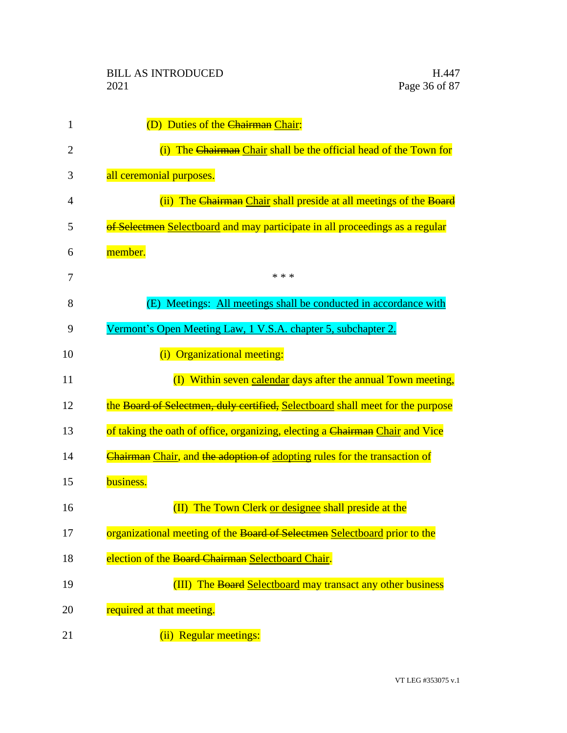| 1  | (D) Duties of the Chairman Chair:                                              |
|----|--------------------------------------------------------------------------------|
| 2  | The Chairman Chair shall be the official head of the Town for<br>(i)           |
| 3  | all ceremonial purposes.                                                       |
| 4  | (ii) The Chairman Chair shall preside at all meetings of the Board             |
| 5  | of Selectmen Selectboard and may participate in all proceedings as a regular   |
| 6  | member.                                                                        |
| 7  | * * *                                                                          |
| 8  | Meetings: All meetings shall be conducted in accordance with<br>(E)            |
| 9  | Vermont's Open Meeting Law, 1 V.S.A. chapter 5, subchapter 2.                  |
| 10 | (i) Organizational meeting:                                                    |
| 11 | (I) Within seven calendar days after the annual Town meeting,                  |
| 12 | the Board of Selectmen, duly certified, Selectboard shall meet for the purpose |
| 13 | of taking the oath of office, organizing, electing a Chairman Chair and Vice   |
| 14 | Chairman Chair, and the adoption of adopting rules for the transaction of      |
| 15 | business.                                                                      |
| 16 | (II) The Town Clerk or designee shall preside at the                           |
| 17 | organizational meeting of the Board of Selectmen Selectboard prior to the      |
| 18 | election of the Board Chairman Selectboard Chair.                              |
| 19 | (III) The Board Selectboard may transact any other business                    |
| 20 | required at that meeting.                                                      |
| 21 | (ii) Regular meetings:                                                         |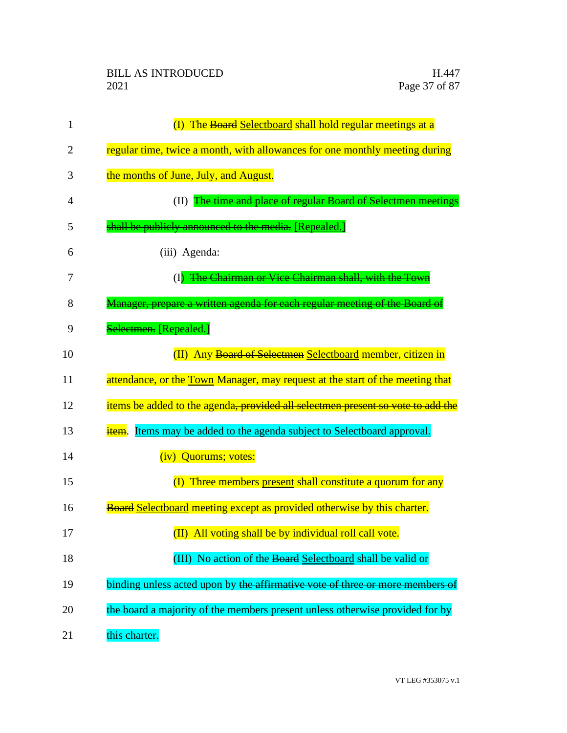| 1              | (I) The Board Selectboard shall hold regular meetings at a                      |
|----------------|---------------------------------------------------------------------------------|
| $\overline{2}$ | regular time, twice a month, with allowances for one monthly meeting during     |
| 3              | the months of June, July, and August.                                           |
| 4              | (II) The time and place of regular Board of Selectmen meetings                  |
| 5              | shall be publicly announced to the media. [Repealed.]                           |
| 6              | (iii) Agenda:                                                                   |
| 7              | (I) The Chairman or Vice Chairman shall, with the Town                          |
| 8              | Manager, prepare a written agenda for each regular meeting of the Board of      |
| 9              | Selectmen. [Repealed.]                                                          |
| 10             | (II) Any Board of Selectmen Selectboard member, citizen in                      |
| 11             | attendance, or the Town Manager, may request at the start of the meeting that   |
| 12             | items be added to the agenda, provided all selectmen present so vote to add the |
| 13             | item. Items may be added to the agenda subject to Selectboard approval.         |
| 14             | (iv) Quorums; votes:                                                            |
| 15             | (I) Three members present shall constitute a quorum for any                     |
| 16             | <b>Board Selectboard meeting except as provided otherwise by this charter.</b>  |
| 17             | (II) All voting shall be by individual roll call vote.                          |
| 18             | (III) No action of the Board Selectboard shall be valid or                      |
| 19             | binding unless acted upon by the affirmative vote of three or more members of   |
| 20             | the board a majority of the members present unless otherwise provided for by    |
| 21             | this charter.                                                                   |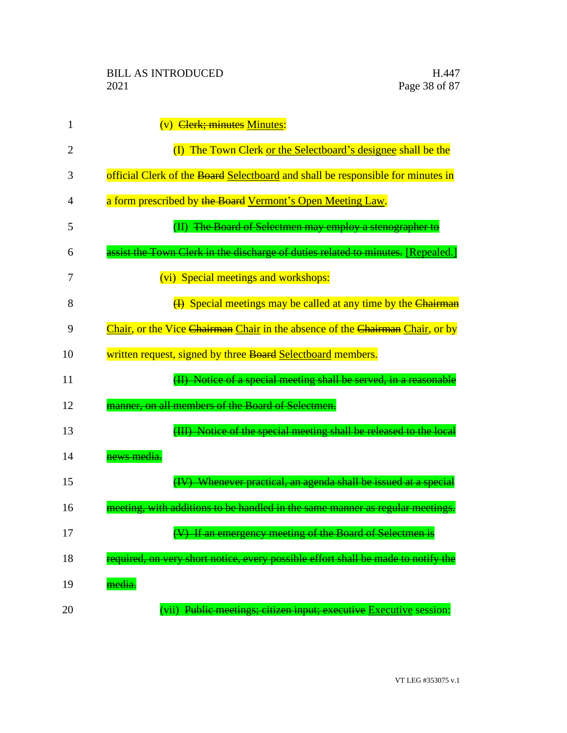| 1  | (v) Clerk; minutes Minutes:                                                       |
|----|-----------------------------------------------------------------------------------|
| 2  | (I) The Town Clerk or the Selectboard's designee shall be the                     |
| 3  | official Clerk of the Board Selectboard and shall be responsible for minutes in   |
| 4  | a form prescribed by the Board Vermont's Open Meeting Law.                        |
| 5  | (II) The Board of Selectmen may employ a stenographer to                          |
| 6  | assist the Town Clerk in the discharge of duties related to minutes. [Repealed.]  |
| 7  | (vi) Special meetings and workshops:                                              |
| 8  | (4) Special meetings may be called at any time by the Chairman                    |
| 9  | Chair, or the Vice Chairman Chair in the absence of the Chairman Chair, or by     |
| 10 | written request, signed by three Board Selectboard members.                       |
| 11 | (II) Notice of a special meeting shall be served, in a reasonable                 |
| 12 | manner, on all members of the Board of Selectmen.                                 |
| 13 | (III) Notice of the special meeting shall be released to the local                |
| 14 | news media.                                                                       |
| 15 | (IV) Whenever practical, an agenda shall be issued at a special                   |
| 16 | meeting, with additions to be handled in the same manner as regular meetings.     |
| 17 | (V) If an emergency meeting of the Board of Selectmen is                          |
| 18 | required, on very short notice, every possible effort shall be made to notify the |
| 19 | media.                                                                            |
| 20 | (vii) Public meetings; citizen input; executive Executive session:                |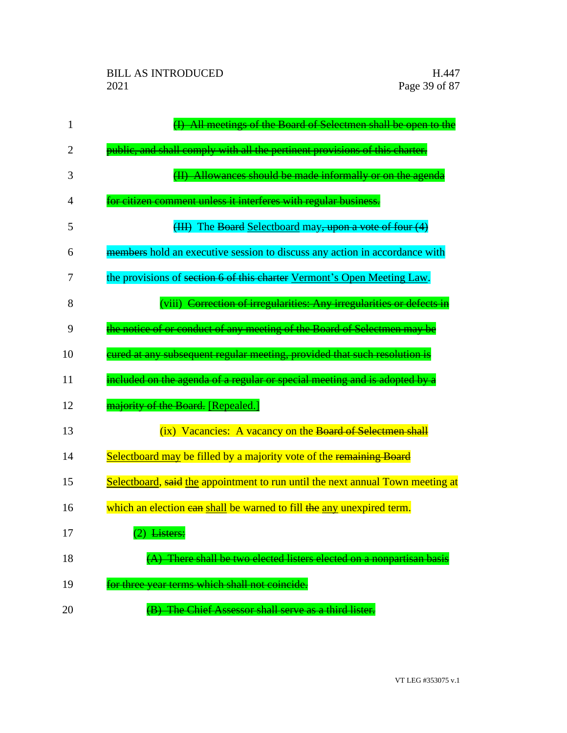| 1  | All meetings of the Board of Selectmen shall be open to the                    |
|----|--------------------------------------------------------------------------------|
| 2  | public, and shall comply with all the pertinent provisions of this charter.    |
| 3  | (II) Allowances should be made informally or on the agenda                     |
| 4  | for citizen comment unless it interferes with regular business.                |
| 5  | (III) The Board Selectboard may, upon a vote of four (4)                       |
| 6  | members hold an executive session to discuss any action in accordance with     |
| 7  | the provisions of section 6 of this charter Vermont's Open Meeting Law.        |
| 8  | (viii) Correction of irregularities: Any irregularities or defects in          |
| 9  | the notice of or conduct of any meeting of the Board of Selectmen may be       |
| 10 | cured at any subsequent regular meeting, provided that such resolution is      |
| 11 | included on the agenda of a regular or special meeting and is adopted by a     |
| 12 | majority of the Board. [Repealed.]                                             |
| 13 | (ix) Vacancies: A vacancy on the Board of Selectmen shall                      |
| 14 | Selectboard may be filled by a majority vote of the remaining Board            |
| 15 | Selectboard, said the appointment to run until the next annual Town meeting at |
| 16 | which an election ean shall be warned to fill the any unexpired term.          |
| 17 | (2) Listers:                                                                   |
| 18 | There shall be two elected listers elected on a nonpartisan basis              |
| 19 | for three year terms which shall not coincide.                                 |
| 20 | (B) The Chief Assessor shall serve as a third lister.                          |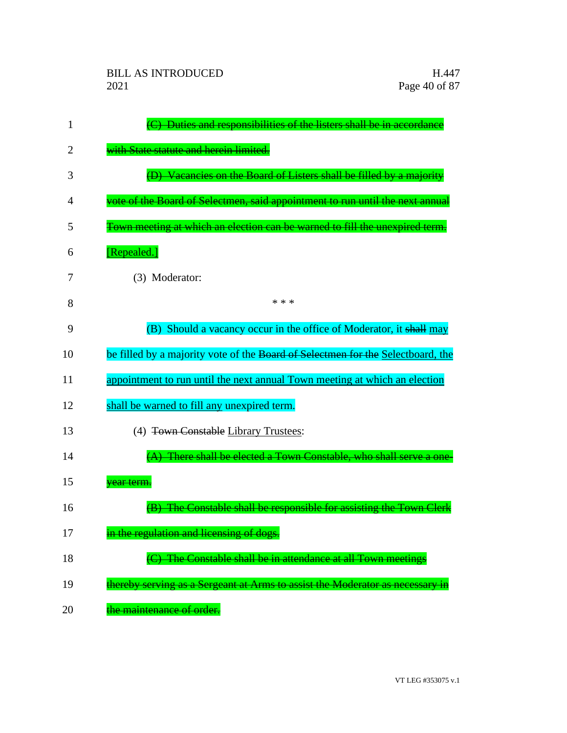| 1  | (C) Duties and responsibilities of the listers shall be in accordance           |
|----|---------------------------------------------------------------------------------|
| 2  | with State statute and herein limited.                                          |
| 3  | (D) Vacancies on the Board of Listers shall be filled by a majority             |
| 4  | vote of the Board of Selectmen, said appointment to run until the next annual   |
| 5  | Town meeting at which an election can be warned to fill the unexpired term.     |
| 6  | [Repealed.]                                                                     |
| 7  | (3) Moderator:                                                                  |
| 8  | * * *                                                                           |
| 9  | (B) Should a vacancy occur in the office of Moderator, it shall may             |
| 10 | be filled by a majority vote of the Board of Selectmen for the Selectboard, the |
| 11 | appointment to run until the next annual Town meeting at which an election      |
| 12 | shall be warned to fill any unexpired term.                                     |
| 13 | (4) Town Constable Library Trustees:                                            |
| 14 | (A) There shall be elected a Town Constable, who shall serve a one-             |
| 15 | vear term.                                                                      |
| 16 | The Constable shall be responsible for assisting the Town Clerk                 |
| 17 | in the regulation and licensing of dogs.                                        |
| 18 | (C) The Constable shall be in attendance at all Town meetings                   |
| 19 | thereby serving as a Sergeant at Arms to assist the Moderator as necessary in   |
| 20 | the maintenance of order.                                                       |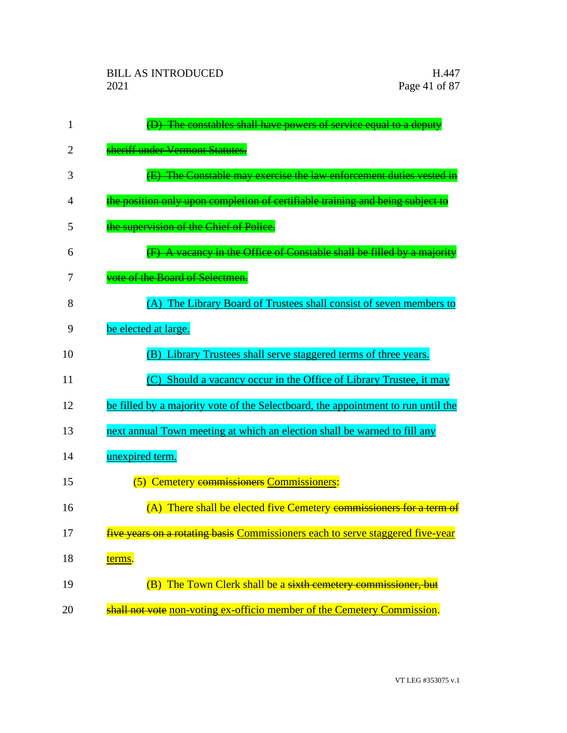| 1              | (D) The constables shall have powers of service equal to a deputy                 |
|----------------|-----------------------------------------------------------------------------------|
| 2              | sheriff under Vermont Statutes.                                                   |
| 3              | (E) The Constable may exercise the law enforcement duties vested in               |
| $\overline{4}$ | the position only upon completion of certifiable training and being subject to    |
| 5              | the supervision of the Chief of Police.                                           |
| 6              | (F) A vacancy in the Office of Constable shall be filled by a majority            |
| 7              | vote of the Board of Selectmen.                                                   |
| 8              | (A) The Library Board of Trustees shall consist of seven members to               |
| 9              | be elected at large.                                                              |
| 10             | (B) Library Trustees shall serve staggered terms of three years.                  |
| 11             | (C) Should a vacancy occur in the Office of Library Trustee, it may               |
| 12             | be filled by a majority vote of the Selectboard, the appointment to run until the |
| 13             | next annual Town meeting at which an election shall be warned to fill any         |
| 14             | unexpired term.                                                                   |
| 15             | (5) Cemetery commissioners Commissioners:                                         |
| 16             | (A) There shall be elected five Cemetery commissioners for a term of              |
| 17             | five years on a rotating basis Commissioners each to serve staggered five-year    |
| 18             | terms.                                                                            |
| 19             | (B) The Town Clerk shall be a sixth cemetery commissioner, but                    |
| 20             | shall not vote non-voting ex-officio member of the Cemetery Commission.           |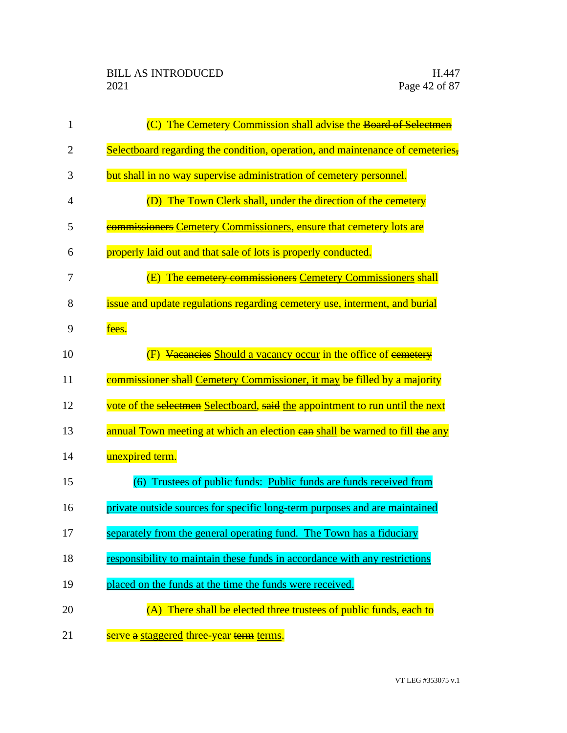| 1              | (C) The Cemetery Commission shall advise the Board of Selectmen                 |
|----------------|---------------------------------------------------------------------------------|
| $\overline{2}$ | Selectboard regarding the condition, operation, and maintenance of cemeteries,  |
| 3              | but shall in no way supervise administration of cemetery personnel.             |
| 4              | (D) The Town Clerk shall, under the direction of the eemetery                   |
| 5              | <b>commissioners Cemetery Commissioners, ensure that cemetery lots are</b>      |
| 6              | properly laid out and that sale of lots is properly conducted.                  |
| 7              | (E) The cemetery commissioners Cemetery Commissioners shall                     |
| 8              | issue and update regulations regarding cemetery use, interment, and burial      |
| 9              | fees.                                                                           |
| 10             | Vacancies Should a vacancy occur in the office of cemetery                      |
| 11             | <b>commissioner shall Cemetery Commissioner, it may be filled by a majority</b> |
| 12             | vote of the selectmen Selectboard, said the appointment to run until the next   |
| 13             | annual Town meeting at which an election ean shall be warned to fill the any    |
| 14             | unexpired term.                                                                 |
| 15             | (6) Trustees of public funds: Public funds are funds received from              |
| 16             | private outside sources for specific long-term purposes and are maintained      |
| 17             | separately from the general operating fund. The Town has a fiduciary            |
| 18             | responsibility to maintain these funds in accordance with any restrictions      |
| 19             | placed on the funds at the time the funds were received.                        |
| 20             | (A) There shall be elected three trustees of public funds, each to              |
| 21             | serve a staggered three-year term terms.                                        |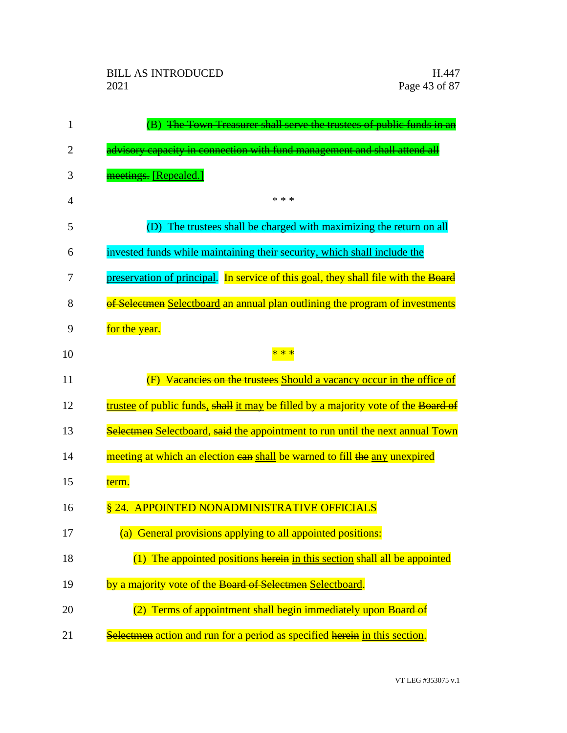| 1              | The Town Treasurer shall serve the trustees of public funds in an                  |
|----------------|------------------------------------------------------------------------------------|
| 2              | advisory capacity in connection with fund management and shall attend all          |
| 3              | meetings. [Repealed.]                                                              |
| $\overline{4}$ | * * *                                                                              |
| 5              | (D) The trustees shall be charged with maximizing the return on all                |
| 6              | invested funds while maintaining their security, which shall include the           |
| 7              | preservation of principal. In service of this goal, they shall file with the Board |
| 8              | of Selectmen Selectboard an annual plan outlining the program of investments       |
| 9              | for the year.                                                                      |
| 10             | * *                                                                                |
| 11             | Vacancies on the trustees Should a vacancy occur in the office of                  |
| 12             | trustee of public funds, shall it may be filled by a majority vote of the Board of |
| 13             | Selectmen Selectboard, said the appointment to run until the next annual Town      |
| 14             | meeting at which an election ean shall be warned to fill the any unexpired         |
| 15             | term.                                                                              |
| 16             | § 24. APPOINTED NONADMINISTRATIVE OFFICIALS                                        |
| 17             | (a) General provisions applying to all appointed positions:                        |
| 18             | (1) The appointed positions herein in this section shall all be appointed          |
| 19             | by a majority vote of the Board of Selectmen Selectboard.                          |
| 20             | Terms of appointment shall begin immediately upon Board of                         |
| 21             | Selectmen action and run for a period as specified herein in this section.         |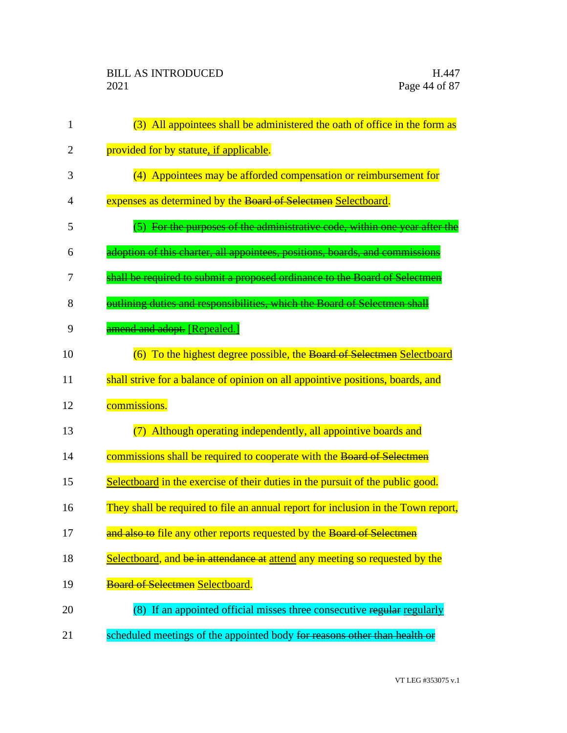| 1              | (3) All appointees shall be administered the oath of office in the form as        |
|----------------|-----------------------------------------------------------------------------------|
| $\overline{2}$ | provided for by statute, if applicable.                                           |
| 3              | (4) Appointees may be afforded compensation or reimbursement for                  |
| $\overline{4}$ | expenses as determined by the Board of Selectmen Selectboard.                     |
| 5              | (5) For the purposes of the administrative code, within one year after the        |
| 6              | adoption of this charter, all appointees, positions, boards, and commissions      |
| 7              | shall be required to submit a proposed ordinance to the Board of Selectmen        |
| 8              | outlining duties and responsibilities, which the Board of Selectmen shall         |
| 9              | amend and adopt. [Repealed.]                                                      |
| 10             | (6) To the highest degree possible, the Board of Selectmen Selectboard            |
| 11             | shall strive for a balance of opinion on all appointive positions, boards, and    |
| 12             | commissions.                                                                      |
| 13             | (7) Although operating independently, all appointive boards and                   |
| 14             | commissions shall be required to cooperate with the Board of Selectmen            |
| 15             | Selectboard in the exercise of their duties in the pursuit of the public good.    |
| 16             | They shall be required to file an annual report for inclusion in the Town report, |
| 17             | and also to file any other reports requested by the Board of Selectmen            |
| 18             | Selectboard, and be in attendance at attend any meeting so requested by the       |
| 19             | <b>Board of Selectmen Selectboard.</b>                                            |
| 20             | (8) If an appointed official misses three consecutive regular regularly           |
| 21             | scheduled meetings of the appointed body for reasons other than health or         |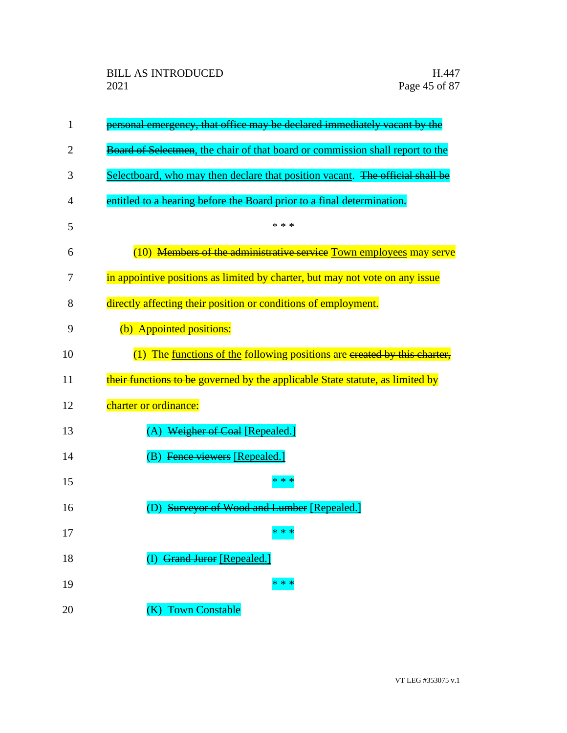| 1  | personal emergency, that office may be declared immediately vacant by the     |
|----|-------------------------------------------------------------------------------|
| 2  | Board of Selectmen, the chair of that board or commission shall report to the |
| 3  | Selectboard, who may then declare that position vacant. The official shall be |
| 4  | entitled to a hearing before the Board prior to a final determination.        |
| 5  | * * *                                                                         |
| 6  | (10) Members of the administrative service Town employees may serve           |
| 7  | in appointive positions as limited by charter, but may not vote on any issue  |
| 8  | directly affecting their position or conditions of employment.                |
| 9  | (b) Appointed positions:                                                      |
| 10 | $(1)$ The functions of the following positions are ereated by this charter,   |
| 11 | their functions to be governed by the applicable State statute, as limited by |
| 12 | charter or ordinance:                                                         |
| 13 | Weigher of Coal [Repealed.]                                                   |
| 14 | Fence viewers [Repealed.]<br>(B)                                              |
| 15 | * * *                                                                         |
| 16 | <b>Surveyor of Wood and Lumber [Repealed.]</b>                                |
| 17 | $* * *$                                                                       |
| 18 | <b>Grand Juror [Repealed.]</b>                                                |
| 19 | * * *                                                                         |
| 20 | (K) Town Constable                                                            |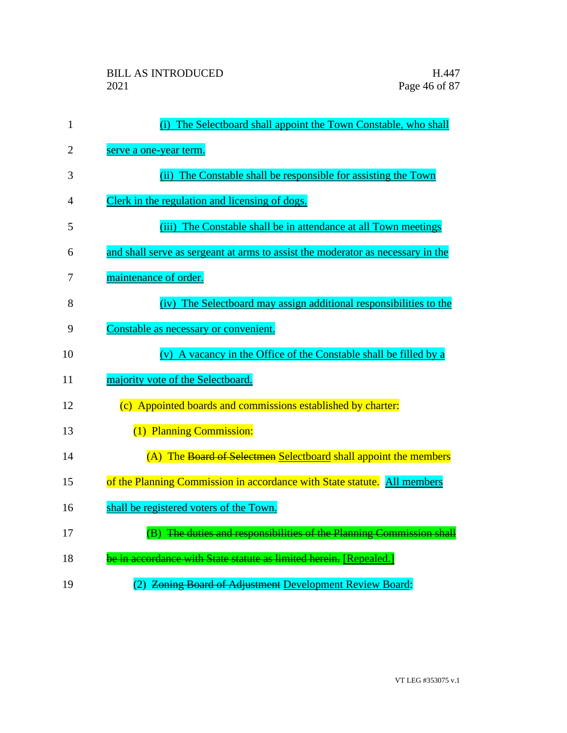| $\mathbf{1}$   | (i) The Selectboard shall appoint the Town Constable, who shall                 |
|----------------|---------------------------------------------------------------------------------|
| $\overline{2}$ | serve a one-year term.                                                          |
| 3              | (ii) The Constable shall be responsible for assisting the Town                  |
| 4              | Clerk in the regulation and licensing of dogs.                                  |
| 5              | (iii) The Constable shall be in attendance at all Town meetings                 |
| 6              | and shall serve as sergeant at arms to assist the moderator as necessary in the |
| 7              | maintenance of order.                                                           |
| 8              | (iv) The Selectboard may assign additional responsibilities to the              |
| 9              | Constable as necessary or convenient.                                           |
| 10             | (v) A vacancy in the Office of the Constable shall be filled by a               |
| 11             | majority vote of the Selectboard.                                               |
| 12             | (c) Appointed boards and commissions established by charter:                    |
| 13             | (1) Planning Commission:                                                        |
| 14             | (A) The Board of Selectmen Selectboard shall appoint the members                |
| 15             | of the Planning Commission in accordance with State statute. All members        |
| 16             | shall be registered voters of the Town.                                         |
| 17             | (B) The duties and responsibilities of the Planning Commission shall            |
| 18             | be in accordance with State statute as limited herein. [Repealed.]              |
| 19             | (2) Zoning Board of Adjustment Development Review Board:                        |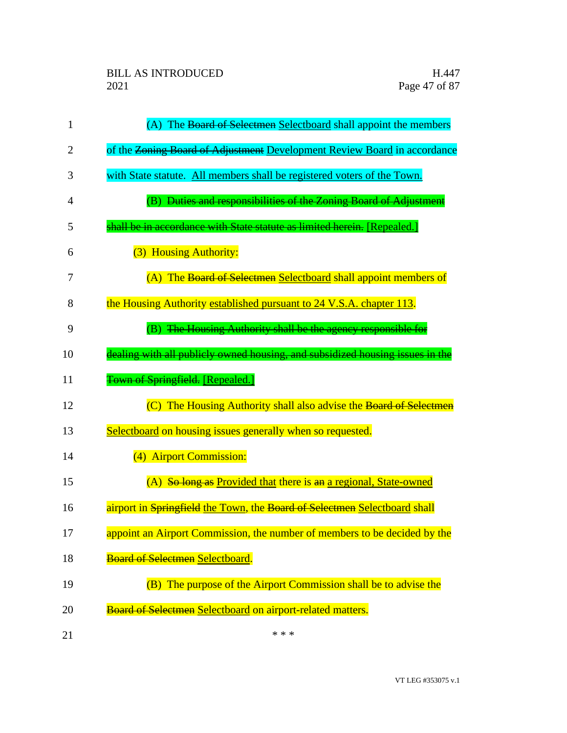| 1  | (A) The Board of Selectmen Selectboard shall appoint the members              |
|----|-------------------------------------------------------------------------------|
| 2  | of the Zoning Board of Adjustment Development Review Board in accordance      |
| 3  | with State statute. All members shall be registered voters of the Town.       |
| 4  | (B) Duties and responsibilities of the Zoning Board of Adjustment             |
| 5  | shall be in accordance with State statute as limited herein. [Repealed.]      |
| 6  | (3) Housing Authority:                                                        |
| 7  | (A) The Board of Selectmen Selectboard shall appoint members of               |
| 8  | the Housing Authority established pursuant to 24 V.S.A. chapter 113.          |
| 9  | (B) The Housing Authority shall be the agency responsible for                 |
| 10 | dealing with all publicly owned housing, and subsidized housing issues in the |
| 11 | Town of Springfield. [Repealed.]                                              |
| 12 | (C) The Housing Authority shall also advise the Board of Selectmen            |
| 13 | Selectboard on housing issues generally when so requested.                    |
| 14 | (4) Airport Commission:                                                       |
| 15 | (A) So long as Provided that there is an a regional, State-owned              |
| 16 | airport in Springfield the Town, the Board of Selectmen Selectboard shall     |
| 17 | appoint an Airport Commission, the number of members to be decided by the     |
| 18 | <b>Board of Selectmen Selectboard.</b>                                        |
| 19 | (B) The purpose of the Airport Commission shall be to advise the              |
| 20 | Board of Selectmen Selectboard on airport-related matters.                    |
| 21 | * * *                                                                         |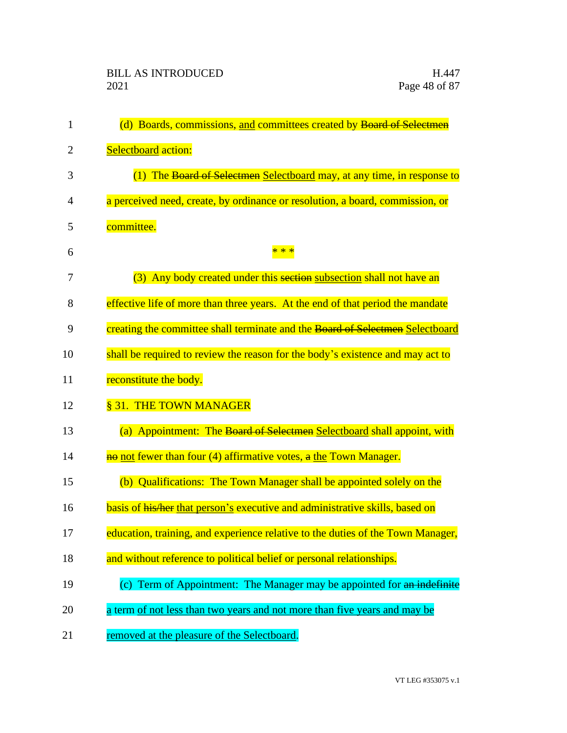| $\mathbf{1}$ | (d) Boards, commissions, and committees created by Board of Selectmen           |
|--------------|---------------------------------------------------------------------------------|
| 2            | Selectboard action:                                                             |
| 3            | (1) The Board of Selectmen Selectboard may, at any time, in response to         |
| 4            | a perceived need, create, by ordinance or resolution, a board, commission, or   |
| 5            | committee.                                                                      |
| 6            | * * *                                                                           |
| 7            | (3) Any body created under this section subsection shall not have an            |
| 8            | effective life of more than three years. At the end of that period the mandate  |
| 9            | creating the committee shall terminate and the Board of Selectmen Selectboard   |
| 10           | shall be required to review the reason for the body's existence and may act to  |
| 11           | reconstitute the body.                                                          |
| 12           | § 31. THE TOWN MANAGER                                                          |
| 13           | (a) Appointment: The Board of Selectmen Selectboard shall appoint, with         |
| 14           | no not fewer than four (4) affirmative votes, a the Town Manager.               |
| 15           | (b) Qualifications: The Town Manager shall be appointed solely on the           |
| 16           | basis of his/her that person's executive and administrative skills, based on    |
| 17           | education, training, and experience relative to the duties of the Town Manager, |
| 18           | and without reference to political belief or personal relationships.            |
| 19           | (c) Term of Appointment: The Manager may be appointed for an indefinite         |
| 20           | a term of not less than two years and not more than five years and may be       |
| 21           | removed at the pleasure of the Selectboard.                                     |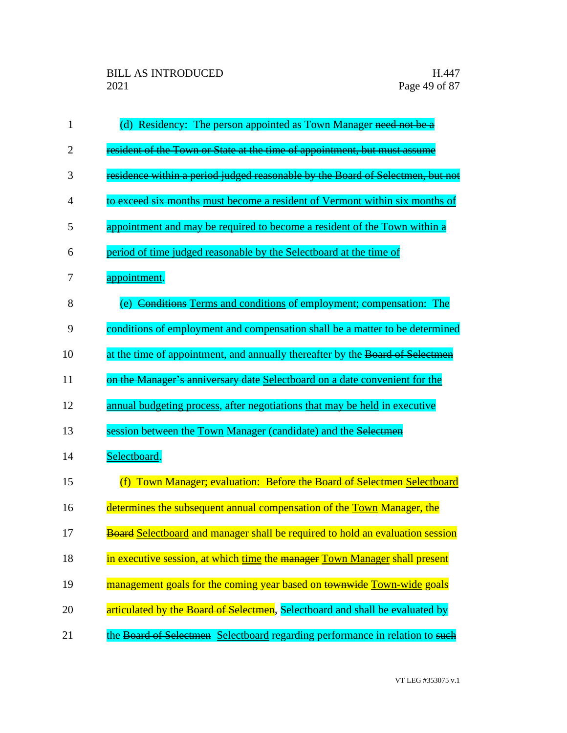| 1              | (d) Residency: The person appointed as Town Manager need not be a                    |
|----------------|--------------------------------------------------------------------------------------|
| $\overline{2}$ | resident of the Town or State at the time of appointment, but must assume            |
| 3              | residence within a period judged reasonable by the Board of Selectmen, but not       |
| 4              | to exceed six months must become a resident of Vermont within six months of          |
| 5              | appointment and may be required to become a resident of the Town within a            |
| 6              | period of time judged reasonable by the Selectboard at the time of                   |
| 7              | appointment.                                                                         |
| 8              | (e) Conditions Terms and conditions of employment; compensation: The                 |
| 9              | conditions of employment and compensation shall be a matter to be determined         |
| 10             | at the time of appointment, and annually thereafter by the Board of Selectmen        |
| 11             | on the Manager's anniversary date Selectboard on a date convenient for the           |
| 12             | annual budgeting process, after negotiations that may be held in executive           |
| 13             | session between the <b>Town Manager</b> (candidate) and the Selectmen                |
| 14             | Selectboard.                                                                         |
| 15             | (f) Town Manager; evaluation: Before the Board of Selectmen Selectboard              |
| 16             | determines the subsequent annual compensation of the Town Manager, the               |
| 17             | <b>Board Selectboard and manager shall be required to hold an evaluation session</b> |
| 18             | in executive session, at which time the manager Town Manager shall present           |
| 19             | management goals for the coming year based on townwide Town-wide goals               |
| 20             | articulated by the Board of Selectmen, Selectboard and shall be evaluated by         |
| 21             | the Board of Selectmen Selectboard regarding performance in relation to such         |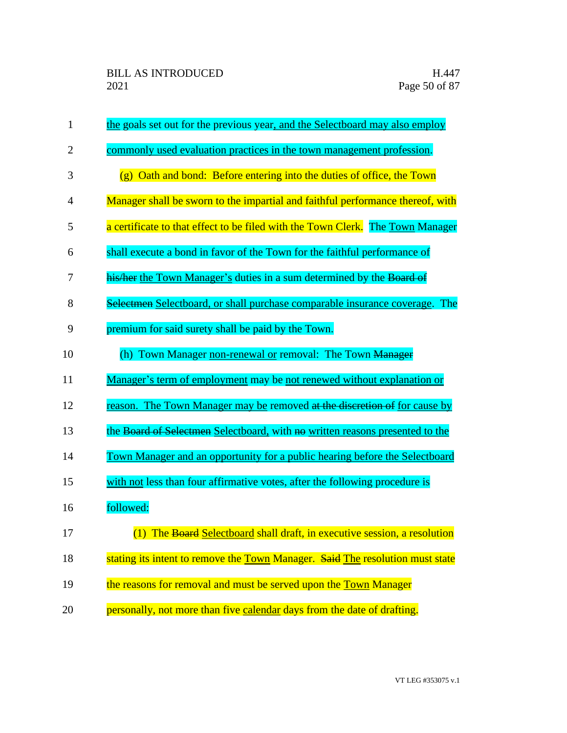| $\mathbf{1}$   | the goals set out for the previous year, and the Selectboard may also employ   |
|----------------|--------------------------------------------------------------------------------|
| $\overline{2}$ | commonly used evaluation practices in the town management profession.          |
| 3              | (g) Oath and bond: Before entering into the duties of office, the Town         |
| 4              | Manager shall be sworn to the impartial and faithful performance thereof, with |
| 5              | a certificate to that effect to be filed with the Town Clerk. The Town Manager |
| 6              | shall execute a bond in favor of the Town for the faithful performance of      |
| 7              | his/her the Town Manager's duties in a sum determined by the Board of          |
| 8              | Selectmen Selectboard, or shall purchase comparable insurance coverage. The    |
| 9              | premium for said surety shall be paid by the Town.                             |
| 10             | (h) Town Manager non-renewal or removal: The Town Manager                      |
| 11             | Manager's term of employment may be not renewed without explanation or         |
| 12             | reason. The Town Manager may be removed at the discretion of for cause by      |
| 13             | the Board of Selectmen Selectboard, with no written reasons presented to the   |
| 14             | Town Manager and an opportunity for a public hearing before the Selectboard    |
| 15             | with not less than four affirmative votes, after the following procedure is    |
| 16             | followed:                                                                      |
| 17             | (1) The Board Selectboard shall draft, in executive session, a resolution      |
| 18             | stating its intent to remove the Town Manager. Said The resolution must state  |
| 19             | the reasons for removal and must be served upon the Town Manager               |
| 20             | personally, not more than five calendar days from the date of drafting.        |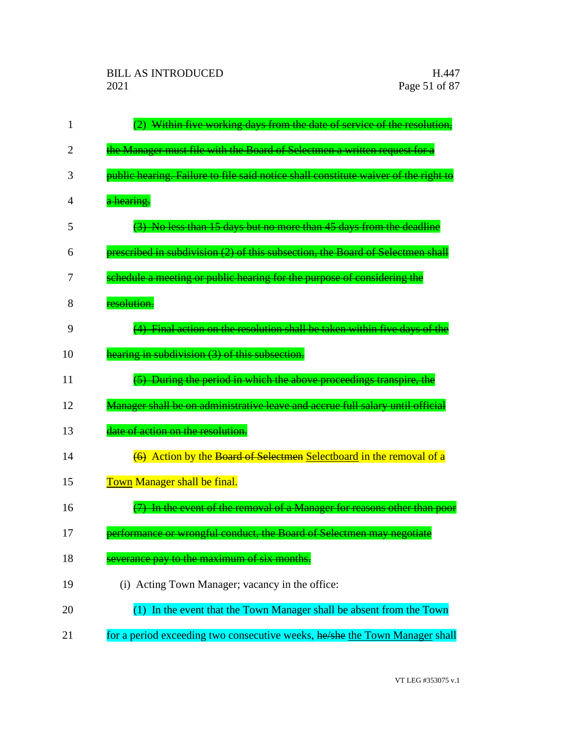| 1  | Within five working days from the date of service of the resolution,                |
|----|-------------------------------------------------------------------------------------|
| 2  | the Manager must file with the Board of Selectmen a written request for a           |
| 3  | public hearing. Failure to file said notice shall constitute waiver of the right to |
| 4  | a hearing.                                                                          |
| 5  | (3) No less than 15 days but no more than 45 days from the deadline                 |
| 6  | prescribed in subdivision (2) of this subsection, the Board of Selectmen shall      |
| 7  | schedule a meeting or public hearing for the purpose of considering the             |
| 8  | resolution.                                                                         |
| 9  | (4) Final action on the resolution shall be taken within five days of the           |
| 10 | hearing in subdivision (3) of this subsection.                                      |
| 11 | (5) During the period in which the above proceedings transpire, the                 |
| 12 | Manager shall be on administrative leave and accrue full salary until official      |
| 13 | date of action on the resolution.                                                   |
| 14 | (6) Action by the Board of Selectmen Selectboard in the removal of a                |
| 15 | Town Manager shall be final.                                                        |
| 16 | In the event of the removal of a Manager for reasons other than poor                |
| 17 | performance or wrongful conduct, the Board of Selectmen may negotiate               |
| 18 | everance pay to the maximum of six months.                                          |
| 19 | (i) Acting Town Manager; vacancy in the office:                                     |
| 20 | In the event that the Town Manager shall be absent from the Town                    |
| 21 | for a period exceeding two consecutive weeks, he/she the Town Manager shall         |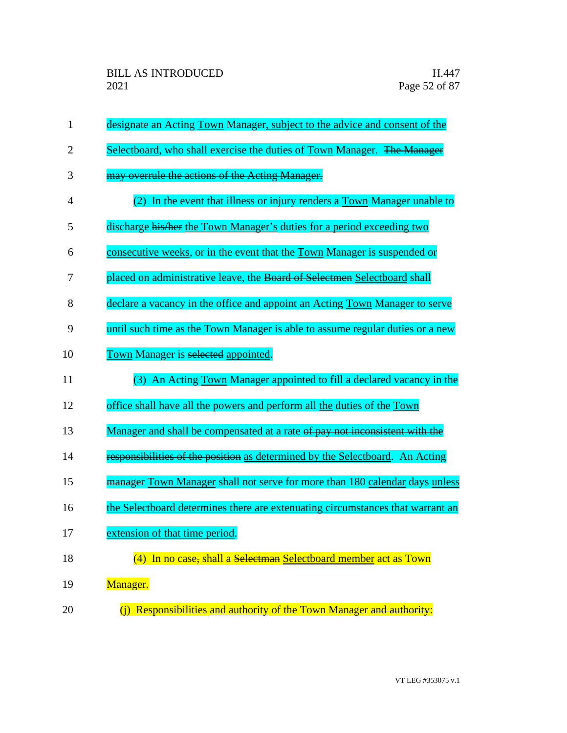| 1              | designate an Acting Town Manager, subject to the advice and consent of the           |
|----------------|--------------------------------------------------------------------------------------|
| $\overline{2}$ | Selectboard, who shall exercise the duties of Town Manager. The Manager              |
| 3              | may overrule the actions of the Acting Manager.                                      |
| 4              | In the event that illness or injury renders a Town Manager unable to<br>(2)          |
| 5              | discharge his/her the Town Manager's duties for a period exceeding two               |
| 6              | consecutive weeks, or in the event that the Town Manager is suspended or             |
| 7              | placed on administrative leave, the Board of Selectmen Selectboard shall             |
| 8              | declare a vacancy in the office and appoint an Acting Town Manager to serve          |
| 9              | until such time as the <b>Town</b> Manager is able to assume regular duties or a new |
| 10             | Town Manager is selected appointed.                                                  |
| 11             | (3) An Acting Town Manager appointed to fill a declared vacancy in the               |
| 12             | office shall have all the powers and perform all the duties of the Town              |
| 13             | Manager and shall be compensated at a rate of pay not inconsistent with the          |
| 14             | responsibilities of the position as determined by the Selectboard. An Acting         |
| 15             | manager Town Manager shall not serve for more than 180 calendar days unless          |
| 16             | the Selectboard determines there are extenuating circumstances that warrant an       |
| 17             | extension of that time period.                                                       |
| 18             | (4) In no case, shall a Selectman Selectboard member act as Town                     |
| 19             | Manager.                                                                             |
| 20             | (j) Responsibilities and authority of the Town Manager and authority:                |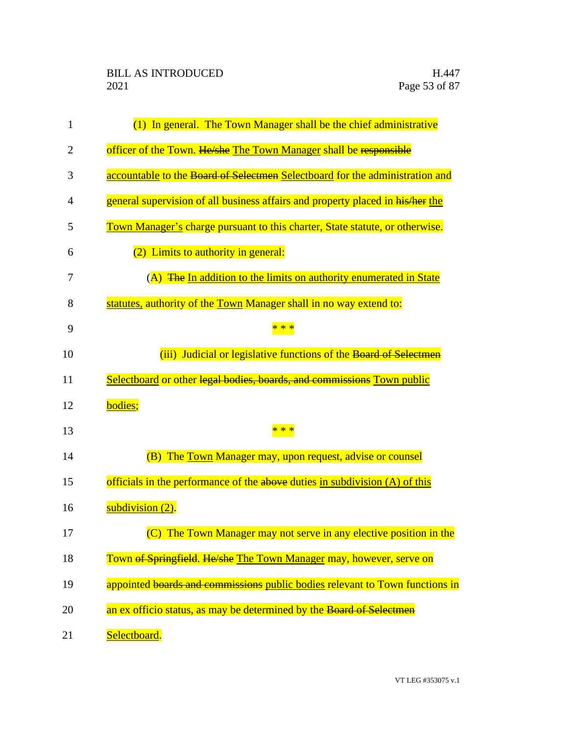| $\mathbf{1}$   | (1) In general. The Town Manager shall be the chief administrative             |
|----------------|--------------------------------------------------------------------------------|
| $\overline{2}$ | officer of the Town. He/she The Town Manager shall be responsible              |
| 3              | accountable to the Board of Selectmen Selectboard for the administration and   |
| 4              | general supervision of all business affairs and property placed in his/her the |
| 5              | Town Manager's charge pursuant to this charter, State statute, or otherwise.   |
| 6              | (2) Limits to authority in general:                                            |
| 7              | (A) The In addition to the limits on authority enumerated in State             |
| 8              | statutes, authority of the Town Manager shall in no way extend to:             |
| 9              |                                                                                |
| 10             | (iii) Judicial or legislative functions of the Board of Selectmen              |
| 11             | Selectboard or other legal bodies, boards, and commissions Town public         |
| 12             | bodies;                                                                        |
| 13             | * * *                                                                          |
| 14             | (B) The Town Manager may, upon request, advise or counsel                      |
| 15             | officials in the performance of the above duties in subdivision (A) of this    |
| 16             | subdivision (2).                                                               |
| 17             | (C) The Town Manager may not serve in any elective position in the             |
| 18             | Town of Springfield. He/she The Town Manager may, however, serve on            |
| 19             | appointed boards and commissions public bodies relevant to Town functions in   |
| 20             | an ex officio status, as may be determined by the Board of Selectmen           |
| 21             | Selectboard.                                                                   |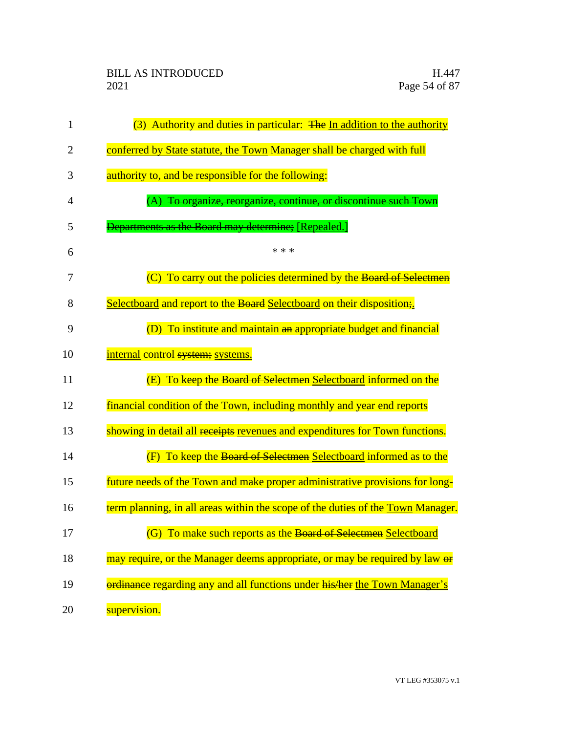| $\mathbf{1}$   | (3) Authority and duties in particular: The In addition to the authority        |
|----------------|---------------------------------------------------------------------------------|
| $\overline{2}$ | conferred by State statute, the Town Manager shall be charged with full         |
| 3              | authority to, and be responsible for the following:                             |
| 4              | (A) To organize, reorganize, continue, or discontinue such Town                 |
| 5              | <b>Departments as the Board may determine;</b> [Repealed.]                      |
| 6              | * * *                                                                           |
| 7              | (C) To carry out the policies determined by the Board of Selectmen              |
| 8              | Selectboard and report to the Board Selectboard on their disposition;           |
| 9              | (D) To institute and maintain an appropriate budget and financial               |
| 10             | internal control system; systems.                                               |
| 11             | (E) To keep the Board of Selectmen Selectboard informed on the                  |
| 12             | financial condition of the Town, including monthly and year end reports         |
| 13             | showing in detail all receipts revenues and expenditures for Town functions.    |
| 14             | (F) To keep the Board of Selectmen Selectboard informed as to the               |
| 15             | future needs of the Town and make proper administrative provisions for long-    |
| 16             | term planning, in all areas within the scope of the duties of the Town Manager. |
| 17             | (G) To make such reports as the Board of Selectmen Selectboard                  |
| 18             | may require, or the Manager deems appropriate, or may be required by law or     |
| 19             | ordinance regarding any and all functions under his/her the Town Manager's      |
| 20             | supervision.                                                                    |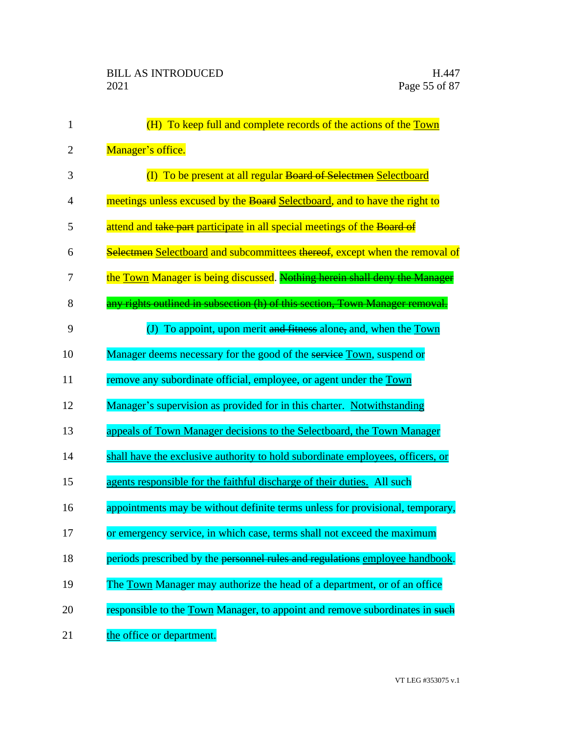| $\mathbf{1}$   | (H) To keep full and complete records of the actions of the Town               |
|----------------|--------------------------------------------------------------------------------|
| $\overline{2}$ | Manager's office.                                                              |
| 3              | (I) To be present at all regular Board of Selectmen Selectboard                |
| 4              | meetings unless excused by the Board Selectboard, and to have the right to     |
| 5              | attend and take part participate in all special meetings of the Board of       |
| 6              | Selectmen Selectboard and subcommittees thereof, except when the removal of    |
| 7              | the Town Manager is being discussed. Nothing herein shall deny the Manager     |
| 8              | any rights outlined in subsection (h) of this section, Town Manager removal.   |
| 9              | (J) To appoint, upon merit and fitness alone, and, when the $Town$             |
| 10             | Manager deems necessary for the good of the service Town, suspend or           |
| 11             | remove any subordinate official, employee, or agent under the Town             |
| 12             | Manager's supervision as provided for in this charter. Notwithstanding         |
| 13             | appeals of Town Manager decisions to the Selectboard, the Town Manager         |
| 14             | shall have the exclusive authority to hold subordinate employees, officers, or |
| 15             | agents responsible for the faithful discharge of their duties. All such        |
| 16             | appointments may be without definite terms unless for provisional, temporary,  |
| 17             | or emergency service, in which case, terms shall not exceed the maximum        |
| 18             | periods prescribed by the personnel rules and regulations employee handbook.   |
| 19             | The Town Manager may authorize the head of a department, or of an office       |
| 20             | responsible to the Town Manager, to appoint and remove subordinates in such    |
| 21             | the office or department.                                                      |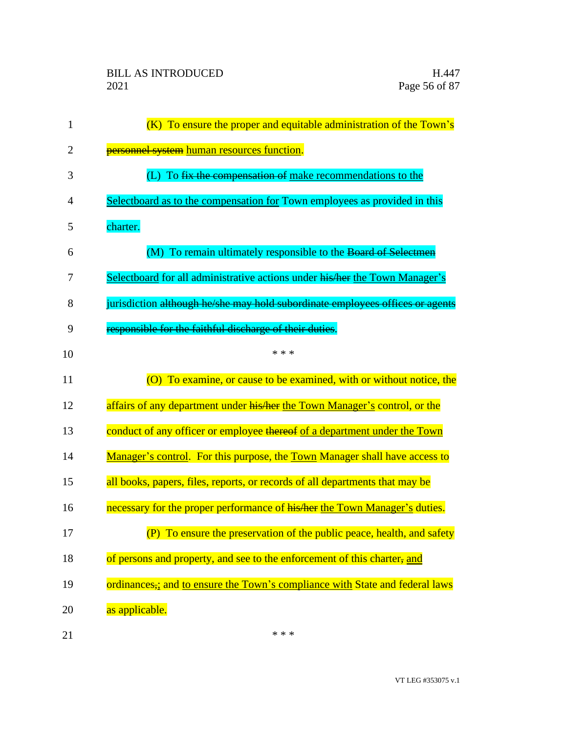| 1              | (K) To ensure the proper and equitable administration of the Town's                     |
|----------------|-----------------------------------------------------------------------------------------|
| $\overline{2}$ | personnel system human resources function.                                              |
| 3              | (L) To fix the compensation of make recommendations to the                              |
| 4              | Selectboard as to the compensation for Town employees as provided in this               |
| 5              | charter.                                                                                |
| 6              | To remain ultimately responsible to the Board of Selectmen<br>(M)                       |
| 7              | Selectboard for all administrative actions under his/her the Town Manager's             |
| 8              | jurisdiction although he/she may hold subordinate employees offices or agents           |
| 9              | responsible for the faithful discharge of their duties.                                 |
| 10             | * * *                                                                                   |
| 11             | (O) To examine, or cause to be examined, with or without notice, the                    |
| 12             | affairs of any department under his/her the Town Manager's control, or the              |
| 13             | conduct of any officer or employee thereof of a department under the Town               |
| 14             | Manager's control. For this purpose, the Town Manager shall have access to              |
| 15             | all books, papers, files, reports, or records of all departments that may be            |
| 16             | necessary for the proper performance of his/her the Town Manager's duties.              |
| 17             | (P) To ensure the preservation of the public peace, health, and safety                  |
| 18             | of persons and property, and see to the enforcement of this charter, and                |
| 19             | ordinances <sub>;</sub> and to ensure the Town's compliance with State and federal laws |
| 20             | as applicable.                                                                          |
| 21             | * * *                                                                                   |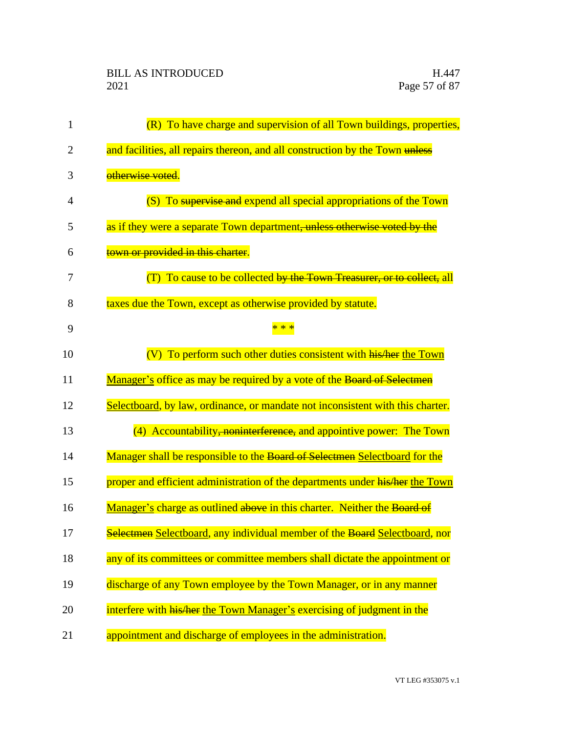| 1              | (R) To have charge and supervision of all Town buildings, properties,          |
|----------------|--------------------------------------------------------------------------------|
| $\overline{2}$ | and facilities, all repairs thereon, and all construction by the Town unless   |
| 3              | otherwise voted.                                                               |
| 4              | (S) To supervise and expend all special appropriations of the Town             |
| 5              | as if they were a separate Town department, unless otherwise voted by the      |
| 6              | town or provided in this charter.                                              |
| 7              | (T) To cause to be collected by the Town Treasurer, or to collect, all         |
| 8              | taxes due the Town, except as otherwise provided by statute.                   |
| 9              |                                                                                |
| 10             | (V) To perform such other duties consistent with his/her the Town              |
| 11             | Manager's office as may be required by a vote of the Board of Selectmen        |
| 12             | Selectboard, by law, ordinance, or mandate not inconsistent with this charter. |
| 13             | (4) Accountability, noninterference, and appointive power: The Town            |
| 14             | Manager shall be responsible to the Board of Selectmen Selectboard for the     |
| 15             | proper and efficient administration of the departments under his/her the Town  |
| 16             | Manager's charge as outlined above in this charter. Neither the Board of       |
| 17             | Selectmen Selectboard, any individual member of the Board Selectboard, nor     |
| 18             | any of its committees or committee members shall dictate the appointment or    |
| 19             | discharge of any Town employee by the Town Manager, or in any manner           |
| 20             | interfere with his/her the Town Manager's exercising of judgment in the        |
| 21             | appointment and discharge of employees in the administration.                  |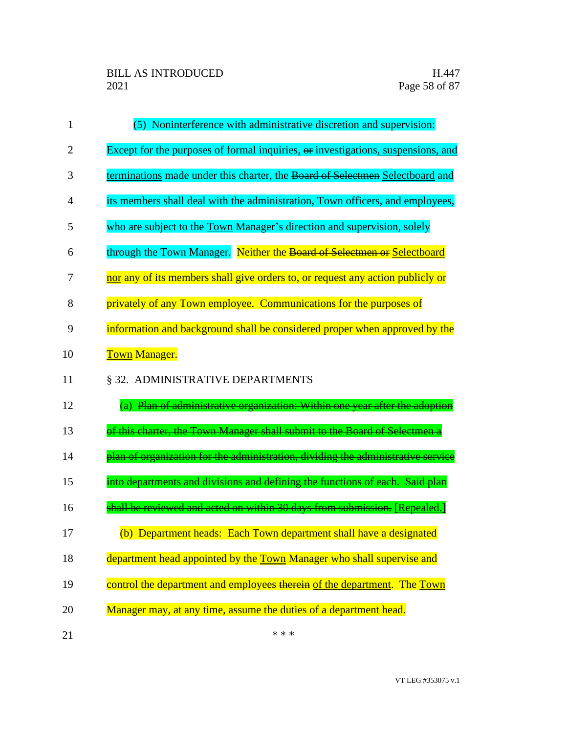| 1  | (5) Noninterference with administrative discretion and supervision:              |
|----|----------------------------------------------------------------------------------|
| 2  | Except for the purposes of formal inquiries, or investigations, suspensions, and |
| 3  | terminations made under this charter, the Board of Selectmen Selectboard and     |
| 4  | its members shall deal with the administration, Town officers, and employees,    |
| 5  | who are subject to the Town Manager's direction and supervision, solely          |
| 6  | through the Town Manager. Neither the Board of Selectmen or Selectboard          |
| 7  | nor any of its members shall give orders to, or request any action publicly or   |
| 8  | privately of any Town employee. Communications for the purposes of               |
| 9  | information and background shall be considered proper when approved by the       |
| 10 | <b>Town Manager.</b>                                                             |
| 11 | § 32. ADMINISTRATIVE DEPARTMENTS                                                 |
| 12 | (a) Plan of administrative organization: Within one year after the adoption      |
| 13 | of this charter, the Town Manager shall submit to the Board of Selectmen a       |
| 14 | plan of organization for the administration, dividing the administrative service |
| 15 | into departments and divisions and defining the functions of each. Said plan     |
| 16 | shall be reviewed and acted on within 30 days from submission. [Repealed.]       |
| 17 | (b) Department heads: Each Town department shall have a designated               |
| 18 | department head appointed by the Town Manager who shall supervise and            |
| 19 | control the department and employees therein of the department. The Town         |
| 20 | Manager may, at any time, assume the duties of a department head.                |
| 21 | * * *                                                                            |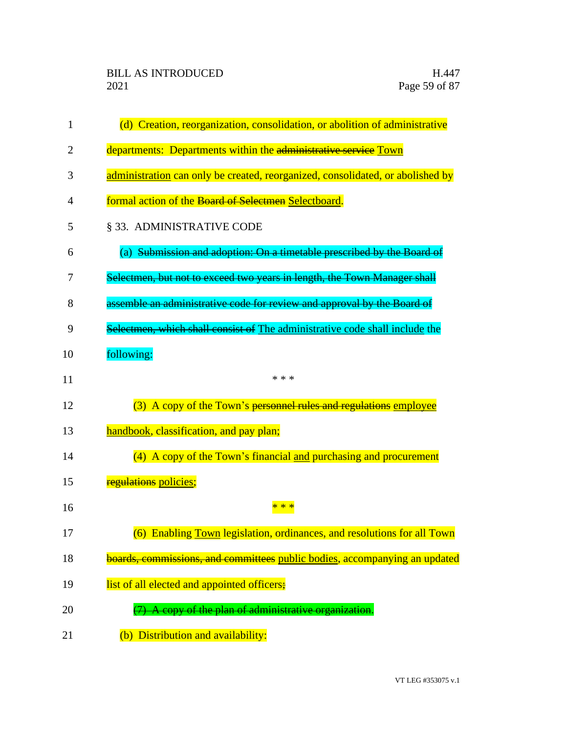| 1  | (d) Creation, reorganization, consolidation, or abolition of administrative    |
|----|--------------------------------------------------------------------------------|
| 2  | departments: Departments within the administrative service Town                |
| 3  | administration can only be created, reorganized, consolidated, or abolished by |
| 4  | formal action of the Board of Selectmen Selectboard.                           |
| 5  | § 33. ADMINISTRATIVE CODE                                                      |
| 6  | (a) Submission and adoption: On a timetable prescribed by the Board of         |
| 7  | Selectmen, but not to exceed two years in length, the Town Manager shall       |
| 8  | assemble an administrative code for review and approval by the Board of        |
| 9  | Selectmen, which shall consist of The administrative code shall include the    |
| 10 | following:                                                                     |
| 11 | * * *                                                                          |
| 12 | (3) A copy of the Town's personnel rules and regulations employee              |
| 13 | handbook, classification, and pay plan;                                        |
| 14 | (4) A copy of the Town's financial and purchasing and procurement              |
| 15 | <b>regulations policies;</b>                                                   |
| 16 | $**$                                                                           |
| 17 | (6) Enabling Town legislation, ordinances, and resolutions for all Town        |
| 18 | boards, commissions, and committees public bodies, accompanying an updated     |
| 19 | list of all elected and appointed officers;                                    |
| 20 | (7) A copy of the plan of administrative organization.                         |
| 21 | (b) Distribution and availability:                                             |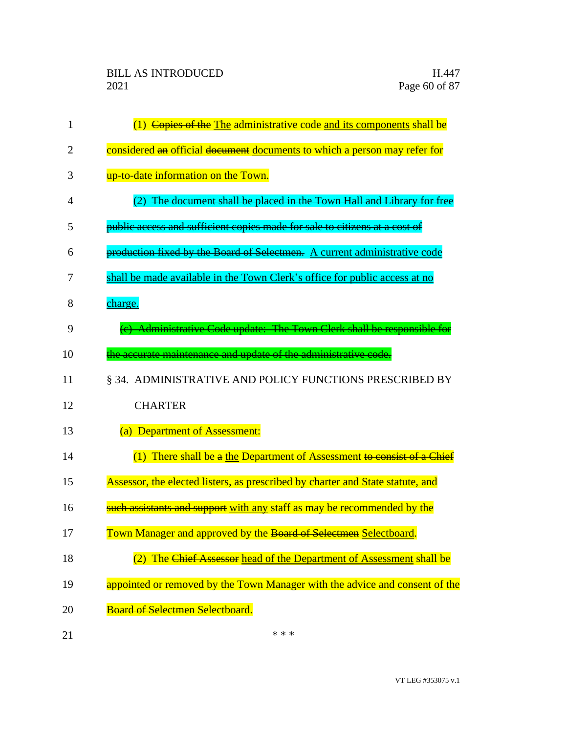| 1              | (1) Copies of the The administrative code and its components shall be          |
|----------------|--------------------------------------------------------------------------------|
| $\overline{2}$ | considered an official document documents to which a person may refer for      |
| 3              | up-to-date information on the Town.                                            |
| 4              | (2) The document shall be placed in the Town Hall and Library for free         |
| 5              | public access and sufficient copies made for sale to citizens at a cost of     |
| 6              | production fixed by the Board of Selectmen. A current administrative code      |
| 7              | shall be made available in the Town Clerk's office for public access at no     |
| 8              | charge.                                                                        |
| 9              | (c) Administrative Code update: The Town Clerk shall be responsible for        |
| 10             | the accurate maintenance and update of the administrative code.                |
| 11             | § 34. ADMINISTRATIVE AND POLICY FUNCTIONS PRESCRIBED BY                        |
| 12             | <b>CHARTER</b>                                                                 |
| 13             | (a) Department of Assessment:                                                  |
| 14             | (1) There shall be a the Department of Assessment to consist of a Chief        |
| 15             | Assessor, the elected listers, as prescribed by charter and State statute, and |
| 16             | such assistants and support with any staff as may be recommended by the        |
| 17             | Town Manager and approved by the Board of Selectmen Selectboard.               |
| 18             | The Chief Assessor head of the Department of Assessment shall be               |
| 19             | appointed or removed by the Town Manager with the advice and consent of the    |
| 20             | Board of Selectmen Selectboard.                                                |
| 21             | * * *                                                                          |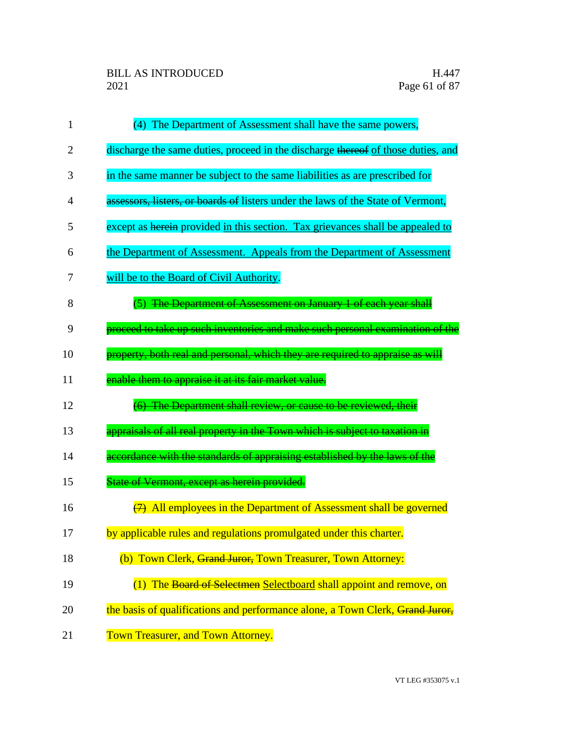| 1  | (4) The Department of Assessment shall have the same powers,                     |
|----|----------------------------------------------------------------------------------|
| 2  | discharge the same duties, proceed in the discharge thereof of those duties, and |
| 3  | in the same manner be subject to the same liabilities as are prescribed for      |
| 4  | assessors, listers, or boards of listers under the laws of the State of Vermont, |
| 5  | except as herein provided in this section. Tax grievances shall be appealed to   |
| 6  | the Department of Assessment. Appeals from the Department of Assessment          |
| 7  | will be to the Board of Civil Authority.                                         |
| 8  | (5) The Department of Assessment on January 1 of each year shall                 |
| 9  | proceed to take up such inventories and make such personal examination of the    |
| 10 | property, both real and personal, which they are required to appraise as will    |
| 11 | enable them to appraise it at its fair market value.                             |
| 12 | (6) The Department shall review, or cause to be reviewed, their                  |
| 13 | appraisals of all real property in the Town which is subject to taxation in      |
| 14 | accordance with the standards of appraising established by the laws of the       |
| 15 | State of Vermont, except as herein provided.                                     |
| 16 | $\overline{(7)}$ All employees in the Department of Assessment shall be governed |
| 17 | by applicable rules and regulations promulgated under this charter.              |
| 18 | (b) Town Clerk, Grand Juror, Town Treasurer, Town Attorney:                      |
| 19 | (1) The Board of Selectmen Selectboard shall appoint and remove, on              |
| 20 | the basis of qualifications and performance alone, a Town Clerk, Grand Juror,    |
| 21 | Town Treasurer, and Town Attorney.                                               |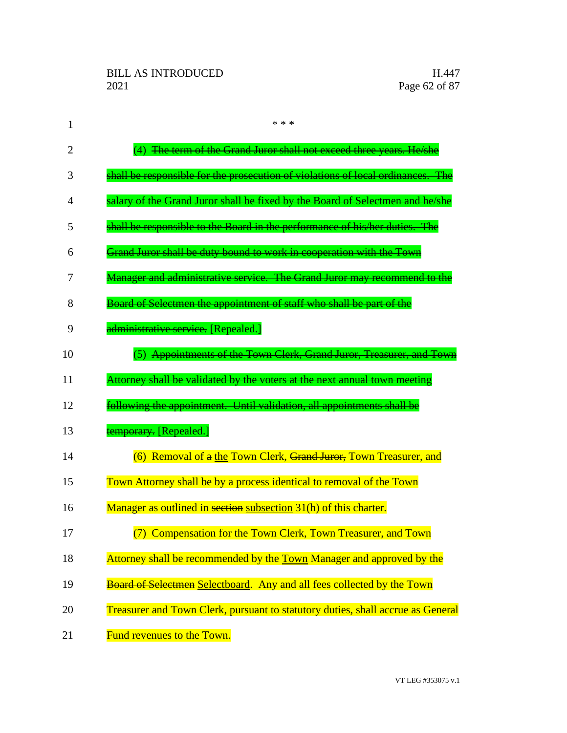| 1              | * * *                                                                           |
|----------------|---------------------------------------------------------------------------------|
| $\overline{2}$ | (4) The term of the Grand Juror shall not exceed three years. He/she            |
| 3              | shall be responsible for the prosecution of violations of local ordinances. The |
| 4              | salary of the Grand Juror shall be fixed by the Board of Selectmen and he/she   |
| 5              | shall be responsible to the Board in the performance of his/her duties. The     |
| 6              | Grand Juror shall be duty bound to work in cooperation with the Town            |
| 7              | Manager and administrative service. The Grand Juror may recommend to the        |
| 8              | Board of Selectmen the appointment of staff who shall be part of the            |
| 9              | administrative service. [Repealed.]                                             |
| 10             | (5) Appointments of the Town Clerk, Grand Juror, Treasurer, and Town            |
| 11             | Attorney shall be validated by the voters at the next annual town meeting       |
| 12             | following the appointment. Until validation, all appointments shall be          |
| 13             | temporary. [Repealed.]                                                          |
| 14             | (6) Removal of a the Town Clerk, Grand Juror, Town Treasurer, and               |
| 15             | Town Attorney shall be by a process identical to removal of the Town            |
| 16             | Manager as outlined in section subsection 31(h) of this charter.                |
| 17             | (7) Compensation for the Town Clerk, Town Treasurer, and Town                   |
| 18             | Attorney shall be recommended by the Town Manager and approved by the           |
| 19             | Board of Selectmen Selectboard. Any and all fees collected by the Town          |
| 20             | Treasurer and Town Clerk, pursuant to statutory duties, shall accrue as General |
| 21             | Fund revenues to the Town.                                                      |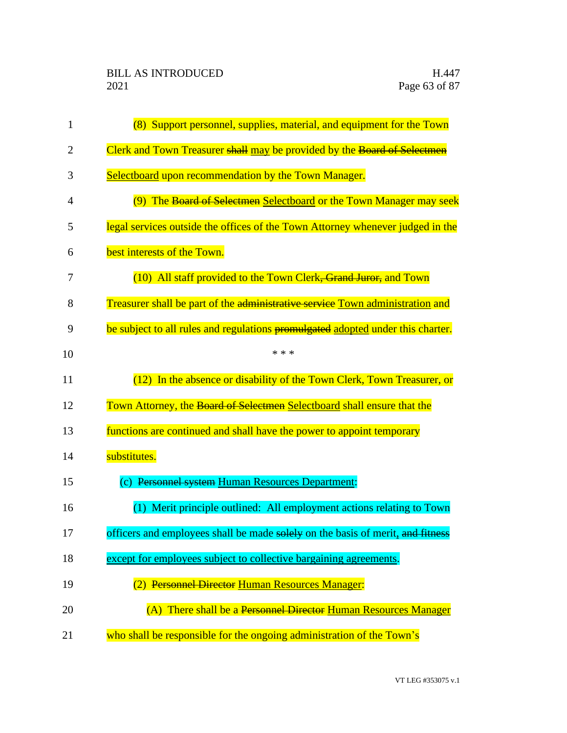| $\mathbf{1}$ | (8) Support personnel, supplies, material, and equipment for the Town           |
|--------------|---------------------------------------------------------------------------------|
| 2            | Clerk and Town Treasurer shall may be provided by the Board of Selectmen        |
| 3            | Selectboard upon recommendation by the Town Manager.                            |
| 4            | (9) The Board of Selectmen Selectboard or the Town Manager may seek             |
| 5            | legal services outside the offices of the Town Attorney whenever judged in the  |
| 6            | best interests of the Town.                                                     |
| 7            | (10) All staff provided to the Town Clerk, Grand Juror, and Town                |
| 8            | Treasurer shall be part of the administrative service Town administration and   |
| 9            | be subject to all rules and regulations promulgated adopted under this charter. |
| 10           | * * *                                                                           |
| 11           | (12) In the absence or disability of the Town Clerk, Town Treasurer, or         |
| 12           | Town Attorney, the Board of Selectmen Selectboard shall ensure that the         |
| 13           | functions are continued and shall have the power to appoint temporary           |
| 14           | substitutes.                                                                    |
| 15           | (c) Personnel system Human Resources Department:                                |
| 16           | (1) Merit principle outlined: All employment actions relating to Town           |
| 17           | officers and employees shall be made solely on the basis of merit, and fitness  |
| 18           | except for employees subject to collective bargaining agreements.               |
| 19           | (2) Personnel Director Human Resources Manager:                                 |
| 20           | (A) There shall be a Personnel Director Human Resources Manager                 |
| 21           | who shall be responsible for the ongoing administration of the Town's           |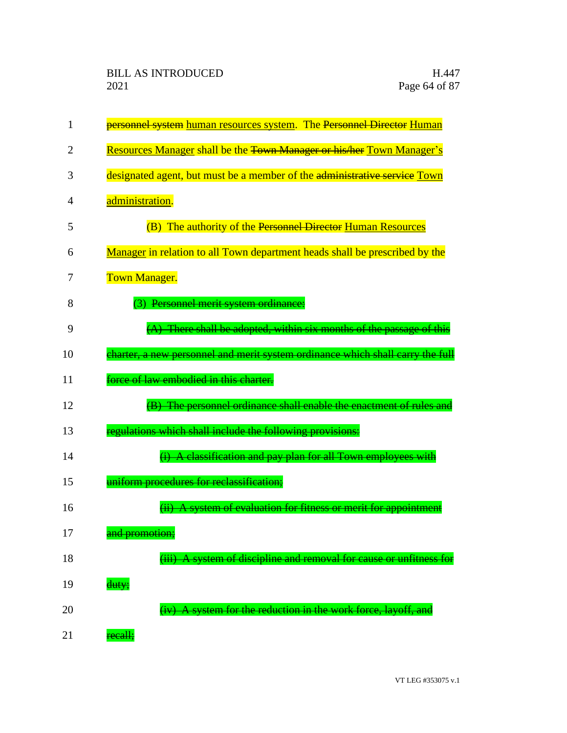| 1  | personnel system human resources system. The Personnel Director Human            |
|----|----------------------------------------------------------------------------------|
| 2  | Resources Manager shall be the <del>Town Manager or his/her</del> Town Manager's |
| 3  | designated agent, but must be a member of the administrative service Town        |
| 4  | administration.                                                                  |
| 5  | (B) The authority of the Personnel Director Human Resources                      |
| 6  | Manager in relation to all Town department heads shall be prescribed by the      |
| 7  | <b>Town Manager.</b>                                                             |
| 8  | (3) Personnel merit system ordinance:                                            |
| 9  | (A) There shall be adopted, within six months of the passage of this             |
| 10 | charter, a new personnel and merit system ordinance which shall carry the full   |
| 11 | force of law embodied in this charter.                                           |
| 12 | (B) The personnel ordinance shall enable the enactment of rules and              |
| 13 | regulations which shall include the following provisions:                        |
| 14 | A classification and pay plan for all Town employees with                        |
| 15 | uniform procedures for reclassification;                                         |
| 16 | A system of evaluation for fitness or merit for appointment                      |
| 17 | <del>und promotion;</del>                                                        |
| 18 | system of discipline and removal for cause or unfitness                          |
| 19 | duty;                                                                            |
| 20 | (iv) A system for the reduction in the work force, layoff, and                   |
| 21 | recall;                                                                          |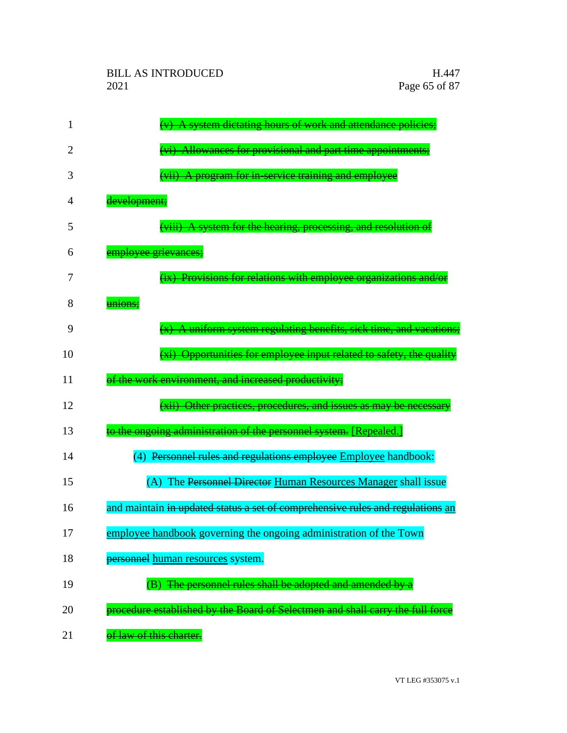| 1  | A system dictating hours of work and attendance policies;                      |
|----|--------------------------------------------------------------------------------|
| 2  | (vi) Allowances for provisional and part time appointments;                    |
| 3  | (vii) A program for in-service training and employee                           |
| 4  | development;                                                                   |
| 5  | (viii) A system for the hearing, processing, and resolution of                 |
| 6  | employee grievances;                                                           |
| 7  | (ix) Provisions for relations with employee organizations and/or               |
| 8  | unions;                                                                        |
| 9  | $(x)$ A uniform system regulating benefits, sick time, and vacations;          |
| 10 | (xi) Opportunities for employee input related to safety, the quality           |
| 11 | of the work environment, and increased productivity;                           |
| 12 | (xii) Other practices, procedures, and issues as may be necessary              |
| 13 | to the ongoing administration of the personnel system. [Repealed.]             |
| 14 | (4) Personnel rules and regulations employee Employee handbook:                |
| 15 | (A) The Personnel Director Human Resources Manager shall issue                 |
| 16 | and maintain in updated status a set of comprehensive rules and regulations an |
| 17 | employee handbook governing the ongoing administration of the Town             |
| 18 | personnel human resources system.                                              |
| 19 | (B) The personnel rules shall be adopted and amended by a                      |
| 20 | procedure established by the Board of Selectmen and shall carry the full force |
| 21 | of law of this charter.                                                        |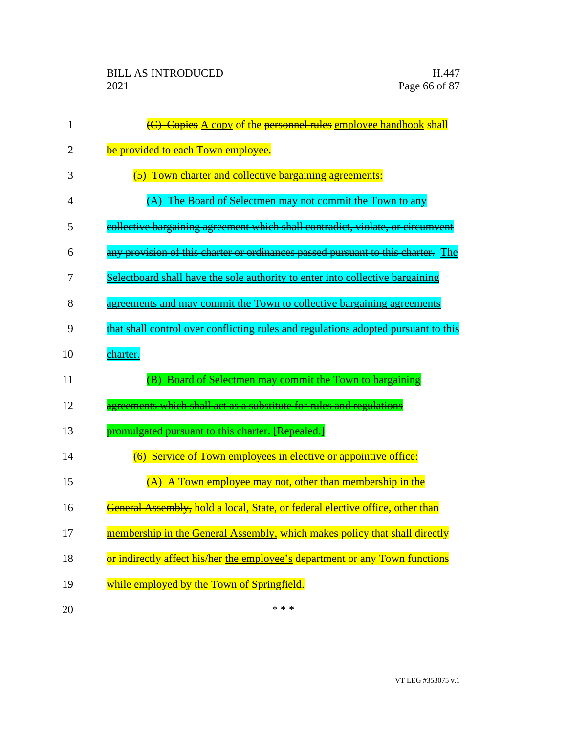| 1  | (C) Copies A copy of the personnel rules employee handbook shall                   |
|----|------------------------------------------------------------------------------------|
| 2  | be provided to each Town employee.                                                 |
| 3  | (5) Town charter and collective bargaining agreements:                             |
| 4  | (A) The Board of Selectmen may not commit the Town to any                          |
| 5  | collective bargaining agreement which shall contradict, violate, or circumvent     |
| 6  | any provision of this charter or ordinances passed pursuant to this charter. The   |
| 7  | Selectboard shall have the sole authority to enter into collective bargaining      |
| 8  | agreements and may commit the Town to collective bargaining agreements             |
| 9  | that shall control over conflicting rules and regulations adopted pursuant to this |
| 10 | charter.                                                                           |
| 11 | (B) Board of Selectmen may commit the Town to bargaining                           |
| 12 | agreements which shall act as a substitute for rules and regulations               |
| 13 | promulgated pursuant to this charter. [Repealed.]                                  |
| 14 | (6) Service of Town employees in elective or appointive office:                    |
| 15 | (A) A Town employee may not, other than membership in the                          |
| 16 |                                                                                    |
|    | General Assembly, hold a local, State, or federal elective office, other than      |
| 17 | membership in the General Assembly, which makes policy that shall directly         |
| 18 | or indirectly affect his/her the employee's department or any Town functions       |
| 19 | while employed by the Town of Springfield.                                         |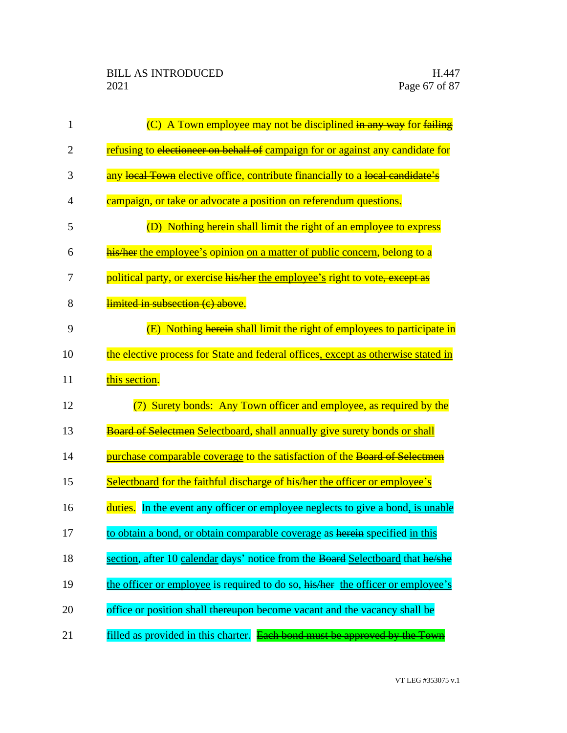| $\mathbf{1}$   | $(C)$ A Town employee may not be disciplined in any way for failing               |
|----------------|-----------------------------------------------------------------------------------|
| $\overline{2}$ | refusing to electioneer on behalf of campaign for or against any candidate for    |
| 3              | any local Town elective office, contribute financially to a local candidate's     |
| $\overline{4}$ | campaign, or take or advocate a position on referendum questions.                 |
| 5              | (D) Nothing herein shall limit the right of an employee to express                |
| 6              | his/her the employee's opinion on a matter of public concern, belong to a         |
| 7              | political party, or exercise his/her the employee's right to vote, except as      |
| 8              | limited in subsection (c) above.                                                  |
| 9              | (E) Nothing herein shall limit the right of employees to participate in           |
| 10             | the elective process for State and federal offices, except as otherwise stated in |
| 11             | this section.                                                                     |
| 12             | Surety bonds: Any Town officer and employee, as required by the                   |
| 13             | Board of Selectmen Selectboard, shall annually give surety bonds or shall         |
| 14             | purchase comparable coverage to the satisfaction of the Board of Selectmen        |
| 15             | Selectboard for the faithful discharge of his/her the officer or employee's       |
| 16             | duties. In the event any officer or employee neglects to give a bond, is unable   |
| 17             | to obtain a bond, or obtain comparable coverage as herein specified in this       |
| 18             | section, after 10 calendar days' notice from the Board Selectboard that he/she    |
| 19             | the officer or employee is required to do so, his/her the officer or employee's   |
| 20             | office or position shall thereupon become vacant and the vacancy shall be         |
| 21             | filled as provided in this charter. Each bond must be approved by the Town        |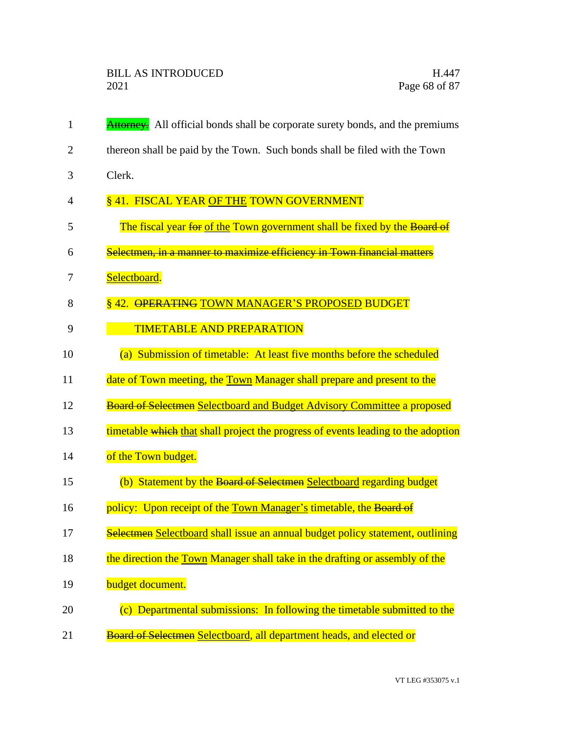| 1              | <b>Attorney.</b> All official bonds shall be corporate surety bonds, and the premiums |
|----------------|---------------------------------------------------------------------------------------|
| $\overline{2}$ | thereon shall be paid by the Town. Such bonds shall be filed with the Town            |
| 3              | Clerk.                                                                                |
| 4              | §41. FISCAL YEAR OF THE TOWN GOVERNMENT                                               |
| 5              | The fiscal year for of the Town government shall be fixed by the Board of             |
| 6              | Selectmen, in a manner to maximize efficiency in Town financial matters               |
| 7              | Selectboard.                                                                          |
| 8              | §42. OPERATING TOWN MANAGER'S PROPOSED BUDGET                                         |
| 9              | <b>TIMETABLE AND PREPARATION</b>                                                      |
| 10             | (a) Submission of timetable: At least five months before the scheduled                |
| 11             | date of Town meeting, the Town Manager shall prepare and present to the               |
| 12             | <b>Board of Selectmen Selectboard and Budget Advisory Committee a proposed</b>        |
| 13             | timetable which that shall project the progress of events leading to the adoption     |
| 14             | of the Town budget.                                                                   |
| 15             | (b) Statement by the Board of Selectmen Selectboard regarding budget                  |
| 16             | policy: Upon receipt of the Town Manager's timetable, the Board of                    |
| 17             | Selectmen Selectboard shall issue an annual budget policy statement, outlining        |
| 18             | the direction the Town Manager shall take in the drafting or assembly of the          |
| 19             | budget document.                                                                      |
| 20             | (c) Departmental submissions: In following the timetable submitted to the             |
| 21             | Board of Selectmen Selectboard, all department heads, and elected or                  |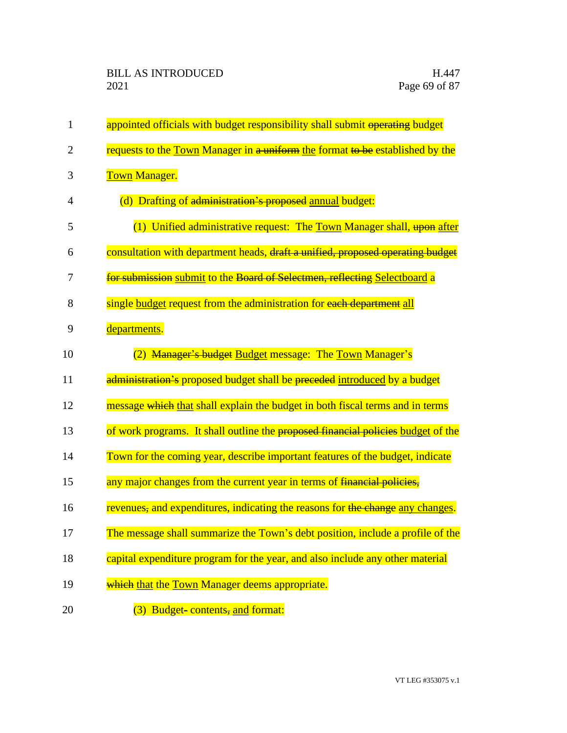| $\mathbf 1$    | appointed officials with budget responsibility shall submit operating budget     |
|----------------|----------------------------------------------------------------------------------|
| $\overline{2}$ | requests to the Town Manager in a uniform the format to be established by the    |
| 3              | <b>Town Manager.</b>                                                             |
| 4              | (d) Drafting of administration's proposed annual budget:                         |
| 5              | (1) Unified administrative request: The Town Manager shall, upon after           |
| 6              | consultation with department heads, draft a unified, proposed operating budget   |
| 7              | for submission submit to the Board of Selectmen, reflecting Selectboard a        |
| 8              | single budget request from the administration for each department all            |
| 9              | departments.                                                                     |
| 10             | <b>Manager's budget Budget message: The Town Manager's</b>                       |
| 11             | administration's proposed budget shall be preceded introduced by a budget        |
| 12             | message which that shall explain the budget in both fiscal terms and in terms    |
| 13             | of work programs. It shall outline the proposed financial policies budget of the |
| 14             | Town for the coming year, describe important features of the budget, indicate    |
| 15             | any major changes from the current year in terms of financial policies,          |
| 16             | revenues, and expenditures, indicating the reasons for the change any changes.   |
| 17             | The message shall summarize the Town's debt position, include a profile of the   |
| 18             | capital expenditure program for the year, and also include any other material    |
| 19             | which that the Town Manager deems appropriate.                                   |
| 20             | (3) Budget-contents, and format:                                                 |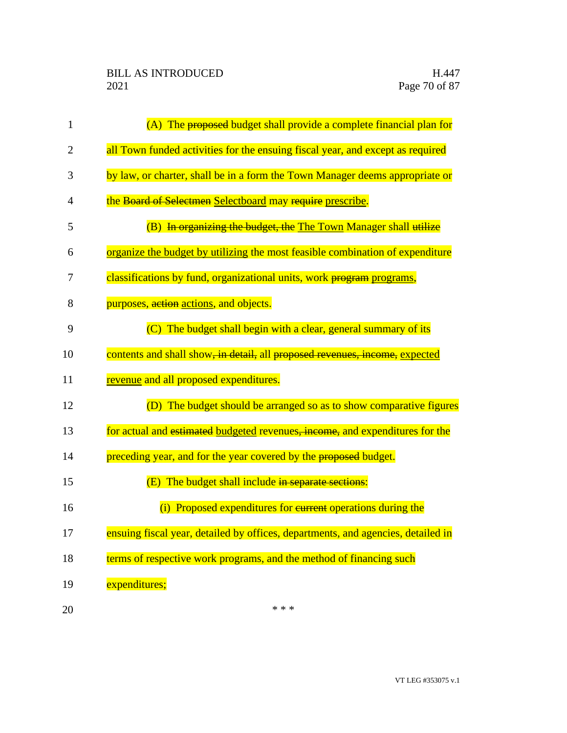| 1              | (A) The proposed budget shall provide a complete financial plan for              |
|----------------|----------------------------------------------------------------------------------|
| $\overline{2}$ | all Town funded activities for the ensuing fiscal year, and except as required   |
| 3              | by law, or charter, shall be in a form the Town Manager deems appropriate or     |
| 4              | the Board of Selectmen Selectboard may require prescribe.                        |
| 5              | (B) In organizing the budget, the The Town Manager shall utilize                 |
| 6              | organize the budget by utilizing the most feasible combination of expenditure    |
| 7              | classifications by fund, organizational units, work program programs,            |
| 8              | purposes, action actions, and objects.                                           |
| 9              | (C) The budget shall begin with a clear, general summary of its                  |
| 10             | contents and shall show, in detail, all proposed revenues, income, expected      |
| 11             | revenue and all proposed expenditures.                                           |
| 12             | (D) The budget should be arranged so as to show comparative figures              |
| 13             | for actual and estimated budgeted revenues, income, and expenditures for the     |
| 14             | preceding year, and for the year covered by the proposed budget.                 |
| 15             | (E) The budget shall include in separate sections:                               |
| 16             | (i) Proposed expenditures for eurrent operations during the                      |
| 17             | ensuing fiscal year, detailed by offices, departments, and agencies, detailed in |
| 18             | terms of respective work programs, and the method of financing such              |
| 19             | expenditures;                                                                    |
| 20             | * * *                                                                            |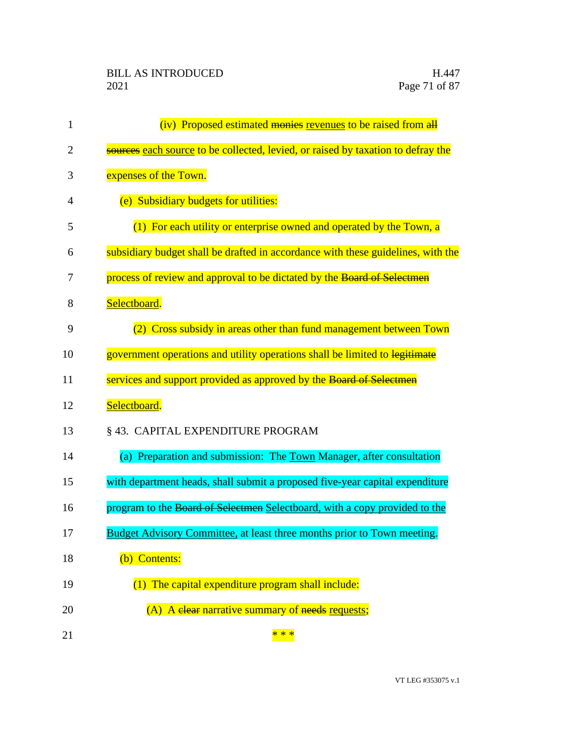| $\mathbf{1}$   | (iv) Proposed estimated monies revenues to be raised from all                    |
|----------------|----------------------------------------------------------------------------------|
| $\overline{2}$ | sources each source to be collected, levied, or raised by taxation to defray the |
| 3              | expenses of the Town.                                                            |
| 4              | (e) Subsidiary budgets for utilities:                                            |
| 5              | (1) For each utility or enterprise owned and operated by the Town, a             |
| 6              | subsidiary budget shall be drafted in accordance with these guidelines, with the |
| 7              | process of review and approval to be dictated by the Board of Selectmen          |
| 8              | Selectboard.                                                                     |
| 9              | Cross subsidy in areas other than fund management between Town                   |
| 10             | government operations and utility operations shall be limited to legitimate      |
| 11             | services and support provided as approved by the Board of Selectmen              |
| 12             | Selectboard.                                                                     |
| 13             | § 43. CAPITAL EXPENDITURE PROGRAM                                                |
| 14             | (a) Preparation and submission: The Town Manager, after consultation             |
| 15             | with department heads, shall submit a proposed five-year capital expenditure     |
| 16             | program to the Board of Selectmen Selectboard, with a copy provided to the       |
| 17             | Budget Advisory Committee, at least three months prior to Town meeting.          |
| 18             | (b) Contents:                                                                    |
| 19             | $(1)$ The capital expenditure program shall include:                             |
| 20             | (A) A elear narrative summary of needs requests;                                 |
| 21             | * * *                                                                            |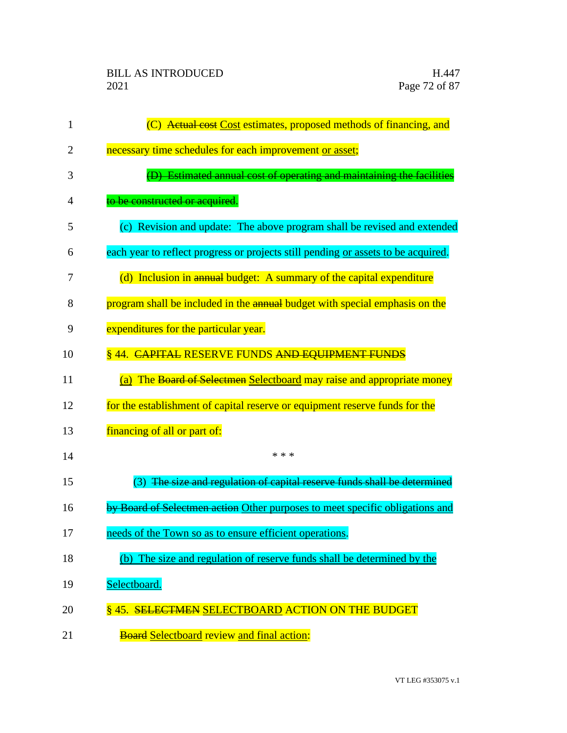| 1              | (C) Actual cost Cost estimates, proposed methods of financing, and                |
|----------------|-----------------------------------------------------------------------------------|
| $\overline{2}$ | necessary time schedules for each improvement or asset;                           |
| 3              | (D) Estimated annual cost of operating and maintaining the facilities             |
| 4              | to be constructed or acquired.                                                    |
| 5              | (c) Revision and update: The above program shall be revised and extended          |
| 6              | each year to reflect progress or projects still pending or assets to be acquired. |
| 7              | (d) Inclusion in annual budget: A summary of the capital expenditure              |
| 8              | program shall be included in the annual budget with special emphasis on the       |
| 9              | expenditures for the particular year.                                             |
| 10             | § 44. CAPITAL RESERVE FUNDS AND EQUIPMENT FUNDS                                   |
| 11             | (a) The Board of Selectmen Selectboard may raise and appropriate money            |
| 12             | for the establishment of capital reserve or equipment reserve funds for the       |
| 13             | financing of all or part of:                                                      |
| 14             | * * *                                                                             |
| 15             | The size and regulation of capital reserve funds shall be determined<br>(3)       |
| 16             | by Board of Selectmen action Other purposes to meet specific obligations and      |
| 17             | needs of the Town so as to ensure efficient operations.                           |
| 18             | (b) The size and regulation of reserve funds shall be determined by the           |
| 19             | Selectboard.                                                                      |
| 20             | §45. SELECTMEN SELECTBOARD ACTION ON THE BUDGET                                   |
| 21             | <b>Board Selectboard review and final action:</b>                                 |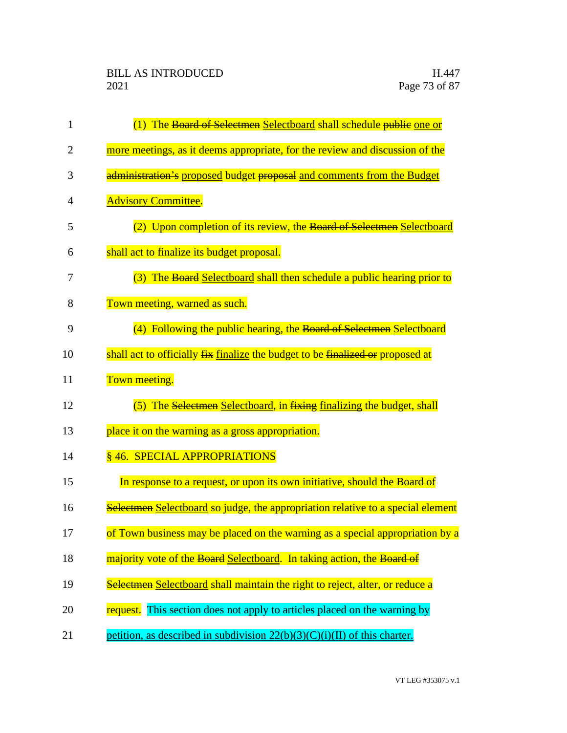| 1              | (1) The Board of Selectmen Selectboard shall schedule public one or             |
|----------------|---------------------------------------------------------------------------------|
| $\overline{2}$ | more meetings, as it deems appropriate, for the review and discussion of the    |
| 3              | administration's proposed budget proposal and comments from the Budget          |
| 4              | <b>Advisory Committee.</b>                                                      |
| 5              | (2) Upon completion of its review, the Board of Selectmen Selectboard           |
| 6              | shall act to finalize its budget proposal.                                      |
| 7              | (3) The Board Selectboard shall then schedule a public hearing prior to         |
| 8              | Town meeting, warned as such.                                                   |
| 9              | (4) Following the public hearing, the Board of Selectmen Selectboard            |
| 10             | shall act to officially fix finalize the budget to be finalized or proposed at  |
| 11             | Town meeting.                                                                   |
| 12             | (5) The Selectmen Selectboard, in fixing finalizing the budget, shall           |
| 13             | place it on the warning as a gross appropriation.                               |
| 14             | §46. SPECIAL APPROPRIATIONS                                                     |
| 15             | In response to a request, or upon its own initiative, should the Board of       |
| 16             | Selectmen Selectboard so judge, the appropriation relative to a special element |
| 17             | of Town business may be placed on the warning as a special appropriation by a   |
| 18             | majority vote of the Board Selectboard. In taking action, the Board of          |
| 19             | Selectmen Selectboard shall maintain the right to reject, alter, or reduce a    |
| 20             | This section does not apply to articles placed on the warning by<br>request.    |
| 21             | petition, as described in subdivision $22(b)(3)(C)(i)(II)$ of this charter.     |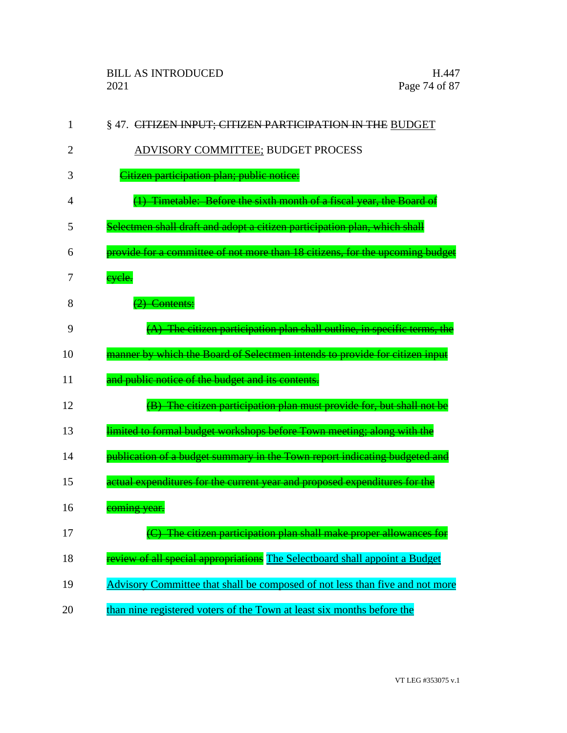| $\mathbf{1}$ | §47. CITIZEN INPUT; CITIZEN PARTICIPATION IN THE BUDGET                       |
|--------------|-------------------------------------------------------------------------------|
| 2            | ADVISORY COMMITTEE; BUDGET PROCESS                                            |
| 3            | Citizen participation plan; public notice:                                    |
| 4            | Timetable: Before the sixth month of a fiscal year, the Board of              |
| 5            | Selectmen shall draft and adopt a citizen participation plan, which shall     |
| 6            | provide for a committee of not more than 18 citizens, for the upcoming budget |
| 7            | eyele.                                                                        |
| 8            | $(2)$ Contents:                                                               |
| 9            | $(A)$ The citizen participation plan shall outline, in specific terms, the    |
| 10           | manner by which the Board of Selectmen intends to provide for citizen input   |
| 11           | and public notice of the budget and its contents.                             |
| 12           | (B) The citizen participation plan must provide for, but shall not be         |
| 13           | limited to formal budget workshops before Town meeting; along with the        |
| 14           | publication of a budget summary in the Town report indicating budgeted and    |
| 15           | actual expenditures for the current year and proposed expenditures for the    |
| 16           | coming year.                                                                  |
| 17           | C) The citizen participation plan shall make proper allowances for            |
| 18           | eview of all special appropriations The Selectboard shall appoint a Budget    |
| 19           | Advisory Committee that shall be composed of not less than five and not more  |
| 20           | than nine registered voters of the Town at least six months before the        |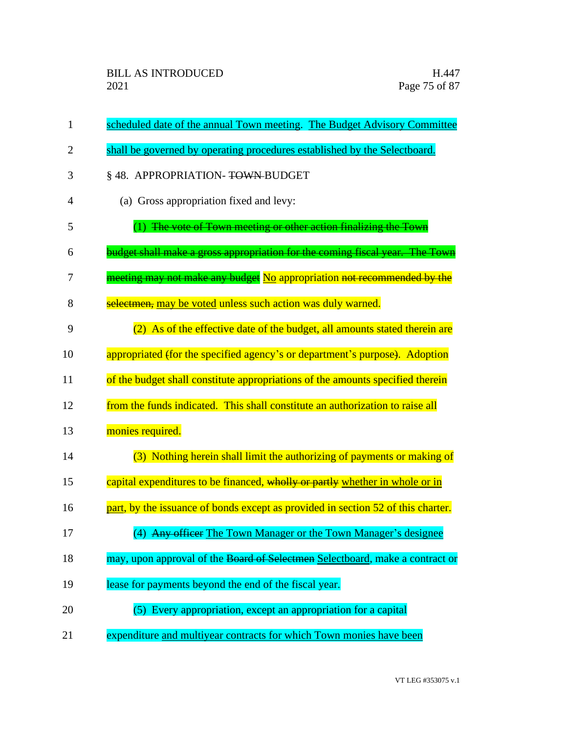| $\mathbf{1}$   | scheduled date of the annual Town meeting. The Budget Advisory Committee         |
|----------------|----------------------------------------------------------------------------------|
| $\overline{2}$ | shall be governed by operating procedures established by the Selectboard.        |
| 3              | § 48. APPROPRIATION-TOWN-BUDGET                                                  |
| 4              | (a) Gross appropriation fixed and levy:                                          |
| 5              | (1) The vote of Town meeting or other action finalizing the Town                 |
| 6              | budget shall make a gross appropriation for the coming fiscal year. The Town     |
| 7              | meeting may not make any budget No appropriation not recommended by the          |
| 8              | selectmen, may be voted unless such action was duly warned.                      |
| 9              | (2) As of the effective date of the budget, all amounts stated therein are       |
| 10             | appropriated (for the specified agency's or department's purpose). Adoption      |
| 11             | of the budget shall constitute appropriations of the amounts specified therein   |
| 12             | from the funds indicated. This shall constitute an authorization to raise all    |
| 13             | monies required.                                                                 |
| 14             | (3) Nothing herein shall limit the authorizing of payments or making of          |
| 15             | capital expenditures to be financed, wholly or partly whether in whole or in     |
| 16             | part, by the issuance of bonds except as provided in section 52 of this charter. |
| 17             | (4) Any officer The Town Manager or the Town Manager's designee                  |
| 18             | may, upon approval of the Board of Selectmen Selectboard, make a contract or     |
| 19             | lease for payments beyond the end of the fiscal year.                            |
| 20             | (5) Every appropriation, except an appropriation for a capital                   |
| 21             | expenditure and multiyear contracts for which Town monies have been              |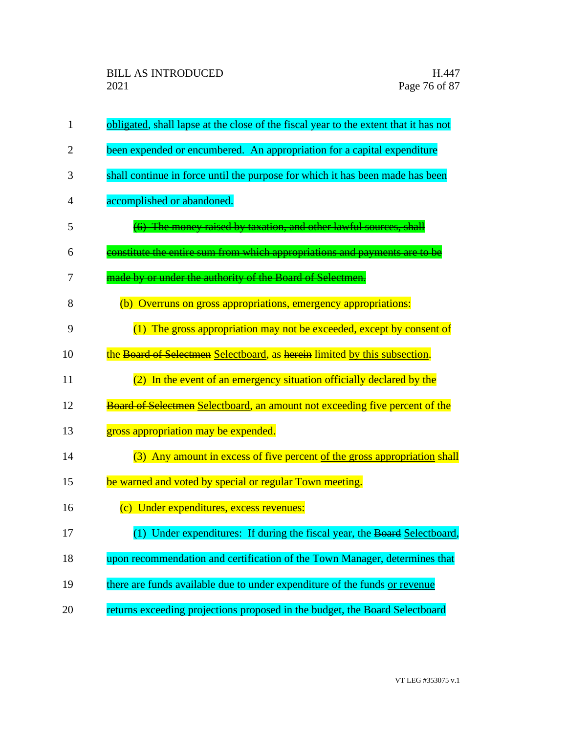| 1              | obligated, shall lapse at the close of the fiscal year to the extent that it has not |
|----------------|--------------------------------------------------------------------------------------|
| $\overline{2}$ | been expended or encumbered. An appropriation for a capital expenditure              |
| 3              | shall continue in force until the purpose for which it has been made has been        |
| 4              | accomplished or abandoned.                                                           |
| 5              | (6) The money raised by taxation, and other lawful sources, shall                    |
| 6              | constitute the entire sum from which appropriations and payments are to be           |
| 7              | made by or under the authority of the Board of Selectmen.                            |
| 8              | (b) Overruns on gross appropriations, emergency appropriations:                      |
| 9              | (1) The gross appropriation may not be exceeded, except by consent of                |
| 10             | the Board of Selectmen Selectboard, as herein limited by this subsection.            |
| 11             | (2) In the event of an emergency situation officially declared by the                |
| 12             | <b>Board of Selectmen Selectboard, an amount not exceeding five percent of the</b>   |
| 13             | gross appropriation may be expended.                                                 |
| 14             | (3) Any amount in excess of five percent of the gross appropriation shall            |
| 15             | be warned and voted by special or regular Town meeting.                              |
| 16             | (c) Under expenditures, excess revenues:                                             |
| 17             | (1) Under expenditures: If during the fiscal year, the Board Selectboard,            |
| 18             | upon recommendation and certification of the Town Manager, determines that           |
| 19             | there are funds available due to under expenditure of the funds or revenue           |
| 20             | returns exceeding projections proposed in the budget, the Board Selectboard          |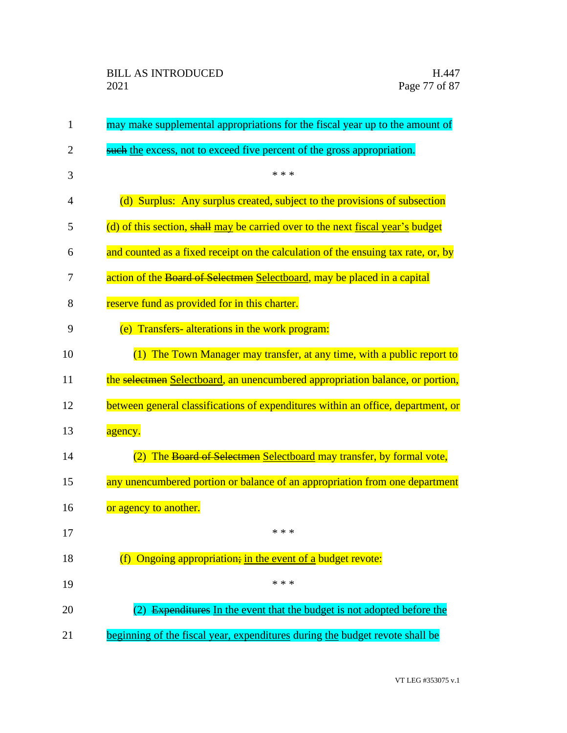| $\mathbf{1}$   | may make supplemental appropriations for the fiscal year up to the amount of      |
|----------------|-----------------------------------------------------------------------------------|
| $\overline{2}$ | such the excess, not to exceed five percent of the gross appropriation.           |
| 3              | * * *                                                                             |
| $\overline{4}$ | (d) Surplus: Any surplus created, subject to the provisions of subsection         |
| 5              | (d) of this section, shall may be carried over to the next fiscal year's budget   |
| 6              | and counted as a fixed receipt on the calculation of the ensuing tax rate, or, by |
| 7              | action of the Board of Selectmen Selectboard, may be placed in a capital          |
| 8              | reserve fund as provided for in this charter.                                     |
| 9              | (e) Transfers-alterations in the work program:                                    |
| 10             | (1) The Town Manager may transfer, at any time, with a public report to           |
| 11             | the selectmen Selectboard, an unencumbered appropriation balance, or portion,     |
| 12             | between general classifications of expenditures within an office, department, or  |
| 13             | agency.                                                                           |
| 14             | The Board of Selectmen Selectboard may transfer, by formal vote,                  |
| 15             | any unencumbered portion or balance of an appropriation from one department       |
| 16             | or agency to another.                                                             |
| 17             | * * *                                                                             |
| 18             | Ongoing appropriation; in the event of a budget revote:<br>(f)                    |
| 19             | * * *                                                                             |
| 20             | (2) Expenditures In the event that the budget is not adopted before the           |
| 21             | beginning of the fiscal year, expenditures during the budget revote shall be      |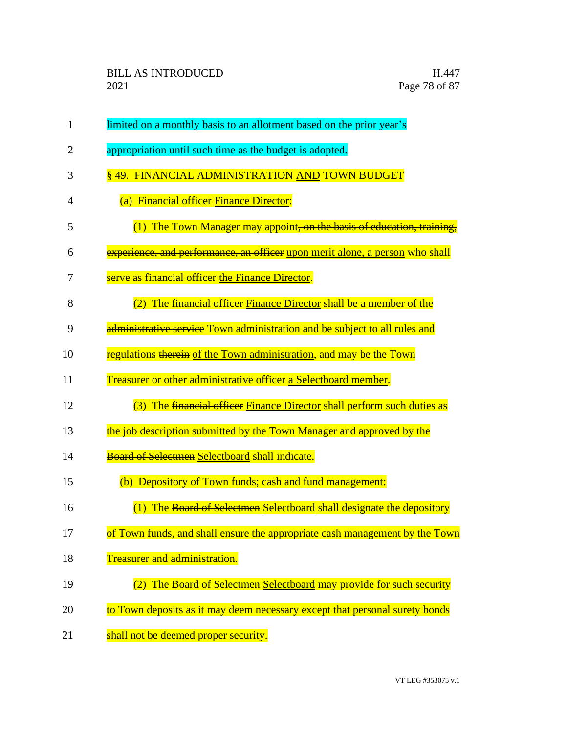| $\mathbf{1}$   | limited on a monthly basis to an allotment based on the prior year's         |
|----------------|------------------------------------------------------------------------------|
| $\overline{2}$ | appropriation until such time as the budget is adopted.                      |
| 3              | § 49. FINANCIAL ADMINISTRATION AND TOWN BUDGET                               |
| 4              | (a) Financial officer Finance Director:                                      |
| 5              | (1) The Town Manager may appoint, on the basis of education, training        |
| 6              | experience, and performance, an officer upon merit alone, a person who shall |
| 7              | serve as financial officer the Finance Director.                             |
| 8              | The financial officer Finance Director shall be a member of the              |
| 9              | administrative service Town administration and be subject to all rules and   |
| 10             | regulations therein of the Town administration, and may be the Town          |
| 11             | Treasurer or <del>other administrative officer</del> a Selectboard member.   |
| 12             | (3) The financial officer Finance Director shall perform such duties as      |
| 13             | the job description submitted by the Town Manager and approved by the        |
| 14             | <b>Board of Selectmen Selectboard shall indicate.</b>                        |
| 15             | (b) Depository of Town funds; cash and fund management:                      |
| 16             | (1) The Board of Selectmen Selectboard shall designate the depository        |
| 17             | of Town funds, and shall ensure the appropriate cash management by the Town  |
| 18             | Treasurer and administration.                                                |
| 19             | (2) The Board of Selectmen Selectboard may provide for such security         |
| 20             | to Town deposits as it may deem necessary except that personal surety bonds  |
| 21             | shall not be deemed proper security.                                         |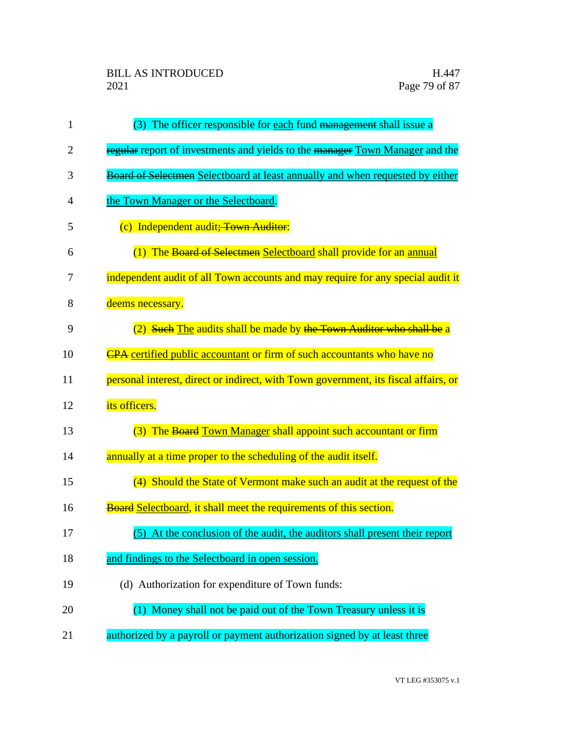| $\mathbf{1}$ | (3) The officer responsible for each fund management shall issue a                  |
|--------------|-------------------------------------------------------------------------------------|
| 2            | regular report of investments and yields to the manager Town Manager and the        |
| 3            | Board of Selectmen Selectboard at least annually and when requested by either       |
| 4            | the Town Manager or the Selectboard.                                                |
| 5            | (c) Independent audit; Town Auditor:                                                |
| 6            | (1) The Board of Selectmen Selectboard shall provide for an annual                  |
| 7            | independent audit of all Town accounts and may require for any special audit it     |
| 8            | deems necessary.                                                                    |
| 9            | Such The audits shall be made by the Town Auditor who shall be a                    |
| 10           | <b>CPA</b> certified public accountant or firm of such accountants who have no      |
| 11           | personal interest, direct or indirect, with Town government, its fiscal affairs, or |
| 12           | its officers.                                                                       |
| 13           | (3) The Board Town Manager shall appoint such accountant or firm                    |
| 14           | annually at a time proper to the scheduling of the audit itself.                    |
| 15           | (4) Should the State of Vermont make such an audit at the request of the            |
| 16           | Board Selectboard, it shall meet the requirements of this section.                  |
| 17           | (5) At the conclusion of the audit, the auditors shall present their report         |
| 18           | and findings to the Selectboard in open session.                                    |
| 19           | (d) Authorization for expenditure of Town funds:                                    |
| 20           | (1) Money shall not be paid out of the Town Treasury unless it is                   |
| 21           | authorized by a payroll or payment authorization signed by at least three           |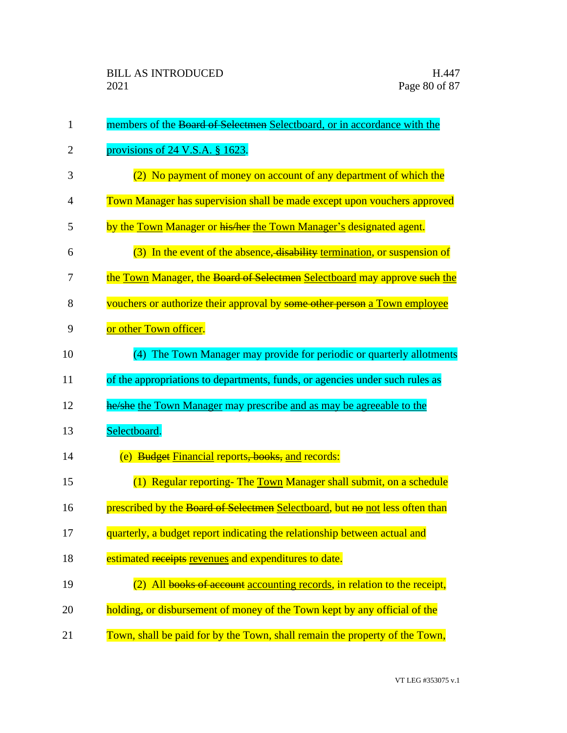| $\mathbf{1}$   | members of the Board of Selectmen Selectboard, or in accordance with the     |
|----------------|------------------------------------------------------------------------------|
| $\overline{2}$ | provisions of $24$ V.S.A. § 1623.                                            |
| 3              | (2) No payment of money on account of any department of which the            |
| 4              | Town Manager has supervision shall be made except upon vouchers approved     |
| 5              | by the Town Manager or his/her the Town Manager's designated agent.          |
| 6              | (3) In the event of the absence, disability termination, or suspension of    |
| 7              | the Town Manager, the Board of Selectmen Selectboard may approve such the    |
| 8              | vouchers or authorize their approval by some other person a Town employee    |
| 9              | or other Town officer.                                                       |
| 10             | The Town Manager may provide for periodic or quarterly allotments<br>(4)     |
| 11             | of the appropriations to departments, funds, or agencies under such rules as |
| 12             | he/she the Town Manager may prescribe and as may be agreeable to the         |
| 13             | Selectboard.                                                                 |
| 14             | (e) Budget Financial reports, books, and records:                            |
| 15             | (1) Regular reporting- The Town Manager shall submit, on a schedule          |
| 16             | prescribed by the Board of Selectmen Selectboard, but no not less often than |
| 17             | quarterly, a budget report indicating the relationship between actual and    |
| 18             | estimated receipts revenues and expenditures to date.                        |
| 19             | All books of account accounting records, in relation to the receipt,         |
| 20             | holding, or disbursement of money of the Town kept by any official of the    |
| 21             | Town, shall be paid for by the Town, shall remain the property of the Town,  |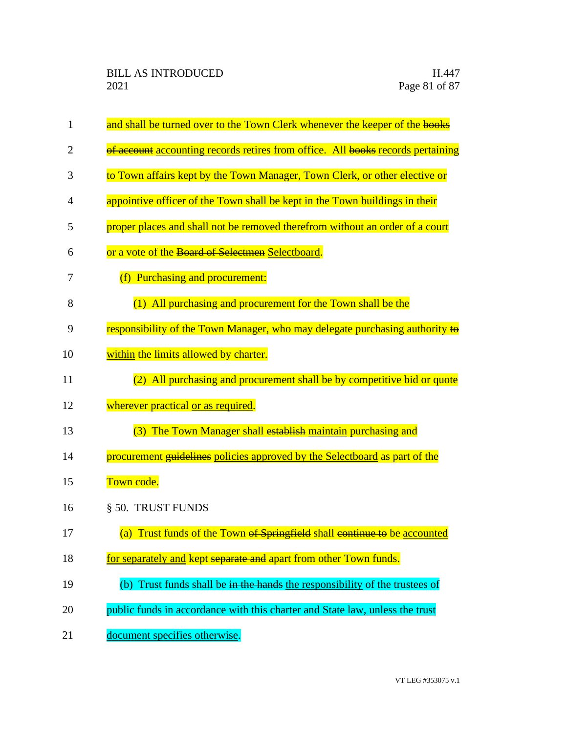| $\mathbf{1}$   | and shall be turned over to the Town Clerk whenever the keeper of the books     |
|----------------|---------------------------------------------------------------------------------|
| $\overline{2}$ | of account accounting records retires from office. All books records pertaining |
| 3              | to Town affairs kept by the Town Manager, Town Clerk, or other elective or      |
| 4              | appointive officer of the Town shall be kept in the Town buildings in their     |
| 5              | proper places and shall not be removed therefrom without an order of a court    |
| 6              | or a vote of the Board of Selectmen Selectboard.                                |
| 7              | (f) Purchasing and procurement:                                                 |
| 8              | (1) All purchasing and procurement for the Town shall be the                    |
| 9              | responsibility of the Town Manager, who may delegate purchasing authority to    |
| 10             | within the limits allowed by charter.                                           |
| 11             | (2) All purchasing and procurement shall be by competitive bid or quote         |
| 12             | wherever practical or as required.                                              |
| 13             | (3) The Town Manager shall establish maintain purchasing and                    |
| 14             | procurement guidelines policies approved by the Selectboard as part of the      |
| 15             | Town code.                                                                      |
| 16             | § 50. TRUST FUNDS                                                               |
| 17             | (a) Trust funds of the Town of Springfield shall continue to be accounted       |
| 18             | for separately and kept separate and apart from other Town funds.               |
| 19             | (b) Trust funds shall be in the hands the responsibility of the trustees of     |
| 20             | public funds in accordance with this charter and State law, unless the trust    |
| 21             | document specifies otherwise.                                                   |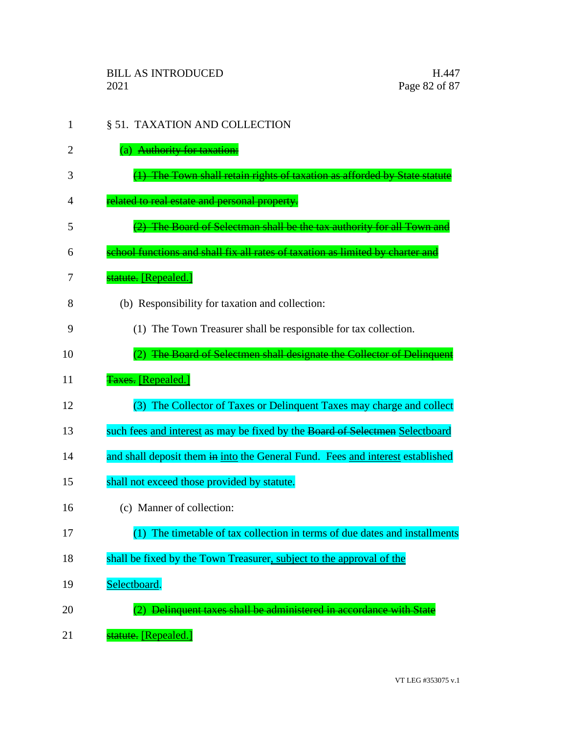- 1 § 51. TAXATION AND COLLECTION 2 (a) Authority for taxation: 3 (1) The Town shall retain rights of taxation as afforded by State statute 4 related to real estate and personal property. 5 (2) The Board of Selectman shall be the tax authority for all Town and 6 school functions and shall fix all rates of taxation as limited by charter and 7 statute. [Repealed.] 8 (b) Responsibility for taxation and collection: 9 (1) The Town Treasurer shall be responsible for tax collection. 10 (2) The Board of Selectmen shall designate the Collector of Delinquent 11 **Taxes.** [Repealed.] 12 (3) The Collector of Taxes or Delinquent Taxes may charge and collect 13 such fees and interest as may be fixed by the Board of Selectmen Selectboard 14 and shall deposit them in into the General Fund. Fees and interest established 15 shall not exceed those provided by statute. 16 (c) Manner of collection: 17 (1) The timetable of tax collection in terms of due dates and installments 18 shall be fixed by the Town Treasurer, subject to the approval of the 19 Selectboard. 20 (2) Delinquent taxes shall be administered in accordance with State
- 21 **statute.** [Repealed.]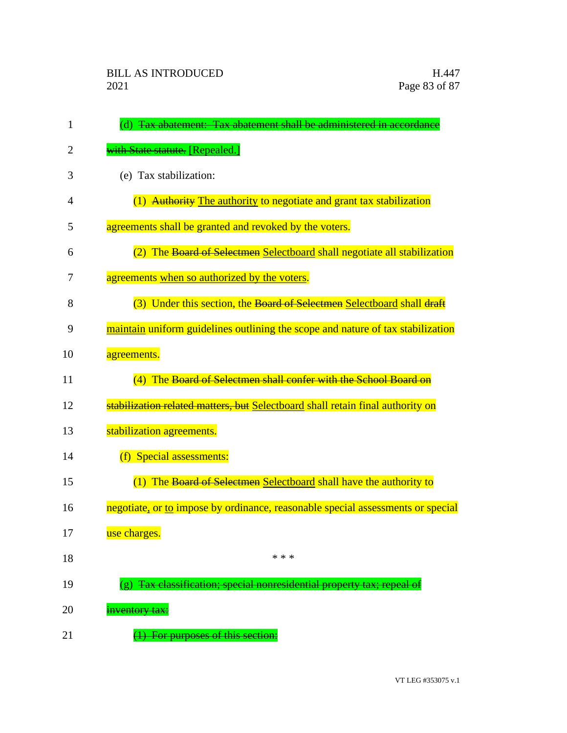| 1  | (d) Tax abatement: Tax abatement shall be administered in accordance            |
|----|---------------------------------------------------------------------------------|
| 2  | <b>with State statute.</b> [Repealed.]                                          |
| 3  | (e) Tax stabilization:                                                          |
| 4  | (1) Authority The authority to negotiate and grant tax stabilization            |
| 5  | agreements shall be granted and revoked by the voters.                          |
| 6  | (2) The Board of Selectmen Selectboard shall negotiate all stabilization        |
| 7  | agreements when so authorized by the voters.                                    |
| 8  | (3) Under this section, the Board of Selectmen Selectboard shall draft          |
| 9  | maintain uniform guidelines outlining the scope and nature of tax stabilization |
| 10 | agreements.                                                                     |
| 11 | (4) The Board of Selectmen shall confer with the School Board on                |
| 12 | stabilization related matters, but Selectboard shall retain final authority on  |
| 13 | stabilization agreements.                                                       |
| 14 | (f) Special assessments:                                                        |
| 15 | (1) The Board of Selectmen Selectboard shall have the authority to              |
| 16 | negotiate, or to impose by ordinance, reasonable special assessments or special |
| 17 | use charges.                                                                    |
| 18 | * * *                                                                           |
| 19 | Tax classification; special nonresidential property tax; repeal                 |
| 20 | inventory tax:                                                                  |
| 21 | <del>For purposes of this section:</del>                                        |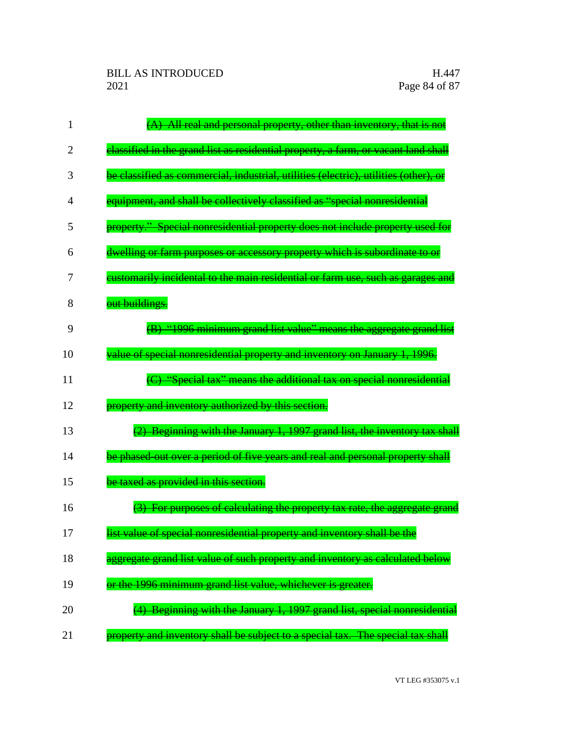| 1              | (A) All real and personal property, other than inventory, that is not                |
|----------------|--------------------------------------------------------------------------------------|
| $\overline{2}$ | elassified in the grand list as residential property, a farm, or vacant land shall   |
| 3              | be classified as commercial, industrial, utilities (electric), utilities (other), or |
| 4              | equipment, and shall be collectively classified as "special nonresidential           |
| 5              | property." Special nonresidential property does not include property used for        |
| 6              | dwelling or farm purposes or accessory property which is subordinate to or           |
| 7              | eustomarily incidental to the main residential or farm use, such as garages and      |
| 8              | out buildings.                                                                       |
| 9              | (B) "1996 minimum grand list value" means the aggregate grand list                   |
| 10             | value of special nonresidential property and inventory on January 1, 1996.           |
| 11             | (C) "Special tax" means the additional tax on special nonresidential                 |
| 12             | property and inventory authorized by this section.                                   |
| 13             | (2) Beginning with the January 1, 1997 grand list, the inventory tax shall           |
| 14             | be phased-out over a period of five years and real and personal property shall       |
| 15             | be taxed as provided in this section.                                                |
| 16             | (3) For purposes of calculating the property tax rate, the aggregate grand           |
| 17             | list value of special nonresidential property and inventory shall be the             |
| 18             | aggregate grand list value of such property and inventory as calculated below        |
| 19             | or the 1996 minimum grand list value, whichever is greater.                          |
| 20             | (4) Beginning with the January 1, 1997 grand list, special nonresidential            |
| 21             | property and inventory shall be subject to a special tax. The special tax shall      |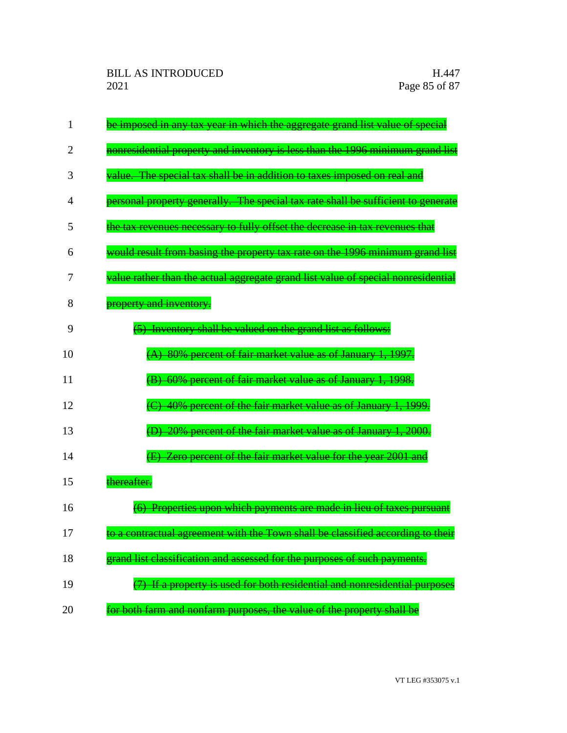| $\mathbf{1}$ | be imposed in any tax year in which the aggregate grand list value of special     |
|--------------|-----------------------------------------------------------------------------------|
| 2            | nonresidential property and inventory is less than the 1996 minimum grand list    |
| 3            | value. The special tax shall be in addition to taxes imposed on real and          |
| 4            | personal property generally. The special tax rate shall be sufficient to generate |
| 5            | the tax revenues necessary to fully offset the decrease in tax revenues that      |
| 6            | would result from basing the property tax rate on the 1996 minimum grand list     |
| 7            | value rather than the actual aggregate grand list value of special nonresidential |
| 8            | property and inventory.                                                           |
| 9            | (5) Inventory shall be valued on the grand list as follows:                       |
| 10           | (A) 80% percent of fair market value as of January 1, 1997.                       |
| 11           | (B) 60% percent of fair market value as of January 1, 1998.                       |
| 12           | (C) 40% percent of the fair market value as of January 1, 1999.                   |
| 13           | 20% percent of the fair market value as of January 1, 2000.                       |
| 14           | (E) Zero percent of the fair market value for the year 2001 and                   |
| 15           | thereafter.                                                                       |
| 16           | (6) Properties upon which payments are made in lieu of taxes pursuant             |
| 17           | to a contractual agreement with the Town shall be classified according to their   |
| 18           | grand list classification and assessed for the purposes of such payments.         |
| 19           | (7) If a property is used for both residential and nonresidential purposes        |
| 20           | for both farm and nonfarm purposes, the value of the property shall be            |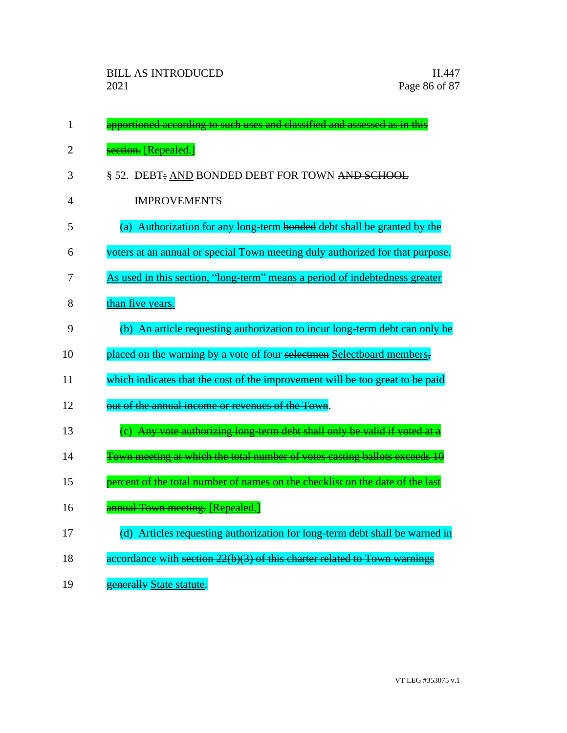| $\mathbf{1}$ | apportioned according to such uses and classified and assessed as in this     |
|--------------|-------------------------------------------------------------------------------|
| 2            | section. [Repealed.]                                                          |
| 3            | § 52. DEBT; AND BONDED DEBT FOR TOWN AND SCHOOL                               |
| 4            | <b>IMPROVEMENTS</b>                                                           |
| 5            | (a) Authorization for any long-term bonded debt shall be granted by the       |
| 6            | voters at an annual or special Town meeting duly authorized for that purpose. |
| 7            | As used in this section, "long-term" means a period of indebtedness greater   |
| 8            | than five years.                                                              |
| 9            | (b) An article requesting authorization to incur long-term debt can only be   |
| 10           | placed on the warning by a vote of four selectmen Selectboard members,        |
| 11           | which indicates that the cost of the improvement will be too great to be paid |
| 12           | out of the annual income or revenues of the Town.                             |
| 13           | (c) Any vote authorizing long-term debt shall only be valid if voted at a     |
| 14           | Town meeting at which the total number of votes casting ballots exceeds 10    |
| 15           | percent of the total number of names on the checklist on the date of the last |
| 16           | annual Town meeting. [Repealed.]                                              |
| 17           | (d) Articles requesting authorization for long-term debt shall be warned in   |
| 18           | accordance with section 22(b)(3) of this charter related to Town warnings     |
| 19           | generally State statute.                                                      |